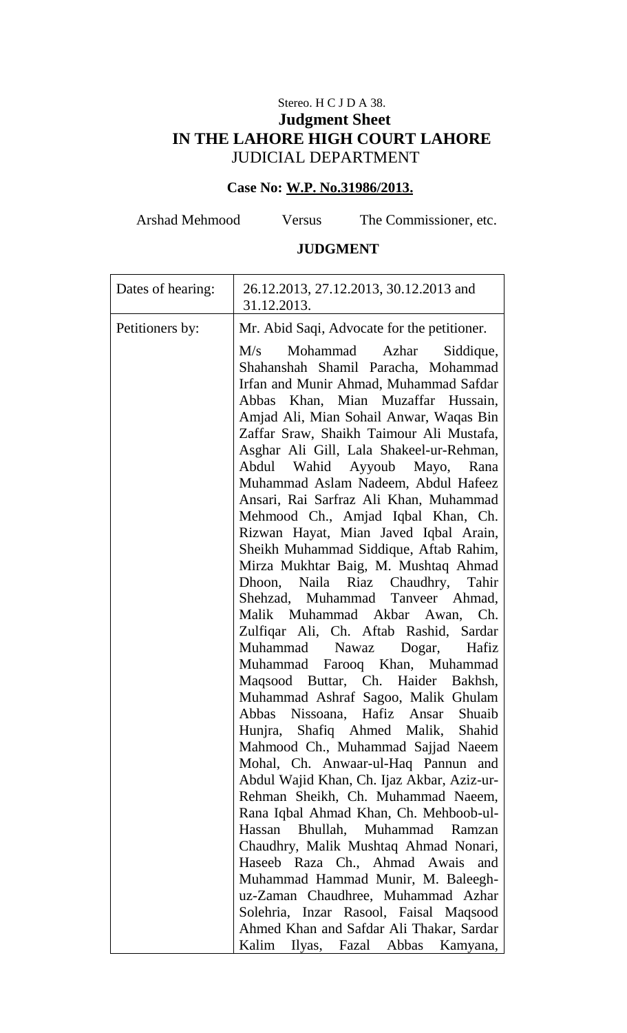## Stereo. H C J D A 38. **Judgment Sheet IN THE LAHORE HIGH COURT LAHORE** JUDICIAL DEPARTMENT

## **Case No: W.P. No.31986/2013.**

| <b>Arshad Mehmood</b> | <b>Versus</b>   | The Commissioner, etc. |  |  |
|-----------------------|-----------------|------------------------|--|--|
|                       | <b>JUDGMENT</b> |                        |  |  |

| Dates of hearing: | 26.12.2013, 27.12.2013, 30.12.2013 and<br>31.12.2013.                                                                                                                                                                                                                                                                                                                                                                                                                                                                                                                                                                                                                                                                                                                                                                                                                                                                                                          |
|-------------------|----------------------------------------------------------------------------------------------------------------------------------------------------------------------------------------------------------------------------------------------------------------------------------------------------------------------------------------------------------------------------------------------------------------------------------------------------------------------------------------------------------------------------------------------------------------------------------------------------------------------------------------------------------------------------------------------------------------------------------------------------------------------------------------------------------------------------------------------------------------------------------------------------------------------------------------------------------------|
| Petitioners by:   | Mr. Abid Saqi, Advocate for the petitioner.                                                                                                                                                                                                                                                                                                                                                                                                                                                                                                                                                                                                                                                                                                                                                                                                                                                                                                                    |
|                   | M/s Mohammad Azhar<br>Siddique,<br>Shahanshah Shamil Paracha, Mohammad<br>Irfan and Munir Ahmad, Muhammad Safdar<br>Abbas Khan, Mian Muzaffar Hussain,<br>Amjad Ali, Mian Sohail Anwar, Waqas Bin<br>Zaffar Sraw, Shaikh Taimour Ali Mustafa,<br>Asghar Ali Gill, Lala Shakeel-ur-Rehman,<br>Abdul Wahid Ayyoub Mayo, Rana<br>Muhammad Aslam Nadeem, Abdul Hafeez<br>Ansari, Rai Sarfraz Ali Khan, Muhammad<br>Mehmood Ch., Amjad Iqbal Khan, Ch.<br>Rizwan Hayat, Mian Javed Iqbal Arain,<br>Sheikh Muhammad Siddique, Aftab Rahim,<br>Mirza Mukhtar Baig, M. Mushtaq Ahmad<br>Dhoon, Naila Riaz Chaudhry, Tahir<br>Shehzad, Muhammad Tanveer Ahmad,<br>Malik Muhammad Akbar Awan, Ch.<br>Zulfiqar Ali, Ch. Aftab Rashid, Sardar<br>Muhammad Nawaz<br>Dogar, Hafiz<br>Muhammad Farooq Khan, Muhammad<br>Maqsood Buttar, Ch. Haider Bakhsh,<br>Muhammad Ashraf Sagoo, Malik Ghulam<br>Abbas Nissoana, Hafiz Ansar Shuaib<br>Hunjra, Shafiq Ahmed Malik, Shahid |
|                   | Mahmood Ch., Muhammad Sajjad Naeem<br>Mohal, Ch. Anwaar-ul-Haq Pannun and<br>Abdul Wajid Khan, Ch. Ijaz Akbar, Aziz-ur-                                                                                                                                                                                                                                                                                                                                                                                                                                                                                                                                                                                                                                                                                                                                                                                                                                        |
|                   | Rehman Sheikh, Ch. Muhammad Naeem,                                                                                                                                                                                                                                                                                                                                                                                                                                                                                                                                                                                                                                                                                                                                                                                                                                                                                                                             |
|                   | Rana Iqbal Ahmad Khan, Ch. Mehboob-ul-<br>Hassan Bhullah, Muhammad Ramzan                                                                                                                                                                                                                                                                                                                                                                                                                                                                                                                                                                                                                                                                                                                                                                                                                                                                                      |
|                   | Chaudhry, Malik Mushtaq Ahmad Nonari,                                                                                                                                                                                                                                                                                                                                                                                                                                                                                                                                                                                                                                                                                                                                                                                                                                                                                                                          |
|                   | Haseeb Raza Ch., Ahmad Awais<br>and                                                                                                                                                                                                                                                                                                                                                                                                                                                                                                                                                                                                                                                                                                                                                                                                                                                                                                                            |
|                   | Muhammad Hammad Munir, M. Baleegh-                                                                                                                                                                                                                                                                                                                                                                                                                                                                                                                                                                                                                                                                                                                                                                                                                                                                                                                             |
|                   | uz-Zaman Chaudhree, Muhammad Azhar                                                                                                                                                                                                                                                                                                                                                                                                                                                                                                                                                                                                                                                                                                                                                                                                                                                                                                                             |
|                   | Solehria, Inzar Rasool, Faisal Maqsood<br>Ahmed Khan and Safdar Ali Thakar, Sardar                                                                                                                                                                                                                                                                                                                                                                                                                                                                                                                                                                                                                                                                                                                                                                                                                                                                             |
|                   | Kalim Ilyas, Fazal Abbas Kamyana,                                                                                                                                                                                                                                                                                                                                                                                                                                                                                                                                                                                                                                                                                                                                                                                                                                                                                                                              |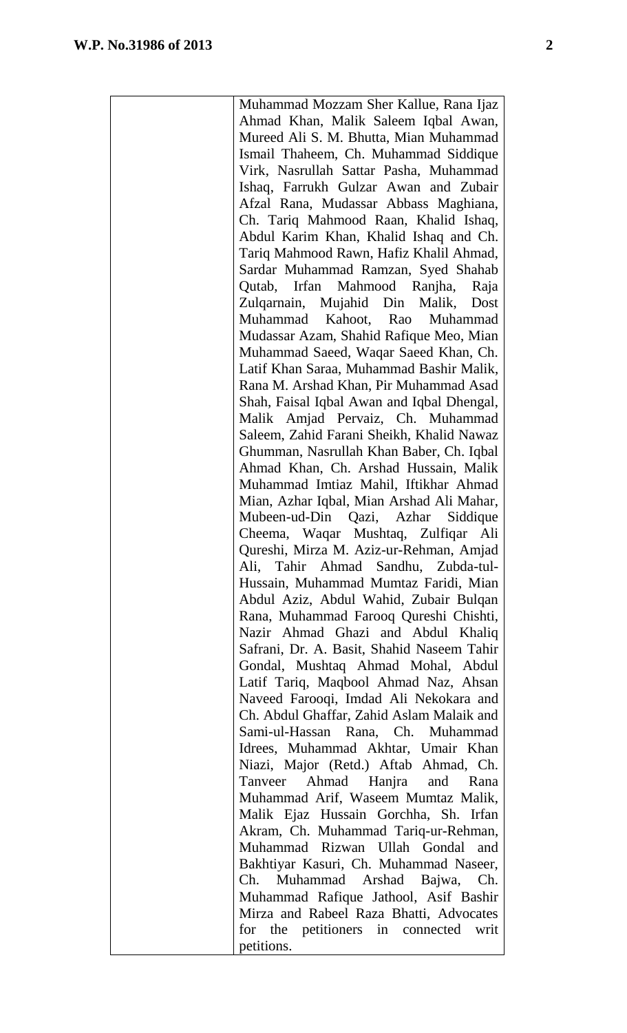Muhammad Mozzam Sher Kallue, Rana Ijaz Ahmad Khan, Malik Saleem Iqbal Awan, Mureed Ali S. M. Bhutta, Mian Muhammad Ismail Thaheem, Ch. Muhammad Siddique Virk, Nasrullah Sattar Pasha, Muhammad Ishaq, Farrukh Gulzar Awan and Zubair Afzal Rana, Mudassar Abbass Maghiana, Ch. Tariq Mahmood Raan, Khalid Ishaq, Abdul Karim Khan, Khalid Ishaq and Ch. Tariq Mahmood Rawn, Hafiz Khalil Ahmad, Sardar Muhammad Ramzan, Syed Shahab Qutab, Irfan Mahmood Ranjha, Raja Zulqarnain, Mujahid Din Malik, Dost Muhammad Kahoot, Rao Muhammad Mudassar Azam, Shahid Rafique Meo, Mian Muhammad Saeed, Waqar Saeed Khan, Ch. Latif Khan Saraa, Muhammad Bashir Malik, Rana M. Arshad Khan, Pir Muhammad Asad Shah, Faisal Iqbal Awan and Iqbal Dhengal, Malik Amjad Pervaiz, Ch. Muhammad Saleem, Zahid Farani Sheikh, Khalid Nawaz Ghumman, Nasrullah Khan Baber, Ch. Iqbal Ahmad Khan, Ch. Arshad Hussain, Malik Muhammad Imtiaz Mahil, Iftikhar Ahmad Mian, Azhar Iqbal, Mian Arshad Ali Mahar, Mubeen-ud-Din Qazi, Azhar Siddique Cheema, Waqar Mushtaq, Zulfiqar Ali Qureshi, Mirza M. Aziz-ur-Rehman, Amjad Ali, Tahir Ahmad Sandhu, Zubda-tul-Hussain, Muhammad Mumtaz Faridi, Mian Abdul Aziz, Abdul Wahid, Zubair Bulqan Rana, Muhammad Farooq Qureshi Chishti, Nazir Ahmad Ghazi and Abdul Khaliq Safrani, Dr. A. Basit, Shahid Naseem Tahir Gondal, Mushtaq Ahmad Mohal, Abdul Latif Tariq, Maqbool Ahmad Naz, Ahsan Naveed Farooqi, Imdad Ali Nekokara and Ch. Abdul Ghaffar, Zahid Aslam Malaik and Sami-ul-Hassan Rana, Ch. Muhammad Idrees, Muhammad Akhtar, Umair Khan Niazi, Major (Retd.) Aftab Ahmad, Ch. Tanveer Ahmad Hanjra and Rana Muhammad Arif, Waseem Mumtaz Malik, Malik Ejaz Hussain Gorchha, Sh. Irfan Akram, Ch. Muhammad Tariq-ur-Rehman, Muhammad Rizwan Ullah Gondal and Bakhtiyar Kasuri, Ch. Muhammad Naseer, Ch. Muhammad Arshad Bajwa, Ch. Muhammad Rafique Jathool, Asif Bashir Mirza and Rabeel Raza Bhatti, Advocates for the petitioners in connected writ petitions.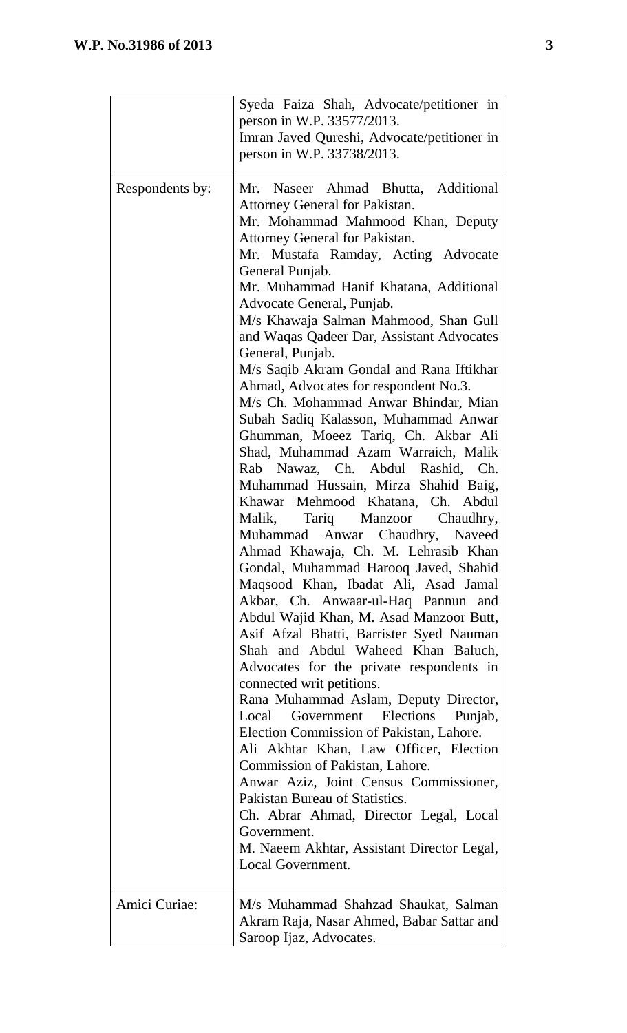|                 | Syeda Faiza Shah, Advocate/petitioner in<br>person in W.P. 33577/2013.<br>Imran Javed Qureshi, Advocate/petitioner in<br>person in W.P. 33738/2013.                                                                                                                                                                                                                                                                                                                                                                                                                                                                                                                                                                                                                                                                                                                                                                                                                                                                                                                                                                                                                                                                                                                                                                                                                                                                                                                                                                                                                                                                      |
|-----------------|--------------------------------------------------------------------------------------------------------------------------------------------------------------------------------------------------------------------------------------------------------------------------------------------------------------------------------------------------------------------------------------------------------------------------------------------------------------------------------------------------------------------------------------------------------------------------------------------------------------------------------------------------------------------------------------------------------------------------------------------------------------------------------------------------------------------------------------------------------------------------------------------------------------------------------------------------------------------------------------------------------------------------------------------------------------------------------------------------------------------------------------------------------------------------------------------------------------------------------------------------------------------------------------------------------------------------------------------------------------------------------------------------------------------------------------------------------------------------------------------------------------------------------------------------------------------------------------------------------------------------|
| Respondents by: | Mr. Naseer Ahmad Bhutta, Additional<br>Attorney General for Pakistan.<br>Mr. Mohammad Mahmood Khan, Deputy<br>Attorney General for Pakistan.<br>Mr. Mustafa Ramday, Acting Advocate<br>General Punjab.<br>Mr. Muhammad Hanif Khatana, Additional<br>Advocate General, Punjab.<br>M/s Khawaja Salman Mahmood, Shan Gull<br>and Waqas Qadeer Dar, Assistant Advocates<br>General, Punjab.<br>M/s Saqib Akram Gondal and Rana Iftikhar<br>Ahmad, Advocates for respondent No.3.<br>M/s Ch. Mohammad Anwar Bhindar, Mian<br>Subah Sadiq Kalasson, Muhammad Anwar<br>Ghumman, Moeez Tariq, Ch. Akbar Ali<br>Shad, Muhammad Azam Warraich, Malik<br>Rab Nawaz, Ch. Abdul Rashid, Ch.<br>Muhammad Hussain, Mirza Shahid Baig,<br>Khawar Mehmood Khatana, Ch. Abdul<br>Malik, Tariq Manzoor Chaudhry,<br>Muhammad Anwar Chaudhry, Naveed<br>Ahmad Khawaja, Ch. M. Lehrasib Khan<br>Gondal, Muhammad Harooq Javed, Shahid<br>Maqsood Khan, Ibadat Ali, Asad Jamal<br>Akbar, Ch. Anwaar-ul-Haq Pannun and<br>Abdul Wajid Khan, M. Asad Manzoor Butt,<br>Asif Afzal Bhatti, Barrister Syed Nauman<br>Shah and Abdul Waheed Khan Baluch,<br>Advocates for the private respondents in<br>connected writ petitions.<br>Rana Muhammad Aslam, Deputy Director,<br>Local Government Elections<br>Punjab,<br>Election Commission of Pakistan, Lahore.<br>Ali Akhtar Khan, Law Officer, Election<br>Commission of Pakistan, Lahore.<br>Anwar Aziz, Joint Census Commissioner,<br>Pakistan Bureau of Statistics.<br>Ch. Abrar Ahmad, Director Legal, Local<br>Government.<br>M. Naeem Akhtar, Assistant Director Legal,<br>Local Government. |
| Amici Curiae:   | M/s Muhammad Shahzad Shaukat, Salman<br>Akram Raja, Nasar Ahmed, Babar Sattar and<br>Saroop Ijaz, Advocates.                                                                                                                                                                                                                                                                                                                                                                                                                                                                                                                                                                                                                                                                                                                                                                                                                                                                                                                                                                                                                                                                                                                                                                                                                                                                                                                                                                                                                                                                                                             |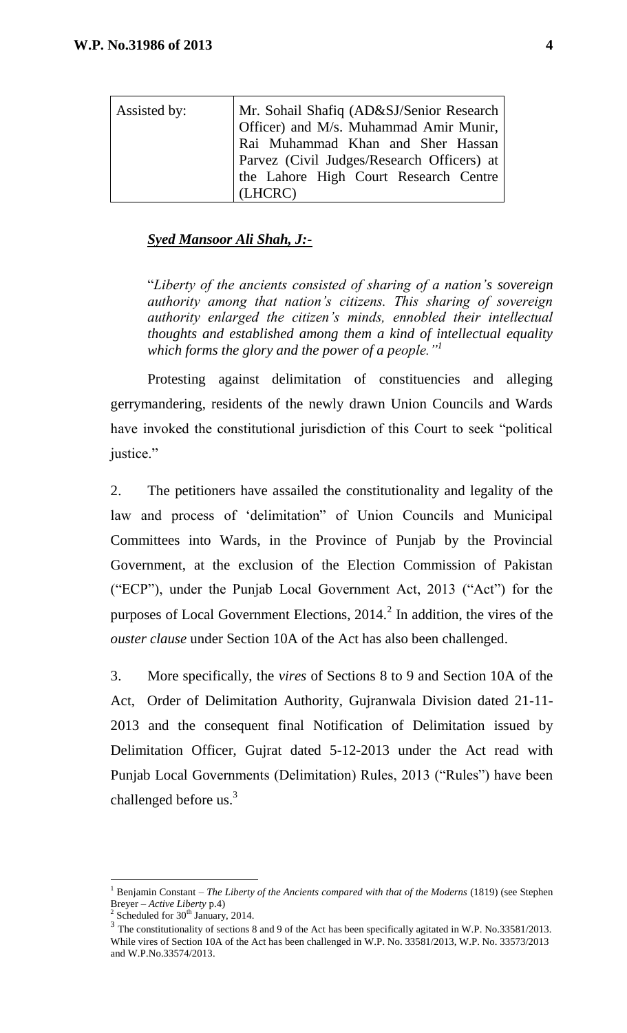| Assisted by: | Mr. Sohail Shafiq (AD&SJ/Senior Research<br>Officer) and M/s. Muhammad Amir Munir, |
|--------------|------------------------------------------------------------------------------------|
|              | Rai Muhammad Khan and Sher Hassan<br>Parvez (Civil Judges/Research Officers) at    |
|              | the Lahore High Court Research Centre<br>(LHCRC)                                   |

## *Syed Mansoor Ali Shah, J:-*

―*Liberty of the ancients consisted of sharing of a nation"s sovereign authority among that nation"s citizens. This sharing of sovereign authority enlarged the citizen"s minds, ennobled their intellectual thoughts and established among them a kind of intellectual equality which forms the glory and the power of a people."<sup>1</sup>*

Protesting against delimitation of constituencies and alleging gerrymandering, residents of the newly drawn Union Councils and Wards have invoked the constitutional jurisdiction of this Court to seek "political justice."

2. The petitioners have assailed the constitutionality and legality of the law and process of 'delimitation' of Union Councils and Municipal Committees into Wards, in the Province of Punjab by the Provincial Government, at the exclusion of the Election Commission of Pakistan ("ECP"), under the Punjab Local Government Act, 2013 ("Act") for the purposes of Local Government Elections,  $2014<sup>2</sup>$  In addition, the vires of the *ouster clause* under Section 10A of the Act has also been challenged.

3. More specifically, the *vires* of Sections 8 to 9 and Section 10A of the Act, Order of Delimitation Authority, Gujranwala Division dated 21-11- 2013 and the consequent final Notification of Delimitation issued by Delimitation Officer, Gujrat dated 5-12-2013 under the Act read with Punjab Local Governments (Delimitation) Rules, 2013 ("Rules") have been challenged before us.<sup>3</sup>

<sup>&</sup>lt;sup>1</sup> Benjamin Constant – *The Liberty of the Ancients compared with that of the Moderns* (1819) (see Stephen Breyer – *Active Liberty* p.4)

<sup>&</sup>lt;sup>2</sup> Scheduled for  $30<sup>th</sup>$  January, 2014.

<sup>&</sup>lt;sup>3</sup> The constitutionality of sections 8 and 9 of the Act has been specifically agitated in W.P. No.33581/2013. While vires of Section 10A of the Act has been challenged in W.P. No. 33581/2013, W.P. No. 33573/2013 and W.P.No.33574/2013.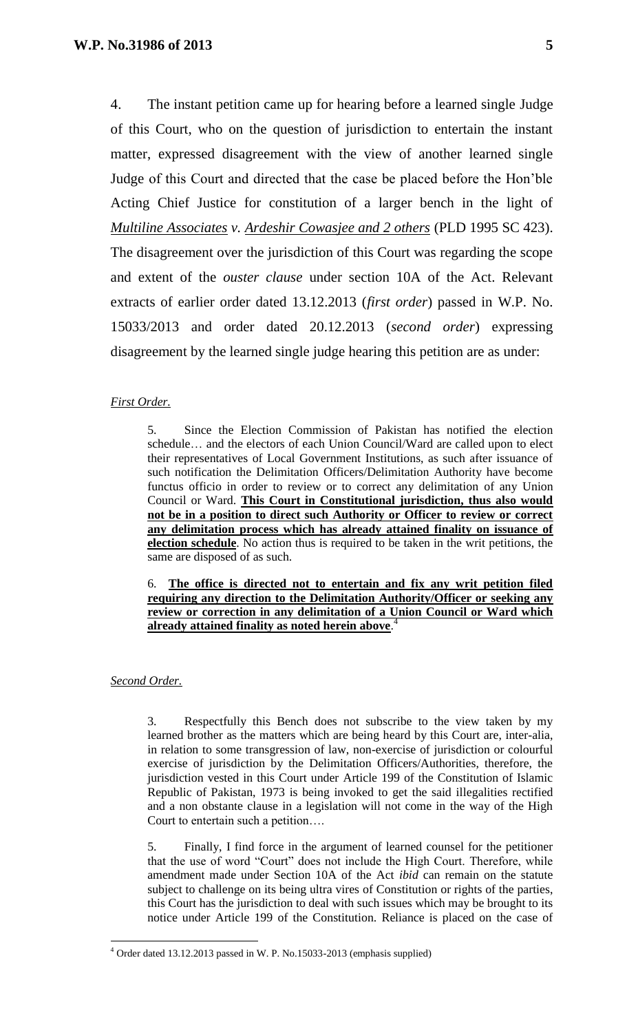4. The instant petition came up for hearing before a learned single Judge of this Court, who on the question of jurisdiction to entertain the instant matter, expressed disagreement with the view of another learned single Judge of this Court and directed that the case be placed before the Hon'ble Acting Chief Justice for constitution of a larger bench in the light of *Multiline Associates v. Ardeshir Cowasjee and 2 others* (PLD 1995 SC 423). The disagreement over the jurisdiction of this Court was regarding the scope and extent of the *ouster clause* under section 10A of the Act. Relevant extracts of earlier order dated 13.12.2013 (*first order*) passed in W.P. No. 15033/2013 and order dated 20.12.2013 (*second order*) expressing disagreement by the learned single judge hearing this petition are as under:

#### *First Order.*

5. Since the Election Commission of Pakistan has notified the election schedule… and the electors of each Union Council/Ward are called upon to elect their representatives of Local Government Institutions, as such after issuance of such notification the Delimitation Officers/Delimitation Authority have become functus officio in order to review or to correct any delimitation of any Union Council or Ward. **This Court in Constitutional jurisdiction, thus also would not be in a position to direct such Authority or Officer to review or correct any delimitation process which has already attained finality on issuance of election schedule**. No action thus is required to be taken in the writ petitions, the same are disposed of as such.

6. **The office is directed not to entertain and fix any writ petition filed requiring any direction to the Delimitation Authority/Officer or seeking any review or correction in any delimitation of a Union Council or Ward which already attained finality as noted herein above**. 4

## *Second Order.*

3. Respectfully this Bench does not subscribe to the view taken by my learned brother as the matters which are being heard by this Court are, inter-alia, in relation to some transgression of law, non-exercise of jurisdiction or colourful exercise of jurisdiction by the Delimitation Officers/Authorities, therefore, the jurisdiction vested in this Court under Article 199 of the Constitution of Islamic Republic of Pakistan, 1973 is being invoked to get the said illegalities rectified and a non obstante clause in a legislation will not come in the way of the High Court to entertain such a petition….

5. Finally, I find force in the argument of learned counsel for the petitioner that the use of word "Court" does not include the High Court. Therefore, while amendment made under Section 10A of the Act *ibid* can remain on the statute subject to challenge on its being ultra vires of Constitution or rights of the parties, this Court has the jurisdiction to deal with such issues which may be brought to its notice under Article 199 of the Constitution. Reliance is placed on the case of

<sup>4</sup> Order dated 13.12.2013 passed in W. P. No.15033-2013 (emphasis supplied)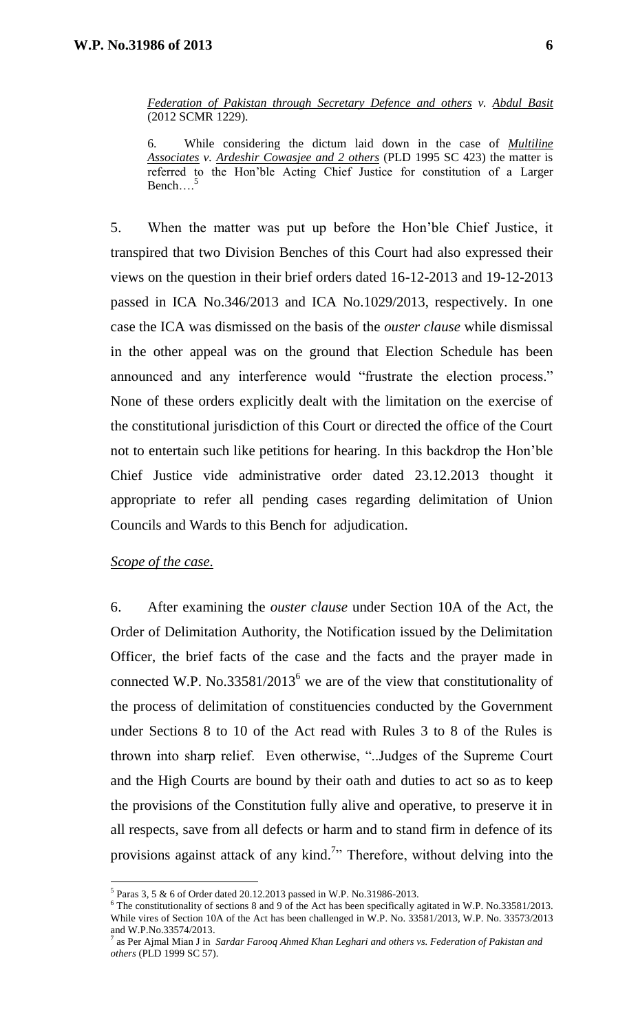*Federation of Pakistan through Secretary Defence and others v. Abdul Basit* (2012 SCMR 1229).

6. While considering the dictum laid down in the case of *Multiline Associates v. Ardeshir Cowasjee and 2 others* (PLD 1995 SC 423) the matter is referred to the Hon'ble Acting Chief Justice for constitution of a Larger Bench…. 5

5. When the matter was put up before the Hon'ble Chief Justice, it transpired that two Division Benches of this Court had also expressed their views on the question in their brief orders dated 16-12-2013 and 19-12-2013 passed in ICA No.346/2013 and ICA No.1029/2013, respectively. In one case the ICA was dismissed on the basis of the *ouster clause* while dismissal in the other appeal was on the ground that Election Schedule has been announced and any interference would "frustrate the election process." None of these orders explicitly dealt with the limitation on the exercise of the constitutional jurisdiction of this Court or directed the office of the Court not to entertain such like petitions for hearing. In this backdrop the Hon'ble Chief Justice vide administrative order dated 23.12.2013 thought it appropriate to refer all pending cases regarding delimitation of Union Councils and Wards to this Bench for adjudication.

## *Scope of the case.*

6. After examining the *ouster clause* under Section 10A of the Act, the Order of Delimitation Authority, the Notification issued by the Delimitation Officer, the brief facts of the case and the facts and the prayer made in connected W.P. No.33581/2013<sup>6</sup> we are of the view that constitutionality of the process of delimitation of constituencies conducted by the Government under Sections 8 to 10 of the Act read with Rules 3 to 8 of the Rules is thrown into sharp relief. Even otherwise, "...Judges of the Supreme Court and the High Courts are bound by their oath and duties to act so as to keep the provisions of the Constitution fully alive and operative, to preserve it in all respects, save from all defects or harm and to stand firm in defence of its provisions against attack of any kind.<sup>7</sup>" Therefore, without delving into the

<sup>5</sup> Paras 3, 5 & 6 of Order dated 20.12.2013 passed in W.P. No.31986-2013.

<sup>&</sup>lt;sup>6</sup> The constitutionality of sections 8 and 9 of the Act has been specifically agitated in W.P. No.33581/2013. While vires of Section 10A of the Act has been challenged in W.P. No. 33581/2013, W.P. No. 33573/2013 and W.P.No.33574/2013.

<sup>7</sup> as Per Ajmal Mian J in *Sardar Farooq Ahmed Khan Leghari and others vs. Federation of Pakistan and others* (PLD 1999 SC 57).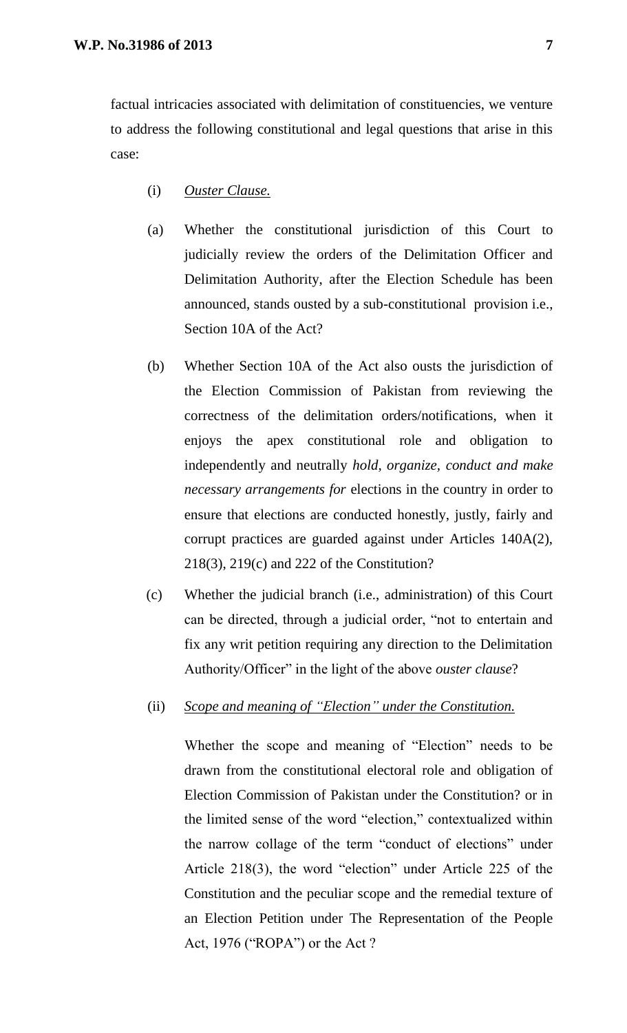factual intricacies associated with delimitation of constituencies, we venture to address the following constitutional and legal questions that arise in this case:

- (i) *Ouster Clause.*
- (a) Whether the constitutional jurisdiction of this Court to judicially review the orders of the Delimitation Officer and Delimitation Authority, after the Election Schedule has been announced, stands ousted by a sub-constitutional provision i.e., Section 10A of the Act?
- (b) Whether Section 10A of the Act also ousts the jurisdiction of the Election Commission of Pakistan from reviewing the correctness of the delimitation orders/notifications, when it enjoys the apex constitutional role and obligation to independently and neutrally *hold, organize, conduct and make necessary arrangements for* elections in the country in order to ensure that elections are conducted honestly, justly, fairly and corrupt practices are guarded against under Articles 140A(2), 218(3), 219(c) and 222 of the Constitution?
- (c) Whether the judicial branch (i.e., administration) of this Court can be directed, through a judicial order, "not to entertain and fix any writ petition requiring any direction to the Delimitation Authority/Officer" in the light of the above *ouster clause*?
- (ii) *Scope and meaning of "Election" under the Constitution.*

Whether the scope and meaning of "Election" needs to be drawn from the constitutional electoral role and obligation of Election Commission of Pakistan under the Constitution? or in the limited sense of the word "election," contextualized within the narrow collage of the term "conduct of elections" under Article  $218(3)$ , the word "election" under Article 225 of the Constitution and the peculiar scope and the remedial texture of an Election Petition under The Representation of the People Act,  $1976$  ("ROPA") or the Act?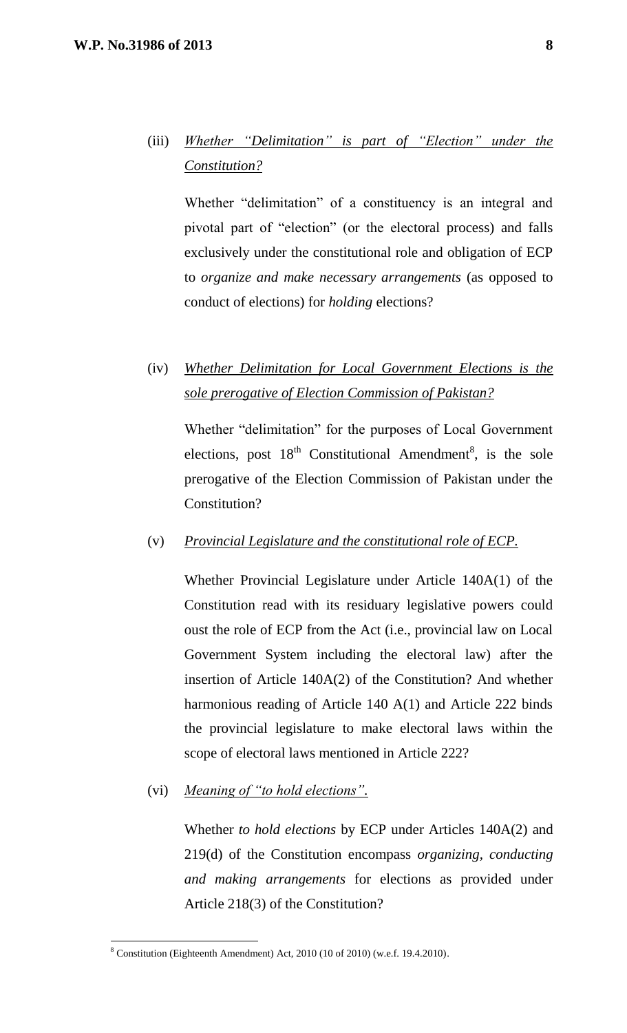# (iii) *Whether "Delimitation" is part of "Election" under the Constitution?*

Whether "delimitation" of a constituency is an integral and pivotal part of "election" (or the electoral process) and falls exclusively under the constitutional role and obligation of ECP to *organize and make necessary arrangements* (as opposed to conduct of elections) for *holding* elections?

(iv) *Whether Delimitation for Local Government Elections is the sole prerogative of Election Commission of Pakistan?* 

Whether "delimitation" for the purposes of Local Government elections, post  $18<sup>th</sup>$  Constitutional Amendment<sup>8</sup>, is the sole prerogative of the Election Commission of Pakistan under the Constitution?

## (v) *Provincial Legislature and the constitutional role of ECP.*

Whether Provincial Legislature under Article 140A(1) of the Constitution read with its residuary legislative powers could oust the role of ECP from the Act (i.e., provincial law on Local Government System including the electoral law) after the insertion of Article 140A(2) of the Constitution? And whether harmonious reading of Article 140 A(1) and Article 222 binds the provincial legislature to make electoral laws within the scope of electoral laws mentioned in Article 222?

(vi) *Meaning of "to hold elections".*

Whether *to hold elections* by ECP under Articles 140A(2) and 219(d) of the Constitution encompass *organizing, conducting and making arrangements* for elections as provided under Article 218(3) of the Constitution?

 $8$  Constitution (Eighteenth Amendment) Act, 2010 (10 of 2010) (w.e.f. 19.4.2010).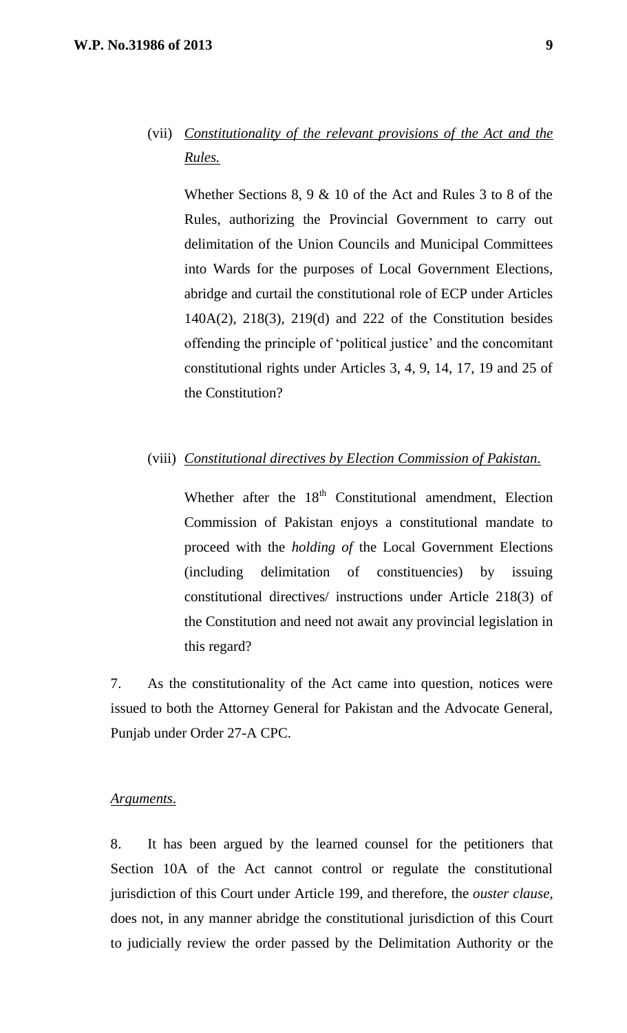(vii) *Constitutionality of the relevant provisions of the Act and the Rules.* 

Whether Sections 8, 9 & 10 of the Act and Rules 3 to 8 of the Rules, authorizing the Provincial Government to carry out delimitation of the Union Councils and Municipal Committees into Wards for the purposes of Local Government Elections, abridge and curtail the constitutional role of ECP under Articles 140A(2), 218(3), 219(d) and 222 of the Constitution besides offending the principle of ‗political justice' and the concomitant constitutional rights under Articles 3, 4, 9, 14, 17, 19 and 25 of the Constitution?

## (viii) *Constitutional directives by Election Commission of Pakistan.*

Whether after the  $18<sup>th</sup>$  Constitutional amendment, Election Commission of Pakistan enjoys a constitutional mandate to proceed with the *holding of* the Local Government Elections (including delimitation of constituencies) by issuing constitutional directives/ instructions under Article 218(3) of the Constitution and need not await any provincial legislation in this regard?

7. As the constitutionality of the Act came into question, notices were issued to both the Attorney General for Pakistan and the Advocate General, Punjab under Order 27-A CPC.

### *Arguments.*

8. It has been argued by the learned counsel for the petitioners that Section 10A of the Act cannot control or regulate the constitutional jurisdiction of this Court under Article 199, and therefore, the *ouster clause,* does not, in any manner abridge the constitutional jurisdiction of this Court to judicially review the order passed by the Delimitation Authority or the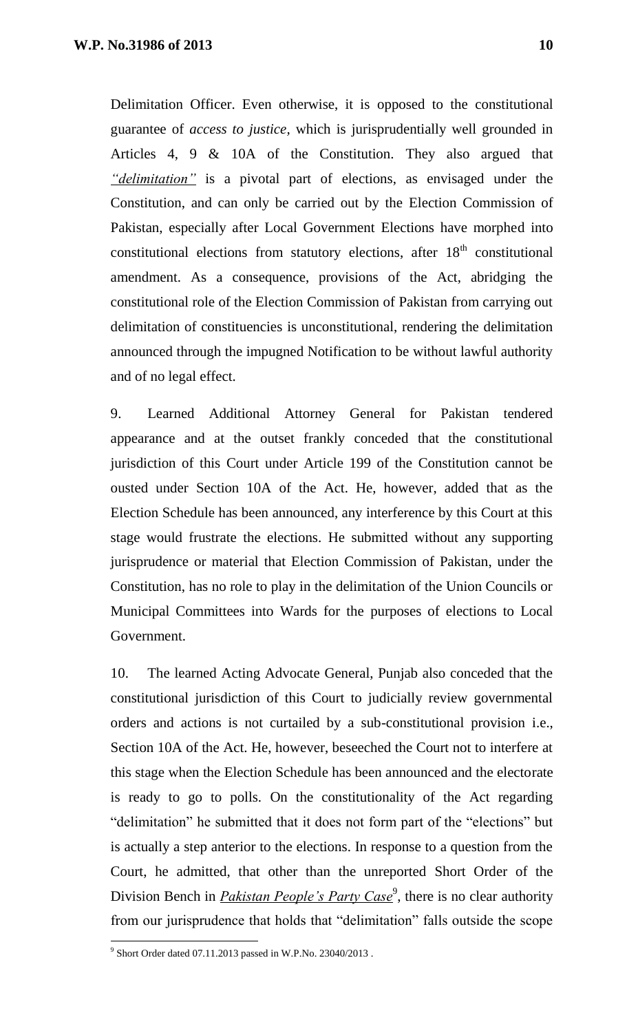Delimitation Officer. Even otherwise, it is opposed to the constitutional guarantee of *access to justice,* which is jurisprudentially well grounded in Articles 4, 9 & 10A of the Constitution. They also argued that *"delimitation"* is a pivotal part of elections, as envisaged under the Constitution, and can only be carried out by the Election Commission of Pakistan, especially after Local Government Elections have morphed into constitutional elections from statutory elections, after  $18<sup>th</sup>$  constitutional amendment. As a consequence, provisions of the Act, abridging the constitutional role of the Election Commission of Pakistan from carrying out delimitation of constituencies is unconstitutional, rendering the delimitation announced through the impugned Notification to be without lawful authority and of no legal effect.

9. Learned Additional Attorney General for Pakistan tendered appearance and at the outset frankly conceded that the constitutional jurisdiction of this Court under Article 199 of the Constitution cannot be ousted under Section 10A of the Act. He, however, added that as the Election Schedule has been announced, any interference by this Court at this stage would frustrate the elections. He submitted without any supporting jurisprudence or material that Election Commission of Pakistan, under the Constitution, has no role to play in the delimitation of the Union Councils or Municipal Committees into Wards for the purposes of elections to Local Government.

10. The learned Acting Advocate General, Punjab also conceded that the constitutional jurisdiction of this Court to judicially review governmental orders and actions is not curtailed by a sub-constitutional provision i.e., Section 10A of the Act. He, however, beseeched the Court not to interfere at this stage when the Election Schedule has been announced and the electorate is ready to go to polls. On the constitutionality of the Act regarding "delimitation" he submitted that it does not form part of the "elections" but is actually a step anterior to the elections. In response to a question from the Court, he admitted, that other than the unreported Short Order of the Division Bench in *Pakistan People's Party Case*<sup>9</sup>, there is no clear authority from our jurisprudence that holds that "delimitation" falls outside the scope

<sup>&</sup>lt;sup>9</sup> Short Order dated 07.11.2013 passed in W.P.No. 23040/2013.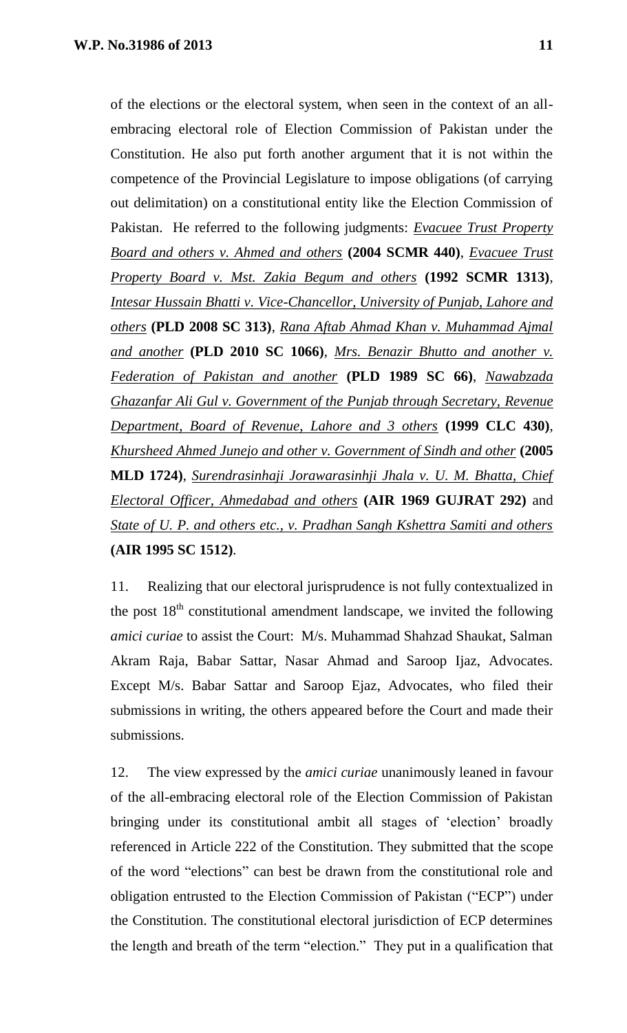of the elections or the electoral system, when seen in the context of an allembracing electoral role of Election Commission of Pakistan under the Constitution. He also put forth another argument that it is not within the competence of the Provincial Legislature to impose obligations (of carrying out delimitation) on a constitutional entity like the Election Commission of Pakistan. He referred to the following judgments: *Evacuee Trust Property Board and others v. Ahmed and others* **(2004 SCMR 440)**, *Evacuee Trust Property Board v. Mst. Zakia Begum and others* **(1992 SCMR 1313)**, *Intesar Hussain Bhatti v. Vice-Chancellor, University of Punjab, Lahore and others* **(PLD 2008 SC 313)**, *Rana Aftab Ahmad Khan v. Muhammad Ajmal and another* **(PLD 2010 SC 1066)**, *Mrs. Benazir Bhutto and another v. Federation of Pakistan and another* **(PLD 1989 SC 66)**, *Nawabzada Ghazanfar Ali Gul v. Government of the Punjab through Secretary, Revenue Department, Board of Revenue, Lahore and 3 others* **(1999 CLC 430)**, *Khursheed Ahmed Junejo and other v. Government of Sindh and other* **(2005 MLD 1724)**, *Surendrasinhaji Jorawarasinhji Jhala v. U. M. Bhatta, Chief Electoral Officer, Ahmedabad and others* **(AIR 1969 GUJRAT 292)** and *State of U. P. and others etc., v. Pradhan Sangh Kshettra Samiti and others* **(AIR 1995 SC 1512)**.

11. Realizing that our electoral jurisprudence is not fully contextualized in the post  $18<sup>th</sup>$  constitutional amendment landscape, we invited the following *amici curiae* to assist the Court: M/s. Muhammad Shahzad Shaukat, Salman Akram Raja, Babar Sattar, Nasar Ahmad and Saroop Ijaz, Advocates. Except M/s. Babar Sattar and Saroop Ejaz, Advocates, who filed their submissions in writing, the others appeared before the Court and made their submissions.

12. The view expressed by the *amici curiae* unanimously leaned in favour of the all-embracing electoral role of the Election Commission of Pakistan bringing under its constitutional ambit all stages of 'election' broadly referenced in Article 222 of the Constitution. They submitted that the scope of the word "elections" can best be drawn from the constitutional role and obligation entrusted to the Election Commission of Pakistan ("ECP") under the Constitution. The constitutional electoral jurisdiction of ECP determines the length and breath of the term "election." They put in a qualification that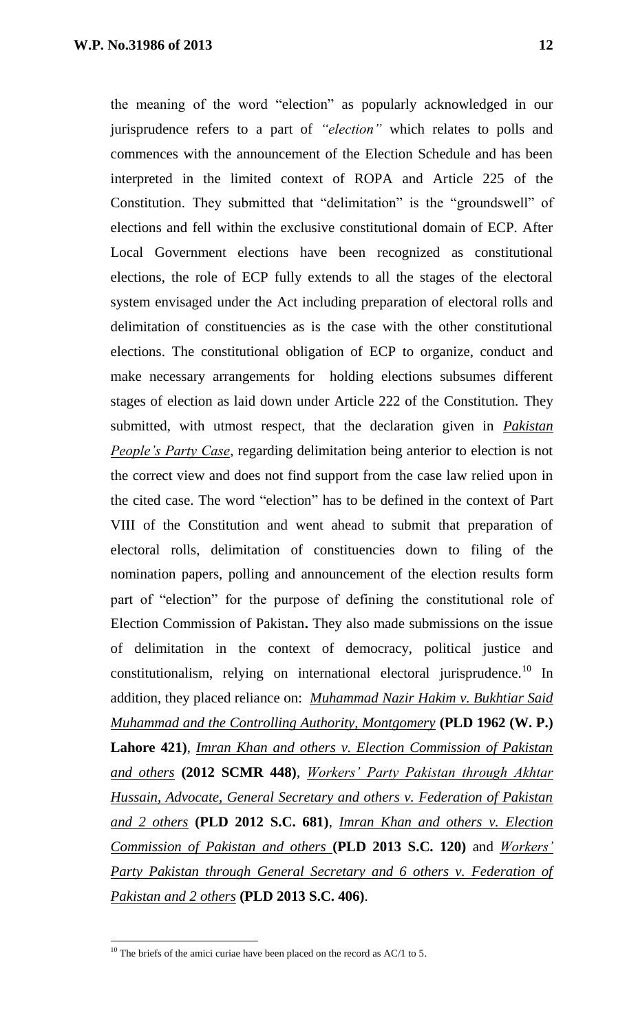the meaning of the word "election" as popularly acknowledged in our jurisprudence refers to a part of *"election"* which relates to polls and commences with the announcement of the Election Schedule and has been interpreted in the limited context of ROPA and Article 225 of the Constitution. They submitted that "delimitation" is the "groundswell" of elections and fell within the exclusive constitutional domain of ECP. After Local Government elections have been recognized as constitutional elections, the role of ECP fully extends to all the stages of the electoral system envisaged under the Act including preparation of electoral rolls and delimitation of constituencies as is the case with the other constitutional elections. The constitutional obligation of ECP to organize, conduct and make necessary arrangements for holding elections subsumes different stages of election as laid down under Article 222 of the Constitution. They submitted, with utmost respect, that the declaration given in *Pakistan People"s Party Case*, regarding delimitation being anterior to election is not the correct view and does not find support from the case law relied upon in the cited case. The word "election" has to be defined in the context of Part VIII of the Constitution and went ahead to submit that preparation of electoral rolls, delimitation of constituencies down to filing of the nomination papers, polling and announcement of the election results form part of "election" for the purpose of defining the constitutional role of Election Commission of Pakistan**.** They also made submissions on the issue of delimitation in the context of democracy, political justice and constitutionalism, relying on international electoral jurisprudence.<sup>10</sup> In addition, they placed reliance on: *Muhammad Nazir Hakim v. Bukhtiar Said Muhammad and the Controlling Authority, Montgomery* **(PLD 1962 (W. P.) Lahore 421)**, *Imran Khan and others v. Election Commission of Pakistan and others* **(2012 SCMR 448)**, *Workers" Party Pakistan through Akhtar Hussain, Advocate, General Secretary and others v. Federation of Pakistan and 2 others* **(PLD 2012 S.C. 681)**, *Imran Khan and others v. Election Commission of Pakistan and others* **(PLD 2013 S.C. 120)** and *Workers" Party Pakistan through General Secretary and 6 others v. Federation of Pakistan and 2 others* **(PLD 2013 S.C. 406)**.

<sup>&</sup>lt;sup>10</sup> The briefs of the amici curiae have been placed on the record as AC/1 to 5.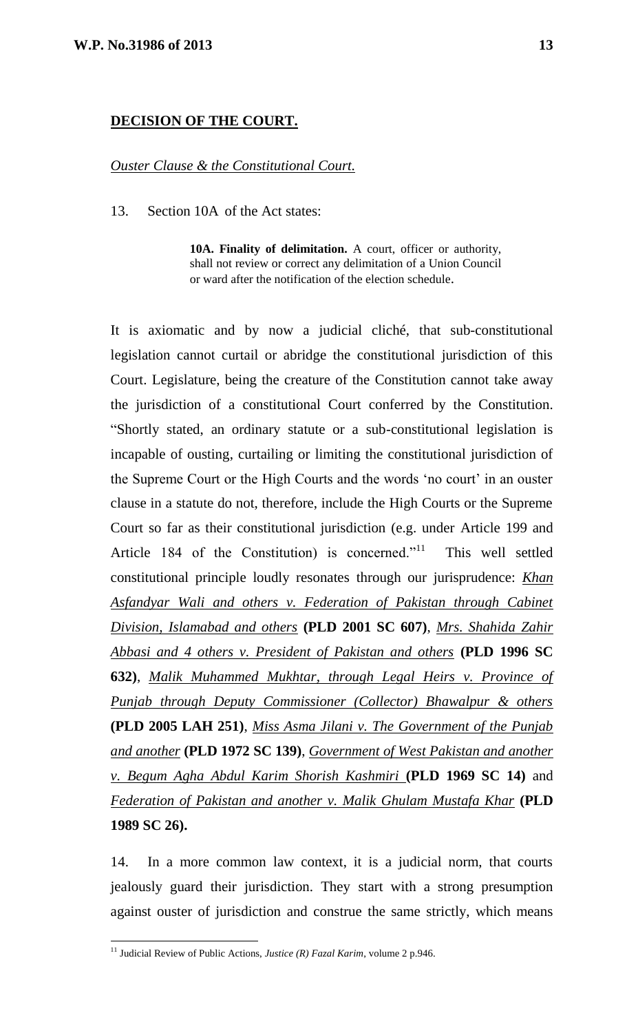#### **DECISION OF THE COURT.**

#### *Ouster Clause & the Constitutional Court.*

13. Section 10A of the Act states:

**10A. Finality of delimitation.** A court, officer or authority, shall not review or correct any delimitation of a Union Council or ward after the notification of the election schedule.

It is axiomatic and by now a judicial cliché, that sub-constitutional legislation cannot curtail or abridge the constitutional jurisdiction of this Court. Legislature, being the creature of the Constitution cannot take away the jurisdiction of a constitutional Court conferred by the Constitution. ―Shortly stated, an ordinary statute or a sub-constitutional legislation is incapable of ousting, curtailing or limiting the constitutional jurisdiction of the Supreme Court or the High Courts and the words ‗no court' in an ouster clause in a statute do not, therefore, include the High Courts or the Supreme Court so far as their constitutional jurisdiction (e.g. under Article 199 and Article 184 of the Constitution) is concerned."<sup>11</sup> This well settled constitutional principle loudly resonates through our jurisprudence: *Khan Asfandyar Wali and others v. Federation of Pakistan through Cabinet Division, Islamabad and others* **(PLD 2001 SC 607)**, *Mrs. Shahida Zahir Abbasi and 4 others v. President of Pakistan and others* **(PLD 1996 SC 632)**, *Malik Muhammed Mukhtar, through Legal Heirs v. Province of Punjab through Deputy Commissioner (Collector) Bhawalpur & others*  **(PLD 2005 LAH 251)**, *Miss Asma Jilani v. The Government of the Punjab and another* **(PLD 1972 SC 139)**, *Government of West Pakistan and another v. Begum Agha Abdul Karim Shorish Kashmiri* **(PLD 1969 SC 14)** and *Federation of Pakistan and another v. Malik Ghulam Mustafa Khar* **(PLD 1989 SC 26).**

14. In a more common law context, it is a judicial norm, that courts jealously guard their jurisdiction. They start with a strong presumption against ouster of jurisdiction and construe the same strictly, which means

<sup>&</sup>lt;sup>11</sup> Judicial Review of Public Actions, *Justice (R) Fazal Karim*, volume 2 p.946.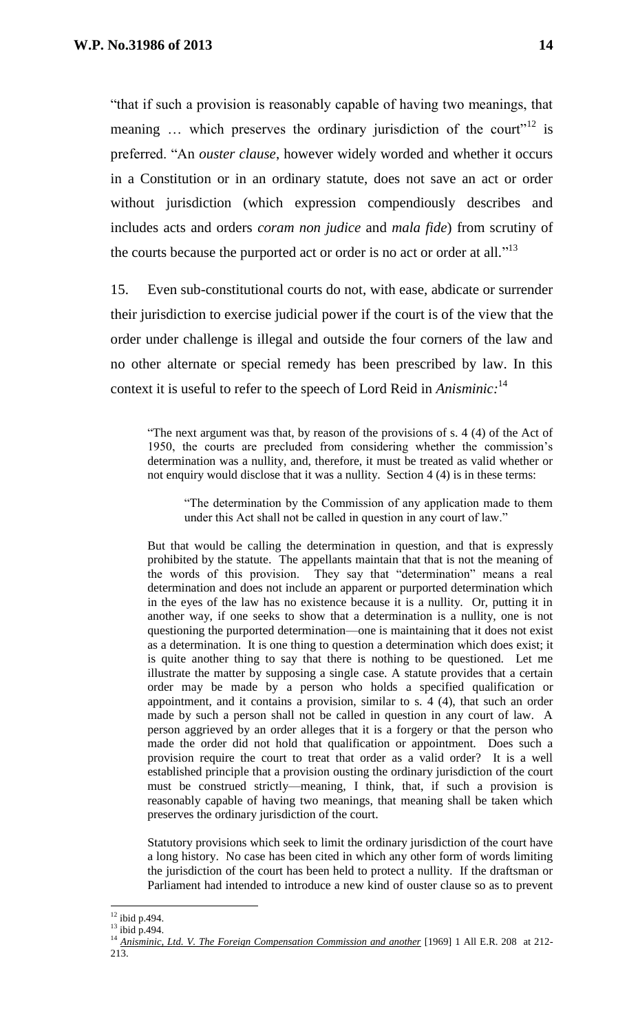"that if such a provision is reasonably capable of having two meanings, that meaning  $\ldots$  which preserves the ordinary jurisdiction of the court<sup> $12$ </sup> is preferred. "An *ouster clause*, however widely worded and whether it occurs in a Constitution or in an ordinary statute, does not save an act or order without jurisdiction (which expression compendiously describes and includes acts and orders *coram non judice* and *mala fide*) from scrutiny of the courts because the purported act or order is no act or order at all." $13$ 

15. Even sub-constitutional courts do not, with ease, abdicate or surrender their jurisdiction to exercise judicial power if the court is of the view that the order under challenge is illegal and outside the four corners of the law and no other alternate or special remedy has been prescribed by law. In this context it is useful to refer to the speech of Lord Reid in *Anisminic:* 14

"The next argument was that, by reason of the provisions of  $s$ . 4 (4) of the Act of 1950, the courts are precluded from considering whether the commission's determination was a nullity, and, therefore, it must be treated as valid whether or not enquiry would disclose that it was a nullity. Section 4 (4) is in these terms:

―The determination by the Commission of any application made to them under this Act shall not be called in question in any court of law."

But that would be calling the determination in question, and that is expressly prohibited by the statute. The appellants maintain that that is not the meaning of the words of this provision. They say that "determination" means a real determination and does not include an apparent or purported determination which in the eyes of the law has no existence because it is a nullity. Or, putting it in another way, if one seeks to show that a determination is a nullity, one is not questioning the purported determination—one is maintaining that it does not exist as a determination. It is one thing to question a determination which does exist; it is quite another thing to say that there is nothing to be questioned. Let me illustrate the matter by supposing a single case. A statute provides that a certain order may be made by a person who holds a specified qualification or appointment, and it contains a provision, similar to s. 4 (4), that such an order made by such a person shall not be called in question in any court of law. A person aggrieved by an order alleges that it is a forgery or that the person who made the order did not hold that qualification or appointment. Does such a provision require the court to treat that order as a valid order? It is a well established principle that a provision ousting the ordinary jurisdiction of the court must be construed strictly—meaning, I think, that, if such a provision is reasonably capable of having two meanings, that meaning shall be taken which preserves the ordinary jurisdiction of the court.

Statutory provisions which seek to limit the ordinary jurisdiction of the court have a long history. No case has been cited in which any other form of words limiting the jurisdiction of the court has been held to protect a nullity. If the draftsman or Parliament had intended to introduce a new kind of ouster clause so as to prevent

 $12$  ibid p.494.

 $13 \text{ ibid } p.494.$ 

<sup>&</sup>lt;sup>14</sup> *Anisminic, Ltd. V. The Foreign Compensation Commission and another* [1969] 1 All E.R. 208 at 212-213.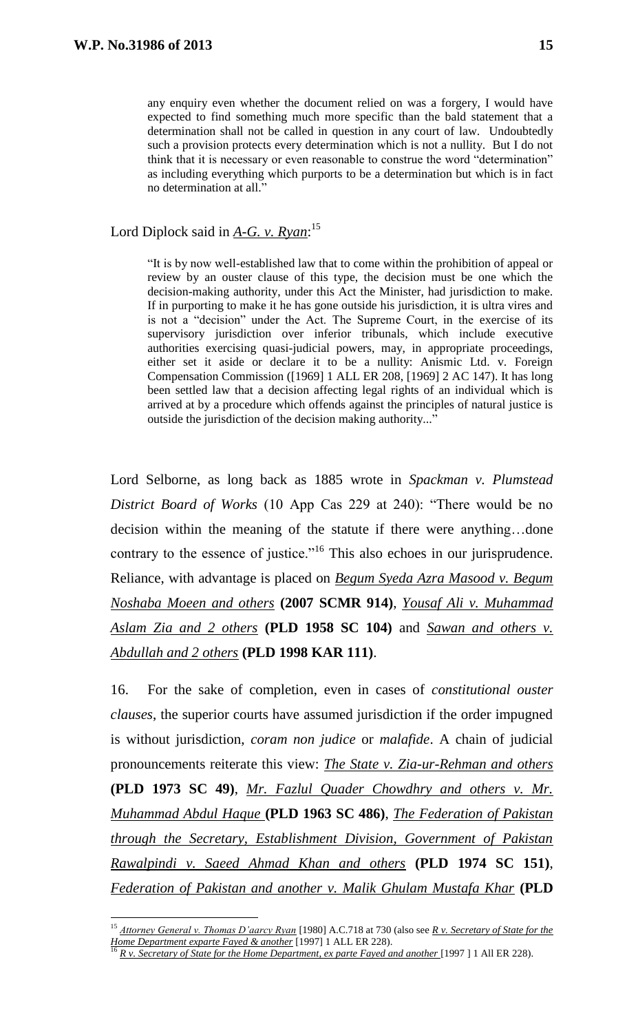any enquiry even whether the document relied on was a forgery, I would have expected to find something much more specific than the bald statement that a determination shall not be called in question in any court of law. Undoubtedly such a provision protects every determination which is not a nullity. But I do not think that it is necessary or even reasonable to construe the word "determination" as including everything which purports to be a determination but which is in fact no determination at all."

Lord Diplock said in *A-G. v. Ryan*: 15

―It is by now well-established law that to come within the prohibition of appeal or review by an ouster clause of this type, the decision must be one which the decision-making authority, under this Act the Minister, had jurisdiction to make. If in purporting to make it he has gone outside his jurisdiction, it is ultra vires and is not a "decision" under the Act. The Supreme Court, in the exercise of its supervisory jurisdiction over inferior tribunals, which include executive authorities exercising quasi-judicial powers, may, in appropriate proceedings, either set it aside or declare it to be a nullity: Anismic Ltd. v. Foreign Compensation Commission ([1969] 1 ALL ER 208, [1969] 2 AC 147). It has long been settled law that a decision affecting legal rights of an individual which is arrived at by a procedure which offends against the principles of natural justice is outside the jurisdiction of the decision making authority...'

Lord Selborne, as long back as 1885 wrote in *Spackman v. Plumstead District Board of Works* (10 App Cas 229 at 240): "There would be no decision within the meaning of the statute if there were anything…done contrary to the essence of justice."<sup>16</sup> This also echoes in our jurisprudence. Reliance, with advantage is placed on *Begum Syeda Azra Masood v. Begum Noshaba Moeen and others* **(2007 SCMR 914)**, *Yousaf Ali v. Muhammad Aslam Zia and 2 others* **(PLD 1958 SC 104)** and *Sawan and others v. Abdullah and 2 others* **(PLD 1998 KAR 111)**.

16. For the sake of completion, even in cases of *constitutional ouster clauses*, the superior courts have assumed jurisdiction if the order impugned is without jurisdiction, *coram non judice* or *malafide*. A chain of judicial pronouncements reiterate this view: *The State v. Zia-ur-Rehman and others* **(PLD 1973 SC 49)**, *Mr. Fazlul Quader Chowdhry and others v. Mr. Muhammad Abdul Haque* **(PLD 1963 SC 486)**, *The Federation of Pakistan through the Secretary, Establishment Division, Government of Pakistan Rawalpindi v. Saeed Ahmad Khan and others* **(PLD 1974 SC 151)**, *Federation of Pakistan and another v. Malik Ghulam Mustafa Khar* **(PLD** 

<sup>15</sup> *Attorney General v. Thomas D"aarcy Ryan* [1980] A.C.718 at 730 (also see *R v. Secretary of State for the Home Department exparte Fayed & another* [1997] 1 ALL ER 228).

<sup>&</sup>lt;sup>16</sup> *R v. Secretary of State for the Home Department, ex parte Fayed and another* [1997] 1 All ER 228).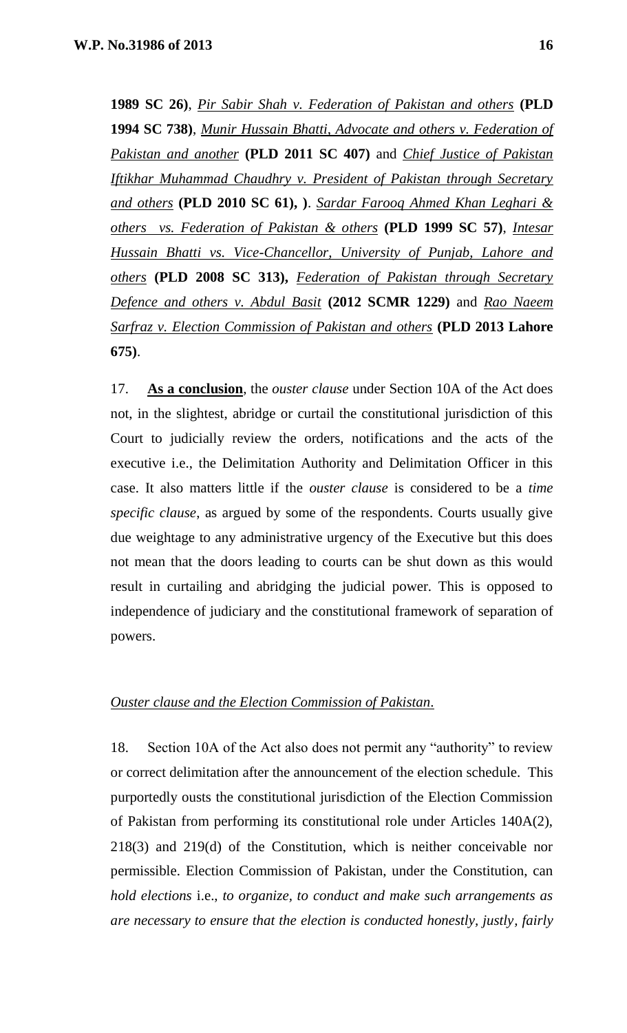**1989 SC 26)**, *Pir Sabir Shah v. Federation of Pakistan and others* **(PLD 1994 SC 738)**, *Munir Hussain Bhatti, Advocate and others v. Federation of Pakistan and another* **(PLD 2011 SC 407)** and *Chief Justice of Pakistan Iftikhar Muhammad Chaudhry v. President of Pakistan through Secretary and others* **(PLD 2010 SC 61), )**. *Sardar Farooq Ahmed Khan Leghari & others vs. Federation of Pakistan & others* **(PLD 1999 SC 57)**, *Intesar Hussain Bhatti vs. Vice-Chancellor, University of Punjab, Lahore and others* **(PLD 2008 SC 313),** *Federation of Pakistan through Secretary Defence and others v. Abdul Basit* **(2012 SCMR 1229)** and *Rao Naeem Sarfraz v. Election Commission of Pakistan and others* **(PLD 2013 Lahore 675)**.

17. **As a conclusion**, the *ouster clause* under Section 10A of the Act does not, in the slightest, abridge or curtail the constitutional jurisdiction of this Court to judicially review the orders, notifications and the acts of the executive i.e., the Delimitation Authority and Delimitation Officer in this case. It also matters little if the *ouster clause* is considered to be a *time specific clause*, as argued by some of the respondents. Courts usually give due weightage to any administrative urgency of the Executive but this does not mean that the doors leading to courts can be shut down as this would result in curtailing and abridging the judicial power. This is opposed to independence of judiciary and the constitutional framework of separation of powers.

## *Ouster clause and the Election Commission of Pakistan.*

18. Section 10A of the Act also does not permit any "authority" to review or correct delimitation after the announcement of the election schedule. This purportedly ousts the constitutional jurisdiction of the Election Commission of Pakistan from performing its constitutional role under Articles 140A(2), 218(3) and 219(d) of the Constitution, which is neither conceivable nor permissible. Election Commission of Pakistan, under the Constitution, can *hold elections* i.e., *to organize, to conduct and make such arrangements as are necessary to ensure that the election is conducted honestly, justly, fairly*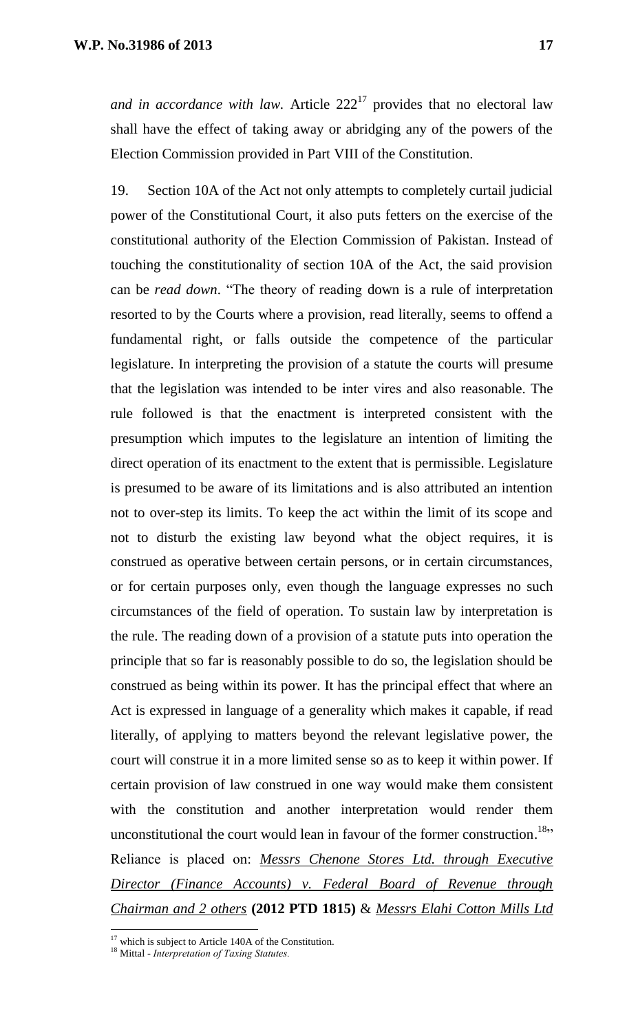*and in accordance with law.* Article  $222^{17}$  provides that no electoral law shall have the effect of taking away or abridging any of the powers of the Election Commission provided in Part VIII of the Constitution.

19. Section 10A of the Act not only attempts to completely curtail judicial power of the Constitutional Court, it also puts fetters on the exercise of the constitutional authority of the Election Commission of Pakistan. Instead of touching the constitutionality of section 10A of the Act, the said provision can be *read down*. "The theory of reading down is a rule of interpretation resorted to by the Courts where a provision, read literally, seems to offend a fundamental right, or falls outside the competence of the particular legislature. In interpreting the provision of a statute the courts will presume that the legislation was intended to be inter vires and also reasonable. The rule followed is that the enactment is interpreted consistent with the presumption which imputes to the legislature an intention of limiting the direct operation of its enactment to the extent that is permissible. Legislature is presumed to be aware of its limitations and is also attributed an intention not to over-step its limits. To keep the act within the limit of its scope and not to disturb the existing law beyond what the object requires, it is construed as operative between certain persons, or in certain circumstances, or for certain purposes only, even though the language expresses no such circumstances of the field of operation. To sustain law by interpretation is the rule. The reading down of a provision of a statute puts into operation the principle that so far is reasonably possible to do so, the legislation should be construed as being within its power. It has the principal effect that where an Act is expressed in language of a generality which makes it capable, if read literally, of applying to matters beyond the relevant legislative power, the court will construe it in a more limited sense so as to keep it within power. If certain provision of law construed in one way would make them consistent with the constitution and another interpretation would render them unconstitutional the court would lean in favour of the former construction.<sup>18</sup> Reliance is placed on: *Messrs Chenone Stores Ltd. through Executive Director (Finance Accounts) v. Federal Board of Revenue through Chairman and 2 others* **(2012 PTD 1815)** & *Messrs Elahi Cotton Mills Ltd* 

 $17$  which is subject to Article 140A of the Constitution.

<sup>18</sup> Mittal - *Interpretation of Taxing Statutes.*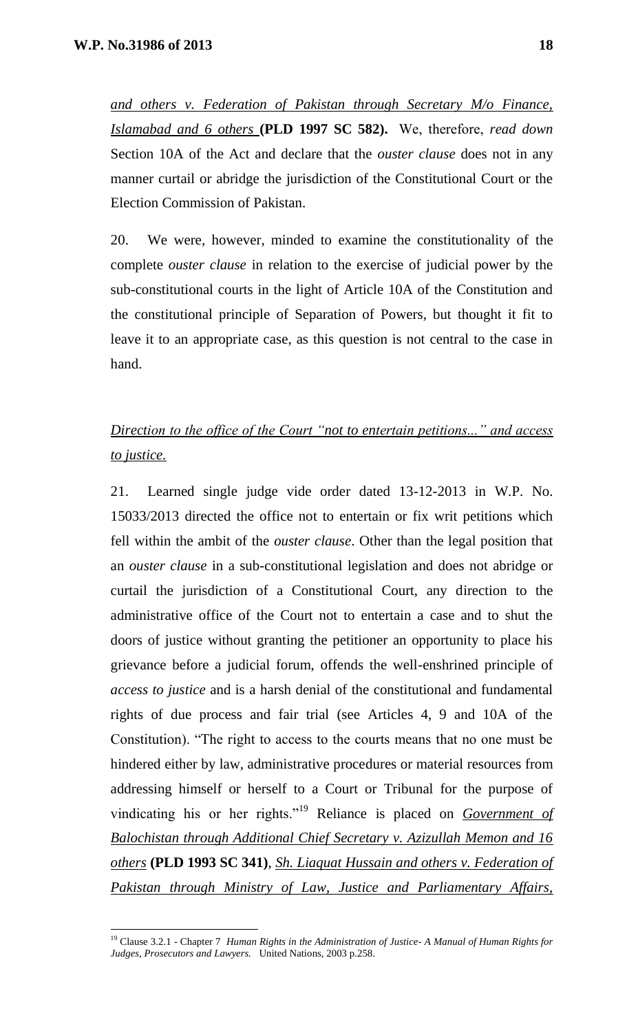*and others v. Federation of Pakistan through Secretary M/o Finance, Islamabad and 6 others* **(PLD 1997 SC 582).** We, therefore, *read down* Section 10A of the Act and declare that the *ouster clause* does not in any manner curtail or abridge the jurisdiction of the Constitutional Court or the Election Commission of Pakistan.

20. We were, however, minded to examine the constitutionality of the complete *ouster clause* in relation to the exercise of judicial power by the sub-constitutional courts in the light of Article 10A of the Constitution and the constitutional principle of Separation of Powers, but thought it fit to leave it to an appropriate case, as this question is not central to the case in hand.

## *Direction to the office of the Court "not to entertain petitions..." and access to justice.*

21. Learned single judge vide order dated 13-12-2013 in W.P. No. 15033/2013 directed the office not to entertain or fix writ petitions which fell within the ambit of the *ouster clause*. Other than the legal position that an *ouster clause* in a sub-constitutional legislation and does not abridge or curtail the jurisdiction of a Constitutional Court, any direction to the administrative office of the Court not to entertain a case and to shut the doors of justice without granting the petitioner an opportunity to place his grievance before a judicial forum, offends the well-enshrined principle of *access to justice* and is a harsh denial of the constitutional and fundamental rights of due process and fair trial (see Articles 4, 9 and 10A of the Constitution). "The right to access to the courts means that no one must be hindered either by law, administrative procedures or material resources from addressing himself or herself to a Court or Tribunal for the purpose of vindicating his or her rights."<sup>19</sup> Reliance is placed on *Government of Balochistan through Additional Chief Secretary v. Azizullah Memon and 16 others* **(PLD 1993 SC 341)**, *Sh. Liaquat Hussain and others v. Federation of Pakistan through Ministry of Law, Justice and Parliamentary Affairs,* 

<sup>19</sup> Clause 3.2.1 - Chapter 7 *Human Rights in the Administration of Justice- A Manual of Human Rights for Judges, Prosecutors and Lawyers.* United Nations, 2003 p.258.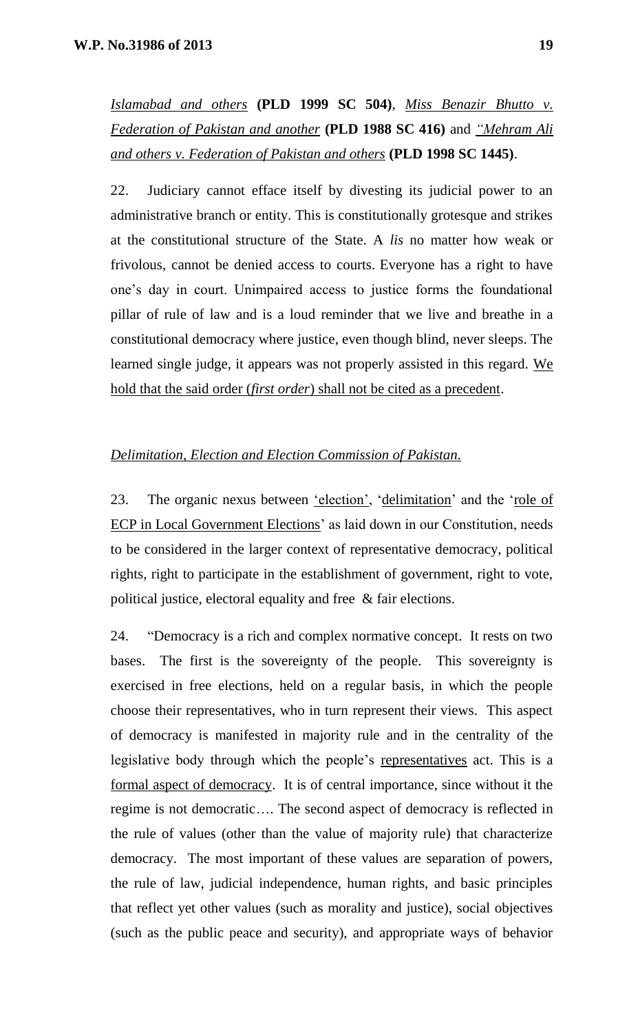*Islamabad and others* **(PLD 1999 SC 504)**, *Miss Benazir Bhutto v. Federation of Pakistan and another* **(PLD 1988 SC 416)** and *"Mehram Ali and others v. Federation of Pakistan and others* **(PLD 1998 SC 1445)**.

22. Judiciary cannot efface itself by divesting its judicial power to an administrative branch or entity. This is constitutionally grotesque and strikes at the constitutional structure of the State. A *lis* no matter how weak or frivolous, cannot be denied access to courts. Everyone has a right to have one's day in court. Unimpaired access to justice forms the foundational pillar of rule of law and is a loud reminder that we live and breathe in a constitutional democracy where justice, even though blind, never sleeps. The learned single judge, it appears was not properly assisted in this regard. We hold that the said order (*first order*) shall not be cited as a precedent.

## *Delimitation, Election and Election Commission of Pakistan.*

23. The organic nexus between 'election', 'delimitation' and the 'role of ECP in Local Government Elections' as laid down in our Constitution, needs to be considered in the larger context of representative democracy, political rights, right to participate in the establishment of government, right to vote, political justice, electoral equality and free & fair elections.

24. "Democracy is a rich and complex normative concept. It rests on two bases. The first is the sovereignty of the people. This sovereignty is exercised in free elections, held on a regular basis, in which the people choose their representatives, who in turn represent their views. This aspect of democracy is manifested in majority rule and in the centrality of the legislative body through which the people's representatives act. This is a formal aspect of democracy. It is of central importance, since without it the regime is not democratic…. The second aspect of democracy is reflected in the rule of values (other than the value of majority rule) that characterize democracy. The most important of these values are separation of powers, the rule of law, judicial independence, human rights, and basic principles that reflect yet other values (such as morality and justice), social objectives (such as the public peace and security), and appropriate ways of behavior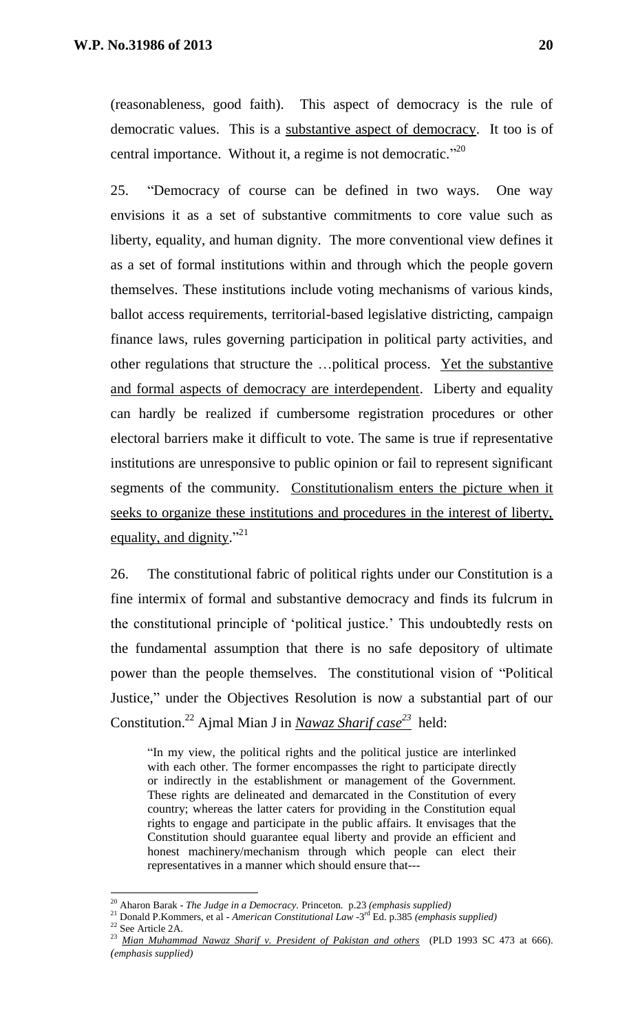25. "Democracy of course can be defined in two ways. One way envisions it as a set of substantive commitments to core value such as liberty, equality, and human dignity. The more conventional view defines it as a set of formal institutions within and through which the people govern themselves. These institutions include voting mechanisms of various kinds, ballot access requirements, territorial-based legislative districting, campaign finance laws, rules governing participation in political party activities, and other regulations that structure the …political process. Yet the substantive and formal aspects of democracy are interdependent. Liberty and equality can hardly be realized if cumbersome registration procedures or other electoral barriers make it difficult to vote. The same is true if representative institutions are unresponsive to public opinion or fail to represent significant segments of the community. Constitutionalism enters the picture when it seeks to organize these institutions and procedures in the interest of liberty, equality, and dignity."<sup>21</sup>

26. The constitutional fabric of political rights under our Constitution is a fine intermix of formal and substantive democracy and finds its fulcrum in the constitutional principle of ‗political justice.' This undoubtedly rests on the fundamental assumption that there is no safe depository of ultimate power than the people themselves. The constitutional vision of "Political" Justice," under the Objectives Resolution is now a substantial part of our Constitution.<sup>22</sup> Ajmal Mian J in *Nawaz Sharif case<sup>23</sup>* held:

"In my view, the political rights and the political justice are interlinked with each other. The former encompasses the right to participate directly or indirectly in the establishment or management of the Government. These rights are delineated and demarcated in the Constitution of every country; whereas the latter caters for providing in the Constitution equal rights to engage and participate in the public affairs. It envisages that the Constitution should guarantee equal liberty and provide an efficient and honest machinery/mechanism through which people can elect their representatives in a manner which should ensure that---

<sup>20</sup> Aharon Barak - *The Judge in a Democracy.* Princeton*.* p.23 *(emphasis supplied)*

<sup>21</sup> Donald P.Kommers, et al *- American Constitutional Law* -3 rd Ed. p.385 *(emphasis supplied)* <sup>22</sup> See Article 2A.

<sup>23</sup> *Mian Muhammad Nawaz Sharif v. President of Pakistan and others* (PLD 1993 SC 473 at 666). *(emphasis supplied)*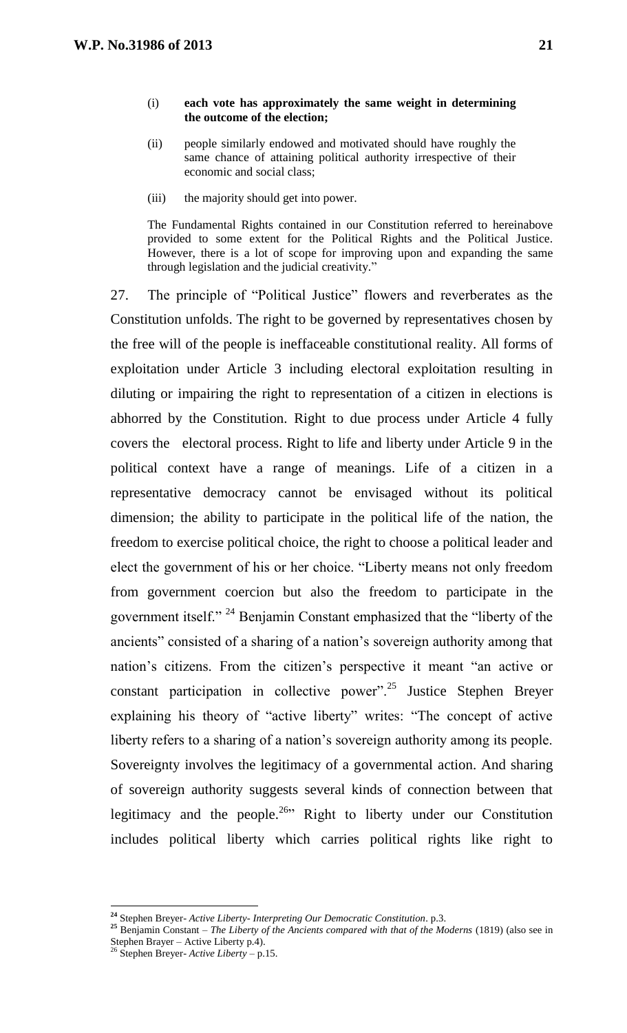#### (i) **each vote has approximately the same weight in determining the outcome of the election;**

- (ii) people similarly endowed and motivated should have roughly the same chance of attaining political authority irrespective of their economic and social class;
- (iii) the majority should get into power.

The Fundamental Rights contained in our Constitution referred to hereinabove provided to some extent for the Political Rights and the Political Justice. However, there is a lot of scope for improving upon and expanding the same through legislation and the judicial creativity."

27. The principle of "Political Justice" flowers and reverberates as the Constitution unfolds. The right to be governed by representatives chosen by the free will of the people is ineffaceable constitutional reality. All forms of exploitation under Article 3 including electoral exploitation resulting in diluting or impairing the right to representation of a citizen in elections is abhorred by the Constitution. Right to due process under Article 4 fully covers the electoral process. Right to life and liberty under Article 9 in the political context have a range of meanings. Life of a citizen in a representative democracy cannot be envisaged without its political dimension; the ability to participate in the political life of the nation, the freedom to exercise political choice, the right to choose a political leader and elect the government of his or her choice. "Liberty means not only freedom from government coercion but also the freedom to participate in the government itself." <sup>24</sup> Benjamin Constant emphasized that the "liberty of the ancients" consisted of a sharing of a nation's sovereign authority among that nation's citizens. From the citizen's perspective it meant "an active or constant participation in collective power".<sup>25</sup> Justice Stephen Breyer explaining his theory of "active liberty" writes: "The concept of active liberty refers to a sharing of a nation's sovereign authority among its people. Sovereignty involves the legitimacy of a governmental action. And sharing of sovereign authority suggests several kinds of connection between that legitimacy and the people.<sup>26</sup><sup>26</sup> Right to liberty under our Constitution includes political liberty which carries political rights like right to

**<sup>24</sup>** Stephen Breyer- *Active Liberty- Interpreting Our Democratic Constitution*. p.3.

**<sup>25</sup>** Benjamin Constant – *The Liberty of the Ancients compared with that of the Moderns* (1819) (also see in Stephen Brayer – Active Liberty p.4).

<sup>26</sup> Stephen Breyer- *Active Liberty* – p.15.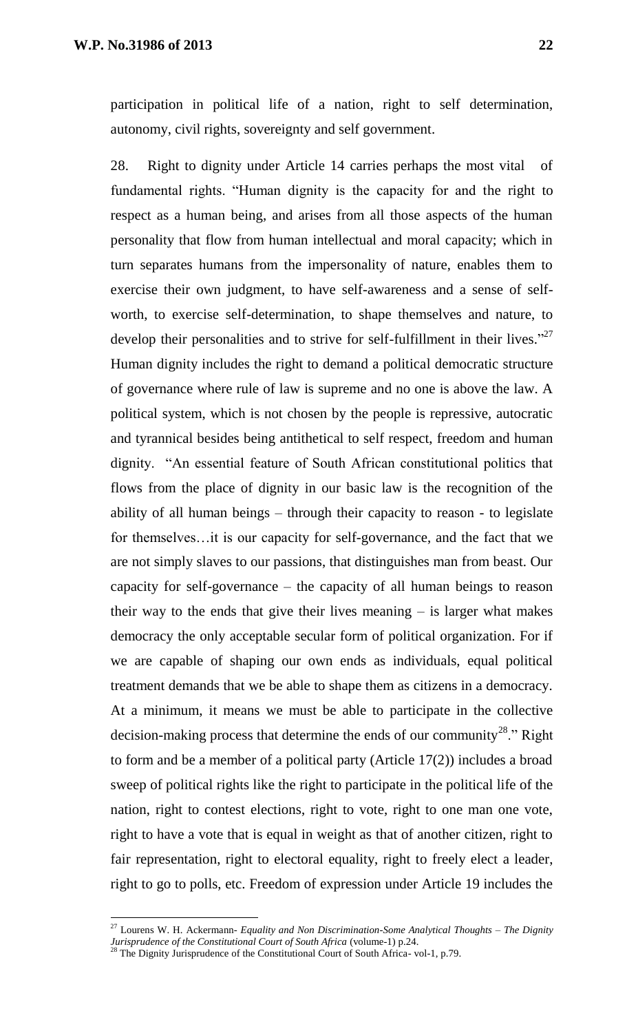participation in political life of a nation, right to self determination, autonomy, civil rights, sovereignty and self government.

28. Right to dignity under Article 14 carries perhaps the most vital of fundamental rights. "Human dignity is the capacity for and the right to respect as a human being, and arises from all those aspects of the human personality that flow from human intellectual and moral capacity; which in turn separates humans from the impersonality of nature, enables them to exercise their own judgment, to have self-awareness and a sense of selfworth, to exercise self-determination, to shape themselves and nature, to develop their personalities and to strive for self-fulfillment in their lives." $27$ Human dignity includes the right to demand a political democratic structure of governance where rule of law is supreme and no one is above the law. A political system, which is not chosen by the people is repressive, autocratic and tyrannical besides being antithetical to self respect, freedom and human dignity. "An essential feature of South African constitutional politics that flows from the place of dignity in our basic law is the recognition of the ability of all human beings – through their capacity to reason - to legislate for themselves…it is our capacity for self-governance, and the fact that we are not simply slaves to our passions, that distinguishes man from beast. Our capacity for self-governance – the capacity of all human beings to reason their way to the ends that give their lives meaning  $-$  is larger what makes democracy the only acceptable secular form of political organization. For if we are capable of shaping our own ends as individuals, equal political treatment demands that we be able to shape them as citizens in a democracy. At a minimum, it means we must be able to participate in the collective decision-making process that determine the ends of our community<sup>28</sup>." Right to form and be a member of a political party (Article 17(2)) includes a broad sweep of political rights like the right to participate in the political life of the nation, right to contest elections, right to vote, right to one man one vote, right to have a vote that is equal in weight as that of another citizen, right to fair representation, right to electoral equality, right to freely elect a leader, right to go to polls, etc. Freedom of expression under Article 19 includes the

<sup>27</sup> Lourens W. H. Ackermann- *Equality and Non Discrimination-Some Analytical Thoughts – The Dignity*  Jurisprudence of the Constitutional Court of South Africa (volume-1) p.24.

 $^{28}$  The Dignity Jurisprudence of the Constitutional Court of South Africa- vol-1, p.79.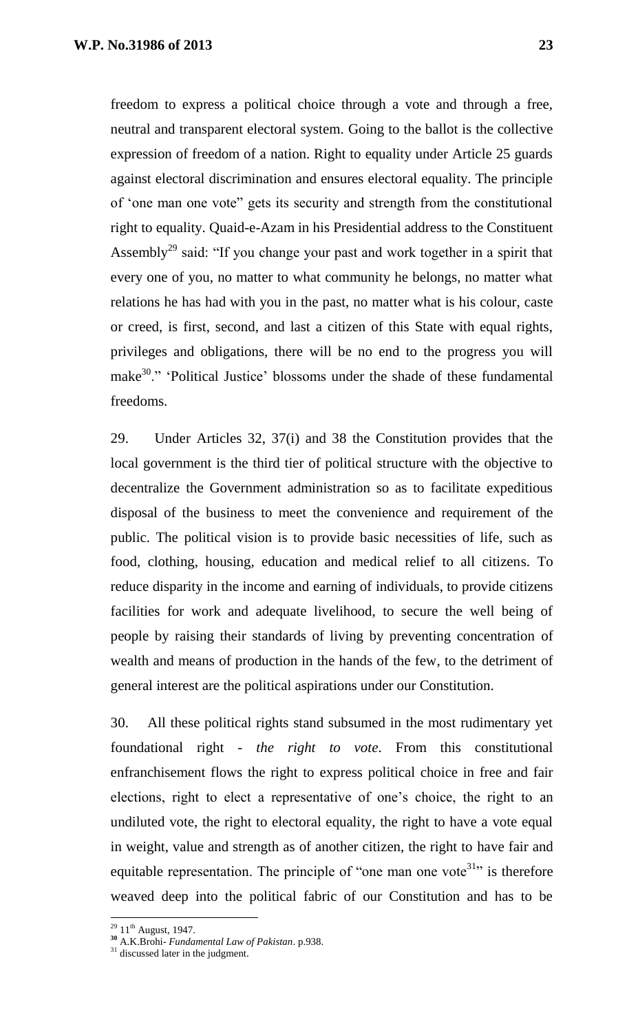freedom to express a political choice through a vote and through a free, neutral and transparent electoral system. Going to the ballot is the collective expression of freedom of a nation. Right to equality under Article 25 guards against electoral discrimination and ensures electoral equality. The principle of 'one man one vote'' gets its security and strength from the constitutional right to equality. Quaid-e-Azam in his Presidential address to the Constituent Assembly<sup>29</sup> said: "If you change your past and work together in a spirit that every one of you, no matter to what community he belongs, no matter what relations he has had with you in the past, no matter what is his colour, caste or creed, is first, second, and last a citizen of this State with equal rights, privileges and obligations, there will be no end to the progress you will make<sup>30</sup>." 'Political Justice' blossoms under the shade of these fundamental freedoms.

29. Under Articles 32, 37(i) and 38 the Constitution provides that the local government is the third tier of political structure with the objective to decentralize the Government administration so as to facilitate expeditious disposal of the business to meet the convenience and requirement of the public. The political vision is to provide basic necessities of life, such as food, clothing, housing, education and medical relief to all citizens. To reduce disparity in the income and earning of individuals, to provide citizens facilities for work and adequate livelihood, to secure the well being of people by raising their standards of living by preventing concentration of wealth and means of production in the hands of the few, to the detriment of general interest are the political aspirations under our Constitution.

30. All these political rights stand subsumed in the most rudimentary yet foundational right - *the right to vote*. From this constitutional enfranchisement flows the right to express political choice in free and fair elections, right to elect a representative of one's choice, the right to an undiluted vote, the right to electoral equality, the right to have a vote equal in weight, value and strength as of another citizen, the right to have fair and equitable representation. The principle of "one man one vote<sup>31</sup>" is therefore weaved deep into the political fabric of our Constitution and has to be

 $^{29}$  11<sup>th</sup> August, 1947.

**<sup>30</sup>** A.K.Brohi- *Fundamental Law of Pakistan*. p.938.

 $31$  discussed later in the judgment.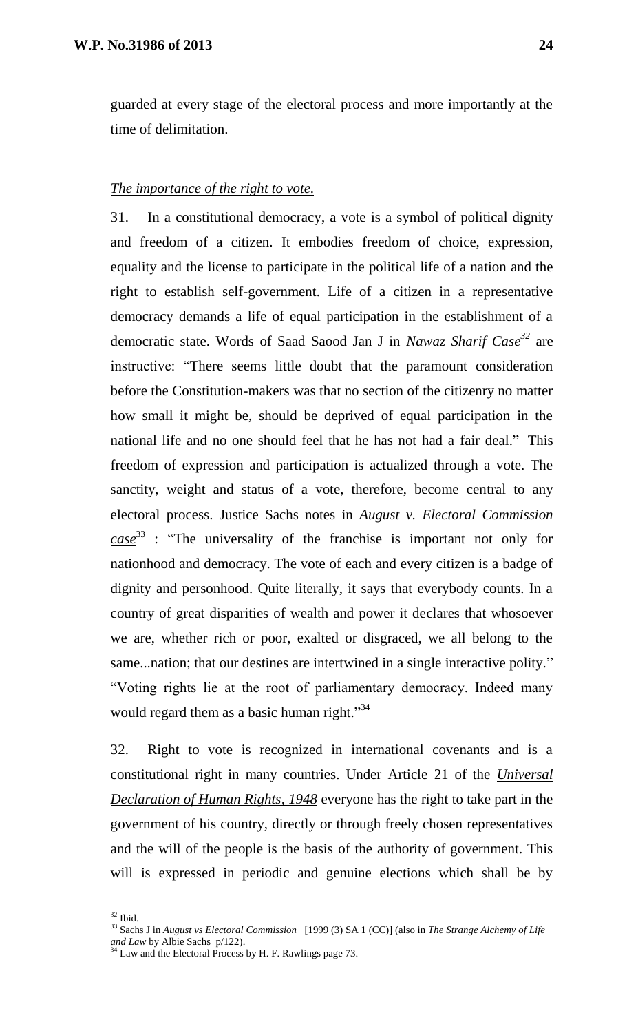## *The importance of the right to vote.*

31. In a constitutional democracy, a vote is a symbol of political dignity and freedom of a citizen. It embodies freedom of choice, expression, equality and the license to participate in the political life of a nation and the right to establish self-government. Life of a citizen in a representative democracy demands a life of equal participation in the establishment of a democratic state. Words of Saad Saood Jan J in *Nawaz Sharif Case<sup>32</sup>* are instructive: "There seems little doubt that the paramount consideration before the Constitution-makers was that no section of the citizenry no matter how small it might be, should be deprived of equal participation in the national life and no one should feel that he has not had a fair deal." This freedom of expression and participation is actualized through a vote. The sanctity, weight and status of a vote, therefore, become central to any electoral process. Justice Sachs notes in *August v. Electoral Commission*  $\frac{case^{33}}{6}$ : "The universality of the franchise is important not only for nationhood and democracy. The vote of each and every citizen is a badge of dignity and personhood. Quite literally, it says that everybody counts. In a country of great disparities of wealth and power it declares that whosoever we are, whether rich or poor, exalted or disgraced, we all belong to the same...nation; that our destines are intertwined in a single interactive polity." ―Voting rights lie at the root of parliamentary democracy. Indeed many would regard them as a basic human right." $34$ 

32. Right to vote is recognized in international covenants and is a constitutional right in many countries. Under Article 21 of the *Universal Declaration of Human Rights, 1948* everyone has the right to take part in the government of his country, directly or through freely chosen representatives and the will of the people is the basis of the authority of government. This will is expressed in periodic and genuine elections which shall be by

 $32$  Ibid.

<sup>33</sup> Sachs J in *August vs Electoral Commission* [1999 (3) SA 1 (CC)] (also in *The Strange Alchemy of Life and Law* by Albie Sachs p/122).

 $34$  Law and the Electoral Process by H. F. Rawlings page 73.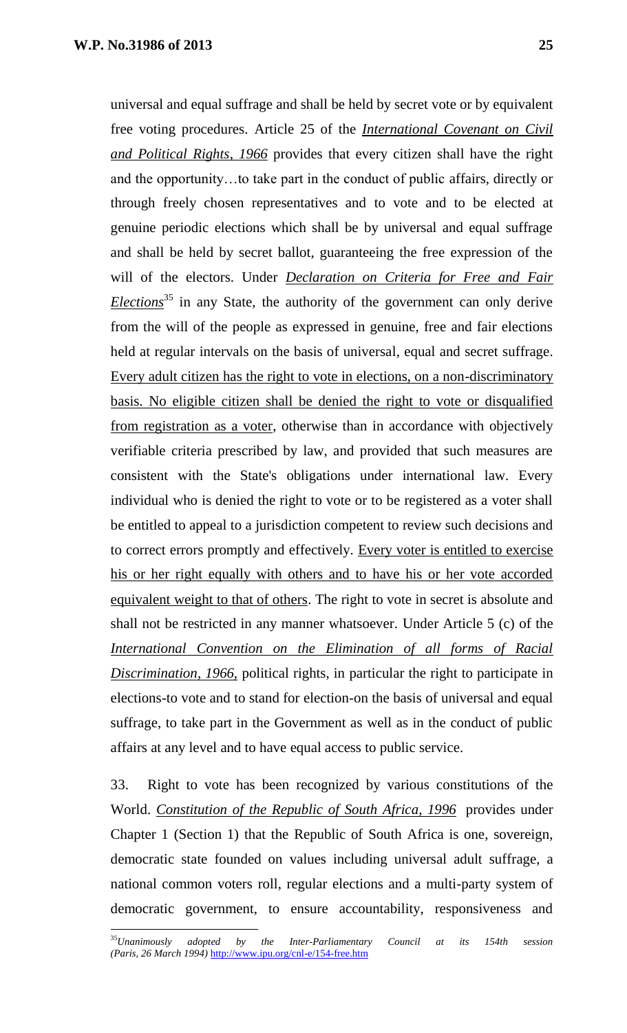universal and equal suffrage and shall be held by secret vote or by equivalent free voting procedures. Article 25 of the *International Covenant on Civil and Political Rights, 1966* provides that every citizen shall have the right and the opportunity…to take part in the conduct of public affairs, directly or through freely chosen representatives and to vote and to be elected at genuine periodic elections which shall be by universal and equal suffrage and shall be held by secret ballot, guaranteeing the free expression of the will of the electors. Under *Declaration on Criteria for Free and Fair Elections*<sup>35</sup> in any State, the authority of the government can only derive from the will of the people as expressed in genuine, free and fair elections held at regular intervals on the basis of universal, equal and secret suffrage. Every adult citizen has the right to vote in elections, on a non-discriminatory basis. No eligible citizen shall be denied the right to vote or disqualified from registration as a voter, otherwise than in accordance with objectively verifiable criteria prescribed by law, and provided that such measures are consistent with the State's obligations under international law. Every individual who is denied the right to vote or to be registered as a voter shall be entitled to appeal to a jurisdiction competent to review such decisions and to correct errors promptly and effectively. Every voter is entitled to exercise his or her right equally with others and to have his or her vote accorded equivalent weight to that of others. The right to vote in secret is absolute and shall not be restricted in any manner whatsoever. Under Article 5 (c) of the *International Convention on the Elimination of all forms of Racial Discrimination, 1966,* political rights, in particular the right to participate in elections-to vote and to stand for election-on the basis of universal and equal suffrage, to take part in the Government as well as in the conduct of public affairs at any level and to have equal access to public service.

33. Right to vote has been recognized by various constitutions of the World. *Constitution of the Republic of South Africa, 1996* provides under Chapter 1 (Section 1) that the Republic of South Africa is one, sovereign, democratic state founded on values including universal adult suffrage, a national common voters roll, regular elections and a multi-party system of democratic government, to ensure accountability, responsiveness and

<sup>&</sup>lt;sup>35</sup>Unanimously <sup>35</sup>*Unanimously adopted by the Inter-Parliamentary Council at its 154th session (Paris, 26 March 1994)* <http://www.ipu.org/cnl-e/154-free.htm>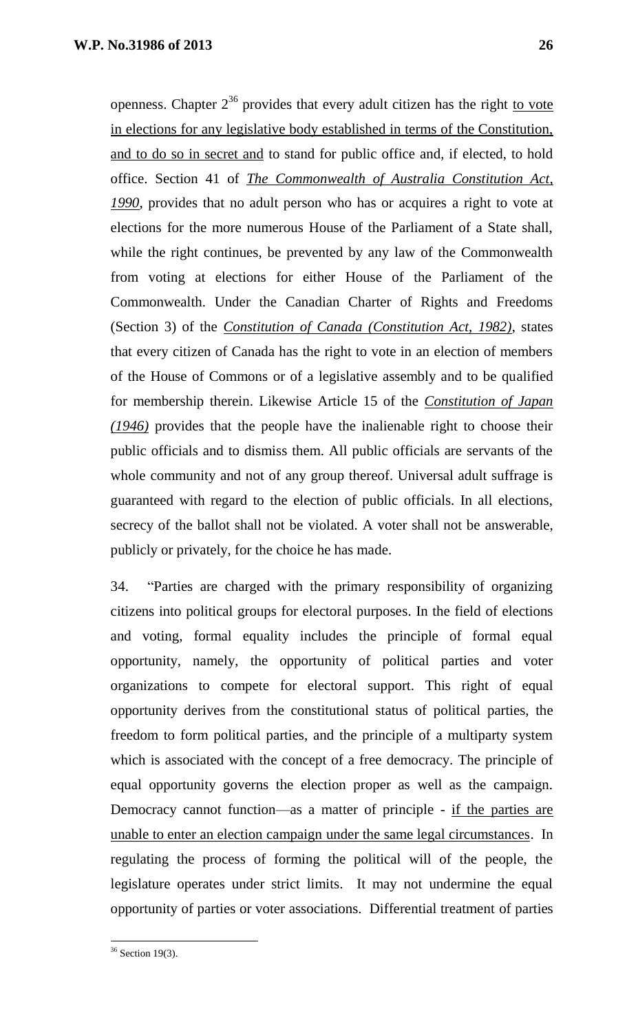openness. Chapter  $2^{36}$  provides that every adult citizen has the right to vote in elections for any legislative body established in terms of the Constitution, and to do so in secret and to stand for public office and, if elected, to hold office. Section 41 of *The Commonwealth of Australia Constitution Act, 1990*, provides that no adult person who has or acquires a right to vote at elections for the more numerous House of the Parliament of a State shall, while the right continues, be prevented by any law of the Commonwealth from voting at elections for either House of the Parliament of the Commonwealth. Under the Canadian Charter of Rights and Freedoms (Section 3) of the *Constitution of Canada (Constitution Act, 1982)*, states that every citizen of Canada has the right to vote in an election of members of the House of Commons or of a legislative assembly and to be qualified for membership therein. Likewise Article 15 of the *Constitution of Japan (1946)* provides that the people have the inalienable right to choose their public officials and to dismiss them. All public officials are servants of the whole community and not of any group thereof. Universal adult suffrage is guaranteed with regard to the election of public officials. In all elections, secrecy of the ballot shall not be violated. A voter shall not be answerable, publicly or privately, for the choice he has made.

34. "Parties are charged with the primary responsibility of organizing citizens into political groups for electoral purposes. In the field of elections and voting, formal equality includes the principle of formal equal opportunity, namely, the opportunity of political parties and voter organizations to compete for electoral support. This right of equal opportunity derives from the constitutional status of political parties, the freedom to form political parties, and the principle of a multiparty system which is associated with the concept of a free democracy. The principle of equal opportunity governs the election proper as well as the campaign. Democracy cannot function—as a matter of principle - if the parties are unable to enter an election campaign under the same legal circumstances. In regulating the process of forming the political will of the people, the legislature operates under strict limits. It may not undermine the equal opportunity of parties or voter associations. Differential treatment of parties

 $36$  Section 19(3).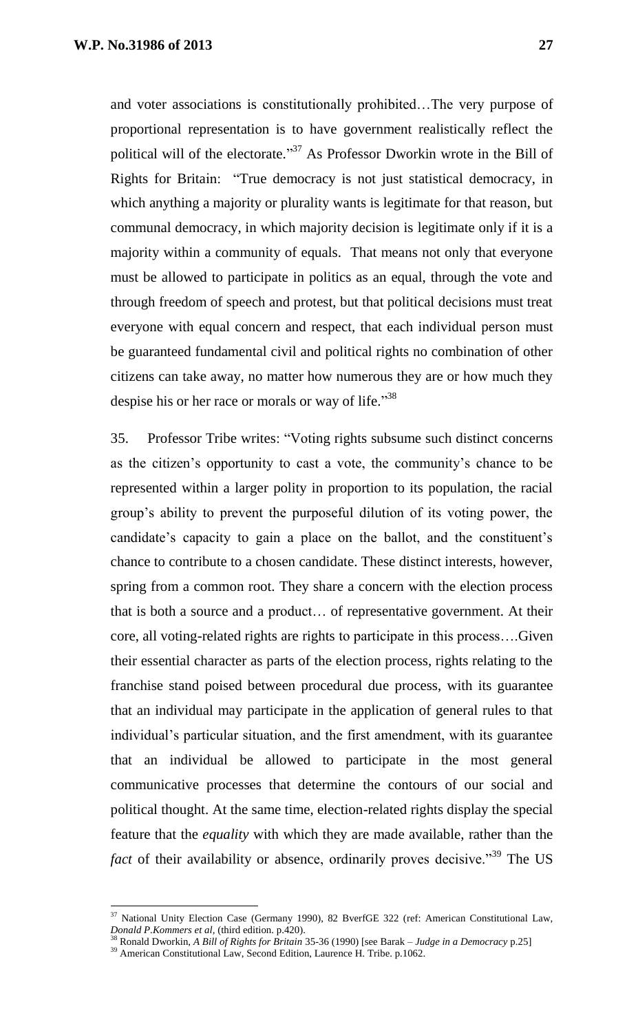and voter associations is constitutionally prohibited…The very purpose of proportional representation is to have government realistically reflect the political will of the electorate."<sup>37</sup> As Professor Dworkin wrote in the Bill of Rights for Britain: "True democracy is not just statistical democracy, in which anything a majority or plurality wants is legitimate for that reason, but communal democracy, in which majority decision is legitimate only if it is a majority within a community of equals. That means not only that everyone must be allowed to participate in politics as an equal, through the vote and through freedom of speech and protest, but that political decisions must treat everyone with equal concern and respect, that each individual person must be guaranteed fundamental civil and political rights no combination of other citizens can take away, no matter how numerous they are or how much they despise his or her race or morals or way of life."<sup>38</sup>

35. Professor Tribe writes: "Voting rights subsume such distinct concerns as the citizen's opportunity to cast a vote, the community's chance to be represented within a larger polity in proportion to its population, the racial group's ability to prevent the purposeful dilution of its voting power, the candidate's capacity to gain a place on the ballot, and the constituent's chance to contribute to a chosen candidate. These distinct interests, however, spring from a common root. They share a concern with the election process that is both a source and a product… of representative government. At their core, all voting-related rights are rights to participate in this process….Given their essential character as parts of the election process, rights relating to the franchise stand poised between procedural due process, with its guarantee that an individual may participate in the application of general rules to that individual's particular situation, and the first amendment, with its guarantee that an individual be allowed to participate in the most general communicative processes that determine the contours of our social and political thought. At the same time, election-related rights display the special feature that the *equality* with which they are made available, rather than the *fact* of their availability or absence, ordinarily proves decisive.<sup>39</sup> The US

<sup>&</sup>lt;sup>37</sup> National Unity Election Case (Germany 1990), 82 BverfGE 322 (ref: American Constitutional Law, *Donald P.Kommers et al,* (third edition. p.420).

<sup>38</sup> Ronald Dworkin, *A Bill of Rights for Britain* 35-36 (1990) [see Barak – *Judge in a Democracy* p.25]

<sup>&</sup>lt;sup>39</sup> American Constitutional Law, Second Edition, Laurence H. Tribe. p.1062.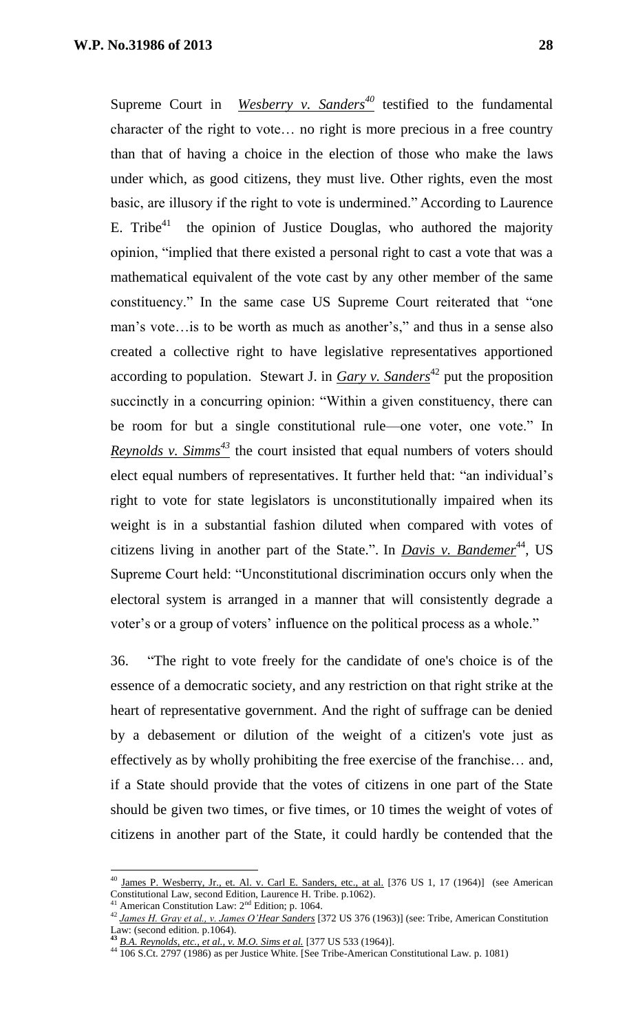Supreme Court in *Wesberry v. Sanders<sup>40</sup>* testified to the fundamental character of the right to vote… no right is more precious in a free country than that of having a choice in the election of those who make the laws under which, as good citizens, they must live. Other rights, even the most basic, are illusory if the right to vote is undermined." According to Laurence E. Tribe $41$  the opinion of Justice Douglas, who authored the majority opinion, "implied that there existed a personal right to cast a vote that was a mathematical equivalent of the vote cast by any other member of the same constituency." In the same case US Supreme Court reiterated that "one man's vote... is to be worth as much as another's," and thus in a sense also created a collective right to have legislative representatives apportioned according to population. Stewart J. in *Gary v. Sanders*<sup>42</sup> put the proposition succinctly in a concurring opinion: "Within a given constituency, there can be room for but a single constitutional rule—one voter, one vote." In *Reynolds v. Simms<sup>43</sup>* the court insisted that equal numbers of voters should elect equal numbers of representatives. It further held that: "an individual's right to vote for state legislators is unconstitutionally impaired when its weight is in a substantial fashion diluted when compared with votes of citizens living in another part of the State.". In *Davis v. Bandemer*<sup>44</sup>, US Supreme Court held: "Unconstitutional discrimination occurs only when the electoral system is arranged in a manner that will consistently degrade a voter's or a group of voters' influence on the political process as a whole."

36. ―The right to vote freely for the candidate of one's choice is of the essence of a democratic society, and any restriction on that right strike at the heart of representative government. And the right of suffrage can be denied by a debasement or dilution of the weight of a citizen's vote just as effectively as by wholly prohibiting the free exercise of the franchise… and, if a State should provide that the votes of citizens in one part of the State should be given two times, or five times, or 10 times the weight of votes of citizens in another part of the State, it could hardly be contended that the

<sup>&</sup>lt;sup>40</sup> James P. Wesberry, Jr., et. Al. v. Carl E. Sanders, etc., at al. [376 US 1, 17 (1964)] (see American Constitutional Law, second Edition, Laurence H. Tribe. p.1062). American Constitution Law: 2<sup>nd</sup> Edition; p. 1064.

<sup>42</sup> *James H. Gray et al., v. James O"Hear Sanders* [372 US 376 (1963)] (see: Tribe, American Constitution Law: (second edition. p.1064).

**<sup>43</sup>** *B.A. Reynolds, etc., et al., v. M.O. Sims et al.* [377 US 533 (1964)].

<sup>44</sup> 106 S.Ct. 2797 (1986) as per Justice White. [See Tribe-American Constitutional Law. p. 1081)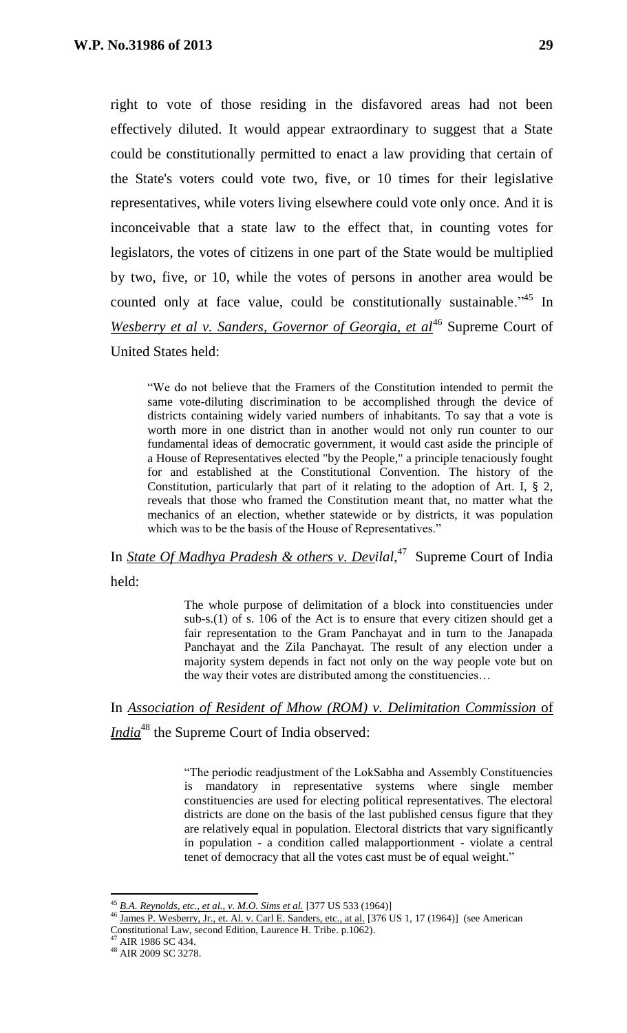right to vote of those residing in the disfavored areas had not been effectively diluted. It would appear extraordinary to suggest that a State could be constitutionally permitted to enact a law providing that certain of the State's voters could vote two, five, or 10 times for their legislative representatives, while voters living elsewhere could vote only once. And it is inconceivable that a state law to the effect that, in counting votes for legislators, the votes of citizens in one part of the State would be multiplied by two, five, or 10, while the votes of persons in another area would be counted only at face value, could be constitutionally sustainable.<sup> $,45$ </sup> In *Wesberry et al v. Sanders, Governor of Georgia, et al*<sup>46</sup> Supreme Court of

United States held:

―We do not believe that the Framers of the Constitution intended to permit the same vote-diluting discrimination to be accomplished through the device of districts containing widely varied numbers of inhabitants. To say that a vote is worth more in one district than in another would not only run counter to our fundamental ideas of democratic government, it would cast aside the principle of a House of Representatives elected "by the People," a principle tenaciously fought for and established at the Constitutional Convention. The history of the Constitution, particularly that part of it relating to the adoption of Art. I, § 2, reveals that those who framed the Constitution meant that, no matter what the mechanics of an election, whether statewide or by districts, it was population which was to be the basis of the House of Representatives."

In *State Of Madhya Pradesh & others v. Devilal*, 47 Supreme Court of India held:

> The whole purpose of delimitation of a block into constituencies under sub-s.(1) of s. 106 of the Act is to ensure that every citizen should get a fair representation to the Gram Panchayat and in turn to the Janapada Panchayat and the Zila Panchayat. The result of any election under a majority system depends in fact not only on the way people vote but on the way their votes are distributed among the constituencies…

## In *Association of Resident of Mhow (ROM) v. Delimitation Commission* of *India*<sup>48</sup> the Supreme Court of India observed:

―The periodic readjustment of the LokSabha and Assembly Constituencies is mandatory in representative systems where single member constituencies are used for electing political representatives. The electoral districts are done on the basis of the last published census figure that they are relatively equal in population. Electoral districts that vary significantly in population - a condition called malapportionment - violate a central tenet of democracy that all the votes cast must be of equal weight."

<sup>45</sup> *B.A. Reynolds, etc., et al., v. M.O. Sims et al.* [377 US 533 (1964)]

 $^{46}$  James P. Wesberry, Jr., et. Al. v. Carl E. Sanders, etc., at al. [376 US 1, 17 (1964)] (see American Constitutional Law, second Edition, Laurence H. Tribe. p.1062).

<sup>&</sup>lt;sup>47</sup> AIR 1986 SC 434.

<sup>48</sup> AIR 2009 SC 3278.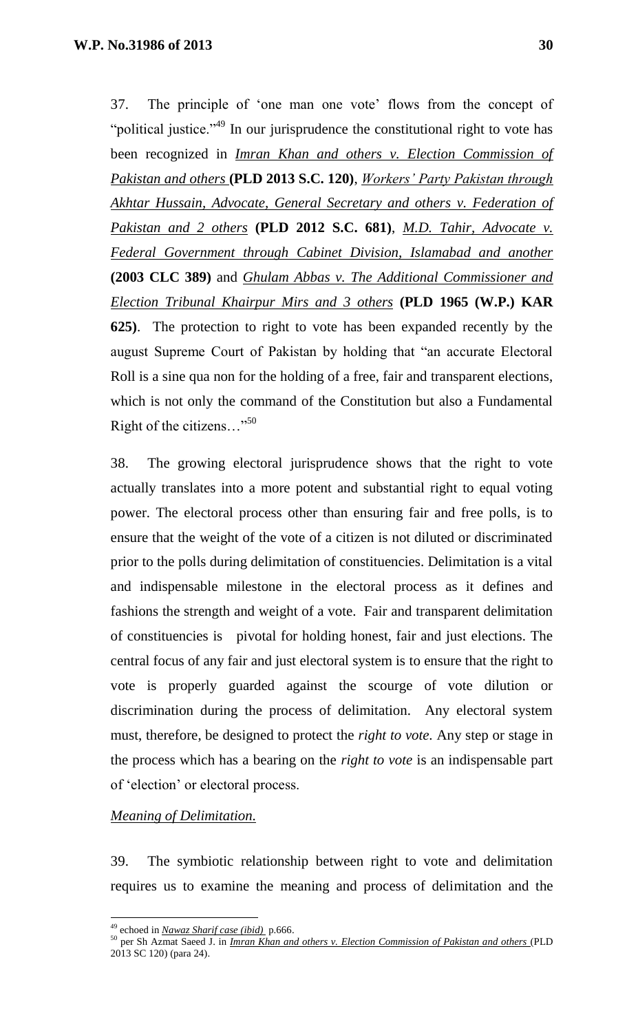37. The principle of 'one man one vote' flows from the concept of "political justice."<sup>49</sup> In our jurisprudence the constitutional right to vote has been recognized in *Imran Khan and others v. Election Commission of Pakistan and others* **(PLD 2013 S.C. 120)**, *Workers" Party Pakistan through Akhtar Hussain, Advocate, General Secretary and others v. Federation of Pakistan and 2 others* **(PLD 2012 S.C. 681)**, *M.D. Tahir, Advocate v. Federal Government through Cabinet Division, Islamabad and another*  **(2003 CLC 389)** and *Ghulam Abbas v. The Additional Commissioner and Election Tribunal Khairpur Mirs and 3 others* **(PLD 1965 (W.P.) KAR 625)**. The protection to right to vote has been expanded recently by the august Supreme Court of Pakistan by holding that "an accurate Electoral Roll is a sine qua non for the holding of a free, fair and transparent elections, which is not only the command of the Constitution but also a Fundamental Right of the citizens... $^{50}$ 

38. The growing electoral jurisprudence shows that the right to vote actually translates into a more potent and substantial right to equal voting power. The electoral process other than ensuring fair and free polls, is to ensure that the weight of the vote of a citizen is not diluted or discriminated prior to the polls during delimitation of constituencies. Delimitation is a vital and indispensable milestone in the electoral process as it defines and fashions the strength and weight of a vote. Fair and transparent delimitation of constituencies is pivotal for holding honest, fair and just elections. The central focus of any fair and just electoral system is to ensure that the right to vote is properly guarded against the scourge of vote dilution or discrimination during the process of delimitation. Any electoral system must, therefore, be designed to protect the *right to vote.* Any step or stage in the process which has a bearing on the *right to vote* is an indispensable part of 'election' or electoral process.

## *Meaning of Delimitation.*

39. The symbiotic relationship between right to vote and delimitation requires us to examine the meaning and process of delimitation and the

<sup>49</sup> echoed in *Nawaz Sharif case (ibid)* p.666.

<sup>50</sup> per Sh Azmat Saeed J. in *Imran Khan and others v. Election Commission of Pakistan and others* (PLD 2013 SC 120) (para 24).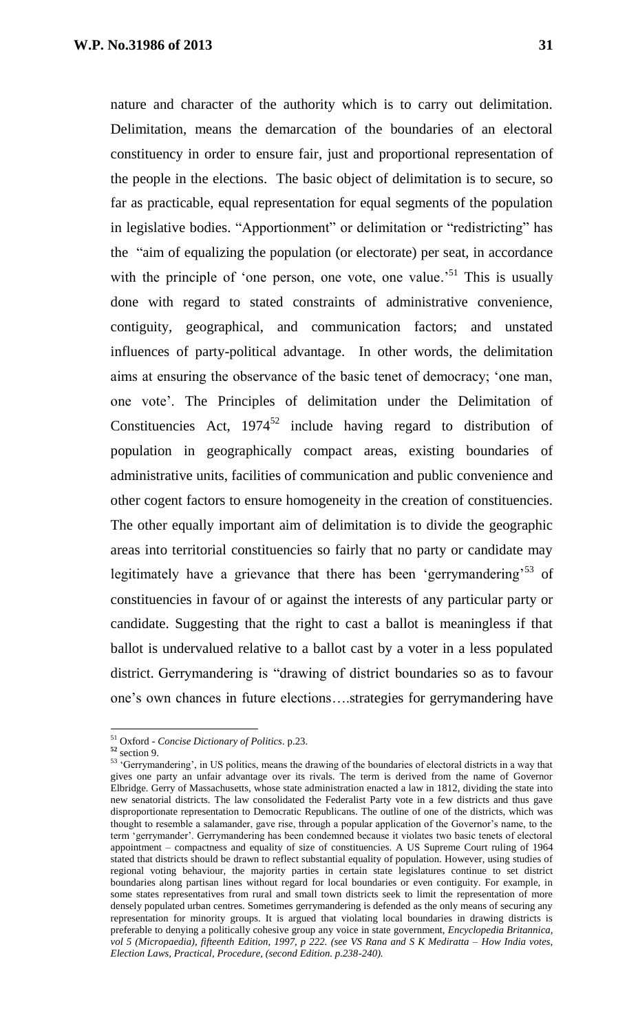nature and character of the authority which is to carry out delimitation. Delimitation, means the demarcation of the boundaries of an electoral constituency in order to ensure fair, just and proportional representation of the people in the elections. The basic object of delimitation is to secure, so far as practicable, equal representation for equal segments of the population in legislative bodies. "Apportionment" or delimitation or "redistricting" has the "aim of equalizing the population (or electorate) per seat, in accordance with the principle of 'one person, one vote, one value.<sup>51</sup> This is usually done with regard to stated constraints of administrative convenience, contiguity, geographical, and communication factors; and unstated influences of party-political advantage. In other words, the delimitation aims at ensuring the observance of the basic tenet of democracy; 'one man, one vote'. The Principles of delimitation under the Delimitation of Constituencies Act,  $1974^{52}$  include having regard to distribution of population in geographically compact areas, existing boundaries of administrative units, facilities of communication and public convenience and other cogent factors to ensure homogeneity in the creation of constituencies. The other equally important aim of delimitation is to divide the geographic areas into territorial constituencies so fairly that no party or candidate may legitimately have a grievance that there has been 'gerrymandering'<sup>53</sup> of constituencies in favour of or against the interests of any particular party or candidate. Suggesting that the right to cast a ballot is meaningless if that ballot is undervalued relative to a ballot cast by a voter in a less populated district. Gerrymandering is "drawing of district boundaries so as to favour one's own chances in future elections….strategies for gerrymandering have

<sup>51</sup> Oxford - *Concise Dictionary of Politics*. p.23.

**<sup>52</sup>** section 9.

<sup>&</sup>lt;sup>53</sup> 'Gerrymandering', in US politics, means the drawing of the boundaries of electoral districts in a way that gives one party an unfair advantage over its rivals. The term is derived from the name of Governor Elbridge. Gerry of Massachusetts, whose state administration enacted a law in 1812, dividing the state into new senatorial districts. The law consolidated the Federalist Party vote in a few districts and thus gave disproportionate representation to Democratic Republicans. The outline of one of the districts, which was thought to resemble a salamander, gave rise, through a popular application of the Governor's name, to the term ‗gerrymander'. Gerrymandering has been condemned because it violates two basic tenets of electoral appointment – compactness and equality of size of constituencies. A US Supreme Court ruling of 1964 stated that districts should be drawn to reflect substantial equality of population. However, using studies of regional voting behaviour, the majority parties in certain state legislatures continue to set district boundaries along partisan lines without regard for local boundaries or even contiguity. For example, in some states representatives from rural and small town districts seek to limit the representation of more densely populated urban centres. Sometimes gerrymandering is defended as the only means of securing any representation for minority groups. It is argued that violating local boundaries in drawing districts is preferable to denying a politically cohesive group any voice in state government, *Encyclopedia Britannica, vol 5 (Micropaedia), fifteenth Edition, 1997, p 222. (see VS Rana and S K Mediratta – How India votes, Election Laws, Practical, Procedure, (second Edition. p.238-240).*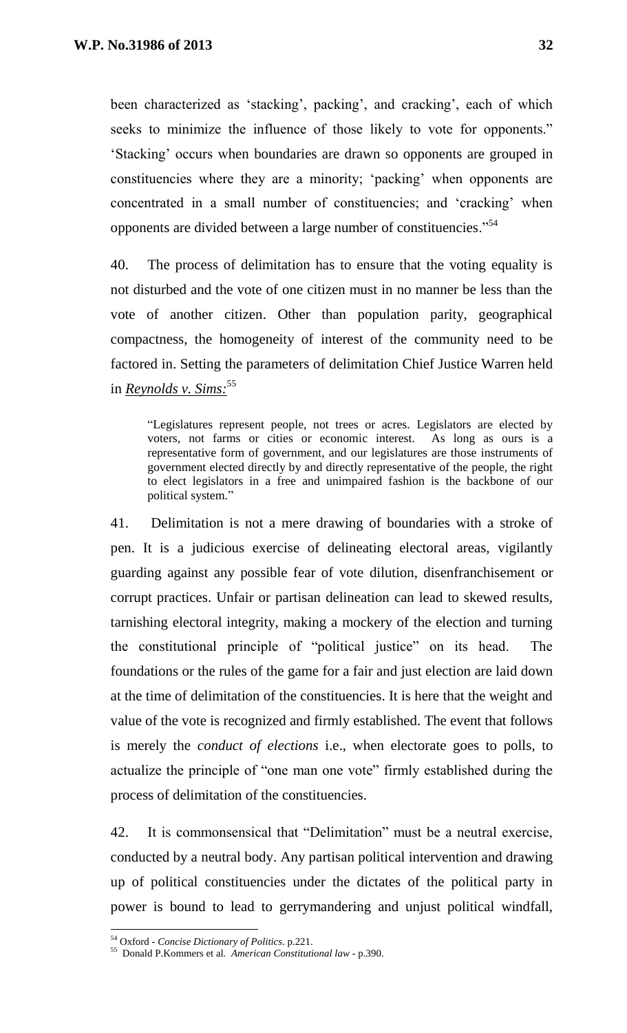been characterized as 'stacking', packing', and cracking', each of which seeks to minimize the influence of those likely to vote for opponents." ‗Stacking' occurs when boundaries are drawn so opponents are grouped in constituencies where they are a minority; 'packing' when opponents are concentrated in a small number of constituencies; and 'cracking' when opponents are divided between a large number of constituencies."<sup>54</sup>

40. The process of delimitation has to ensure that the voting equality is not disturbed and the vote of one citizen must in no manner be less than the vote of another citizen. Other than population parity, geographical compactness, the homogeneity of interest of the community need to be factored in. Setting the parameters of delimitation Chief Justice Warren held in *Reynolds v. Sims:* 55

―Legislatures represent people, not trees or acres. Legislators are elected by voters, not farms or cities or economic interest. As long as ours is a representative form of government, and our legislatures are those instruments of government elected directly by and directly representative of the people, the right to elect legislators in a free and unimpaired fashion is the backbone of our political system."

41. Delimitation is not a mere drawing of boundaries with a stroke of pen. It is a judicious exercise of delineating electoral areas, vigilantly guarding against any possible fear of vote dilution, disenfranchisement or corrupt practices. Unfair or partisan delineation can lead to skewed results, tarnishing electoral integrity, making a mockery of the election and turning the constitutional principle of "political justice" on its head. The foundations or the rules of the game for a fair and just election are laid down at the time of delimitation of the constituencies. It is here that the weight and value of the vote is recognized and firmly established. The event that follows is merely the *conduct of elections* i.e., when electorate goes to polls, to actualize the principle of "one man one vote" firmly established during the process of delimitation of the constituencies.

42. It is commonsensical that "Delimitation" must be a neutral exercise, conducted by a neutral body. Any partisan political intervention and drawing up of political constituencies under the dictates of the political party in power is bound to lead to gerrymandering and unjust political windfall,

<sup>54</sup> Oxford - *Concise Dictionary of Politics*. p.221.

<sup>55</sup> Donald P.Kommers et al. *American Constitutional law* - p.390.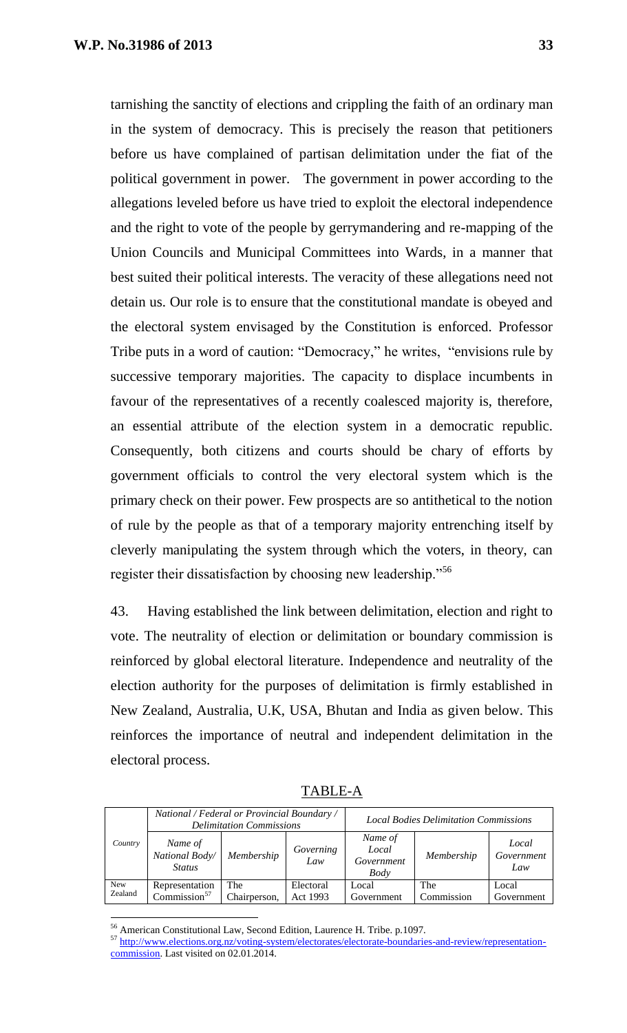tarnishing the sanctity of elections and crippling the faith of an ordinary man in the system of democracy. This is precisely the reason that petitioners before us have complained of partisan delimitation under the fiat of the political government in power. The government in power according to the allegations leveled before us have tried to exploit the electoral independence and the right to vote of the people by gerrymandering and re-mapping of the Union Councils and Municipal Committees into Wards, in a manner that best suited their political interests. The veracity of these allegations need not detain us. Our role is to ensure that the constitutional mandate is obeyed and the electoral system envisaged by the Constitution is enforced. Professor Tribe puts in a word of caution: "Democracy," he writes, "envisions rule by successive temporary majorities. The capacity to displace incumbents in favour of the representatives of a recently coalesced majority is, therefore, an essential attribute of the election system in a democratic republic. Consequently, both citizens and courts should be chary of efforts by government officials to control the very electoral system which is the primary check on their power. Few prospects are so antithetical to the notion of rule by the people as that of a temporary majority entrenching itself by cleverly manipulating the system through which the voters, in theory, can register their dissatisfaction by choosing new leadership."<sup>56</sup>

43. Having established the link between delimitation, election and right to vote. The neutrality of election or delimitation or boundary commission is reinforced by global electoral literature. Independence and neutrality of the election authority for the purposes of delimitation is firmly established in New Zealand, Australia, U.K, USA, Bhutan and India as given below. This reinforces the importance of neutral and independent delimitation in the electoral process.

TABLE-A

|         | National / Federal or Provincial Boundary /<br><b>Delimitation Commissions</b> |              |                  | <b>Local Bodies Delimitation Commissions</b> |            |                            |
|---------|--------------------------------------------------------------------------------|--------------|------------------|----------------------------------------------|------------|----------------------------|
| Country | Name of<br>National Body/<br><i>Status</i>                                     | Membership   | Governing<br>Law | Name of<br>Local<br>Government<br>Body       | Membership | Local<br>Government<br>Law |
| New     | Representation                                                                 | The          | Electoral        | Local                                        | The        | Local                      |
| Zealand | Commission $57$                                                                | Chairperson. | Act 1993         | Government                                   | Commission | Government                 |

<sup>56</sup> American Constitutional Law, Second Edition, Laurence H. Tribe. p.1097.

<sup>57</sup> [http://www.elections.org.nz/voting-system/electorates/electorate-boundaries-and-review/representation](http://www.elections.org.nz/voting-system/electorates/electorate-boundaries-and-review/representation-commission)[commission.](http://www.elections.org.nz/voting-system/electorates/electorate-boundaries-and-review/representation-commission) Last visited on 02.01.2014.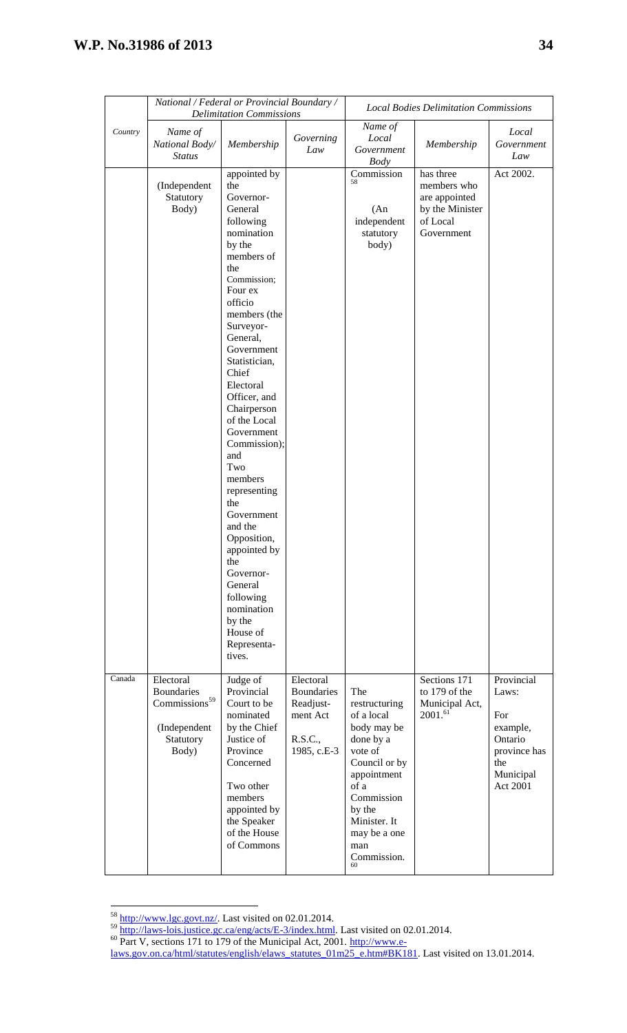|         | National / Federal or Provincial Boundary /<br><b>Delimitation Commissions</b>                   |                                                                                                                                                                                                                                                                                                                                                                                                                                                                                                                                        | <b>Local Bodies Delimitation Commissions</b>                                      |                                                                                                                                                                                                       |                                                                                        |                                                                                                   |
|---------|--------------------------------------------------------------------------------------------------|----------------------------------------------------------------------------------------------------------------------------------------------------------------------------------------------------------------------------------------------------------------------------------------------------------------------------------------------------------------------------------------------------------------------------------------------------------------------------------------------------------------------------------------|-----------------------------------------------------------------------------------|-------------------------------------------------------------------------------------------------------------------------------------------------------------------------------------------------------|----------------------------------------------------------------------------------------|---------------------------------------------------------------------------------------------------|
| Country | Name of<br>National Body/<br><b>Status</b>                                                       | Membership                                                                                                                                                                                                                                                                                                                                                                                                                                                                                                                             | Governing<br>Law                                                                  | Name of<br>Local<br>Government<br><b>Body</b>                                                                                                                                                         | Membership                                                                             | Local<br>Government<br>Law                                                                        |
|         | (Independent<br>Statutory<br>Body)                                                               | appointed by<br>the<br>Governor-<br>General<br>following<br>nomination<br>by the<br>members of<br>the<br>Commission;<br>Four ex<br>officio<br>members (the<br>Surveyor-<br>General,<br>Government<br>Statistician,<br>Chief<br>Electoral<br>Officer, and<br>Chairperson<br>of the Local<br>Government<br>Commission);<br>and<br>Two<br>members<br>representing<br>the<br>Government<br>and the<br>Opposition,<br>appointed by<br>the<br>Governor-<br>General<br>following<br>nomination<br>by the<br>House of<br>Representa-<br>tives. |                                                                                   | Commission<br>58<br>(An)<br>independent<br>statutory<br>body)                                                                                                                                         | has three<br>members who<br>are appointed<br>by the Minister<br>of Local<br>Government | Act 2002.                                                                                         |
| Canada  | Electoral<br><b>Boundaries</b><br>Commission <sup>59</sup><br>(Independent<br>Statutory<br>Body) | Judge of<br>Provincial<br>Court to be<br>nominated<br>by the Chief<br>Justice of<br>Province<br>Concerned<br>Two other<br>members<br>appointed by<br>the Speaker<br>of the House<br>of Commons                                                                                                                                                                                                                                                                                                                                         | Electoral<br><b>Boundaries</b><br>Readjust-<br>ment Act<br>R.S.C.,<br>1985, c.E-3 | The<br>restructuring<br>of a local<br>body may be<br>done by a<br>vote of<br>Council or by<br>appointment<br>of a<br>Commission<br>by the<br>Minister. It<br>may be a one<br>man<br>Commission.<br>60 | Sections 171<br>to 179 of the<br>Municipal Act,<br>2001. <sup>61</sup>                 | Provincial<br>Laws:<br>For<br>example,<br>Ontario<br>province has<br>the<br>Municipal<br>Act 2001 |

 $^{58}$  [http://www.lgc.govt.nz/.](http://www.lgc.govt.nz/) Last visited on 02.01.2014.

<sup>&</sup>lt;sup>59</sup> [http://laws-lois.justice.gc.ca/eng/acts/E-3/index.html.](http://laws-lois.justice.gc.ca/eng/acts/E-3/index.html) Last visited on 02.01.2014.

<sup>&</sup>lt;sup>60</sup> Part V, sections 171 to 179 of the Municipal Act, 2001. [http://www.e-](http://www.e-laws.gov.on.ca/html/statutes/english/elaws_statutes_01m25_e.htm#BK181)

[laws.gov.on.ca/html/statutes/english/elaws\\_statutes\\_01m25\\_e.htm#BK181.](http://www.e-laws.gov.on.ca/html/statutes/english/elaws_statutes_01m25_e.htm#BK181) Last visited on 13.01.2014.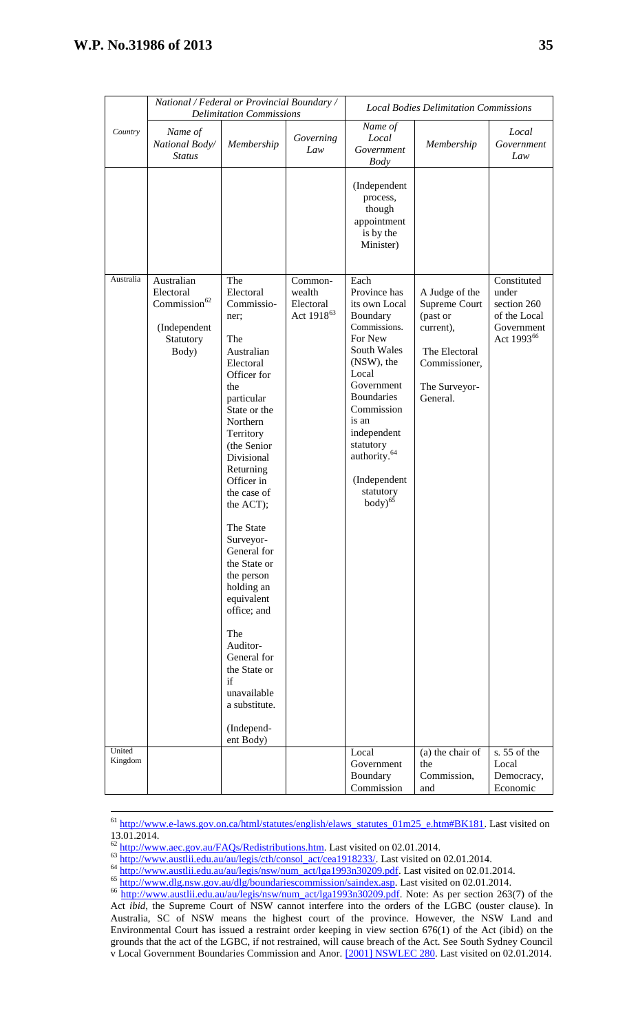#### **W.P. No.31986 of 2013 35**

|                   | National / Federal or Provincial Boundary /<br><b>Delimitation Commissions</b>            |                                                                                                                                                                                                                                                                                                                                                                                                                                                                                |                                                          | <b>Local Bodies Delimitation Commissions</b>                                                                                                                                                                                                                                               |                                                                                                                                |                                                                                             |
|-------------------|-------------------------------------------------------------------------------------------|--------------------------------------------------------------------------------------------------------------------------------------------------------------------------------------------------------------------------------------------------------------------------------------------------------------------------------------------------------------------------------------------------------------------------------------------------------------------------------|----------------------------------------------------------|--------------------------------------------------------------------------------------------------------------------------------------------------------------------------------------------------------------------------------------------------------------------------------------------|--------------------------------------------------------------------------------------------------------------------------------|---------------------------------------------------------------------------------------------|
| Country           | Name of<br>National Body/<br><b>Status</b>                                                | Membership                                                                                                                                                                                                                                                                                                                                                                                                                                                                     | Governing<br>Law                                         | Name of<br>Local<br>Government<br><b>Body</b>                                                                                                                                                                                                                                              | Membership                                                                                                                     | Local<br>Government<br>Law                                                                  |
|                   |                                                                                           |                                                                                                                                                                                                                                                                                                                                                                                                                                                                                |                                                          | (Independent<br>process,<br>though<br>appointment<br>is by the<br>Minister)                                                                                                                                                                                                                |                                                                                                                                |                                                                                             |
| Australia         | Australian<br>Electoral<br>Commission <sup>62</sup><br>(Independent<br>Statutory<br>Body) | The<br>Electoral<br>Commissio-<br>ner;<br>The<br>Australian<br>Electoral<br>Officer for<br>the<br>particular<br>State or the<br>Northern<br>Territory<br>(the Senior<br>Divisional<br>Returning<br>Officer in<br>the case of<br>the ACT);<br>The State<br>Surveyor-<br>General for<br>the State or<br>the person<br>holding an<br>equivalent<br>office; and<br>The<br>Auditor-<br>General for<br>the State or<br>if<br>unavailable<br>a substitute.<br>(Independ-<br>ent Body) | Common-<br>wealth<br>Electoral<br>Act 1918 <sup>63</sup> | Each<br>Province has<br>its own Local<br>Boundary<br>Commissions.<br>For New<br>South Wales<br>(NSW), the<br>Local<br>Government<br><b>Boundaries</b><br>Commission<br>is an<br>independent<br>statutory<br>$\mbox{authority.}^{64}$<br>(Independent<br>statutory<br>$body)$ <sup>65</sup> | A Judge of the<br><b>Supreme Court</b><br>(past or<br>current),<br>The Electoral<br>Commissioner,<br>The Surveyor-<br>General. | Constituted<br>under<br>section 260<br>of the Local<br>Government<br>Act 1993 <sup>66</sup> |
| United<br>Kingdom |                                                                                           |                                                                                                                                                                                                                                                                                                                                                                                                                                                                                |                                                          | Local<br>Government<br>Boundary<br>Commission                                                                                                                                                                                                                                              | (a) the chair of<br>the<br>Commission,<br>and                                                                                  | s. 55 of the<br>Local<br>Democracy,<br>Economic                                             |

<sup>&</sup>lt;sup>61</sup> [http://www.e-laws.gov.on.ca/html/statutes/english/elaws\\_statutes\\_01m25\\_e.htm#BK181.](http://www.e-laws.gov.on.ca/html/statutes/english/elaws_statutes_01m25_e.htm#BK181) Last visited on 13.01.2014.

 $62$  [http://www.aec.gov.au/FAQs/Redistributions.htm.](http://www.aec.gov.au/FAQs/Redistributions.htm) Last visited on 02.01.2014.

 $\frac{\text{http://www.aec.gov.aav1 FACs/Neumann Laut. Laut. Laut.}}{\text{http://www.austli.edu.au/au/legis/cth/consol_act/cea1918233/}}$ . Last visited on 02.01.2014.

 $64$  [http://www.austlii.edu.au/au/legis/nsw/num\\_act/lga1993n30209.pdf.](http://www.austlii.edu.au/au/legis/nsw/num_act/lga1993n30209.pdf) Last visited on 02.01.2014.

<sup>&</sup>lt;sup>65</sup> [http://www.dlg.nsw.gov.au/dlg/boundariescommission/saindex.asp.](http://www.dlg.nsw.gov.au/dlg/boundariescommission/saindex.asp) Last visited on 02.01.2014.

<sup>66</sup> [http://www.austlii.edu.au/au/legis/nsw/num\\_act/lga1993n30209.pdf.](http://www.austlii.edu.au/au/legis/nsw/num_act/lga1993n30209.pdf) Note: As per section 263(7) of the Act *ibid*, the Supreme Court of NSW cannot interfere into the orders of the LGBC (ouster clause). In Australia, SC of NSW means the highest court of the province. However, the NSW Land and Environmental Court has issued a restraint order keeping in view section 676(1) of the Act (ibid) on the grounds that the act of the LGBC, if not restrained, will cause breach of the Act. See South Sydney Council v Local Government Boundaries Commission and Anor. [\[2001\] NSWLEC 280.](http://www.austlii.edu.au/au/cases/nsw/NSWLEC/2001/280.html) Last visited on 02.01.2014.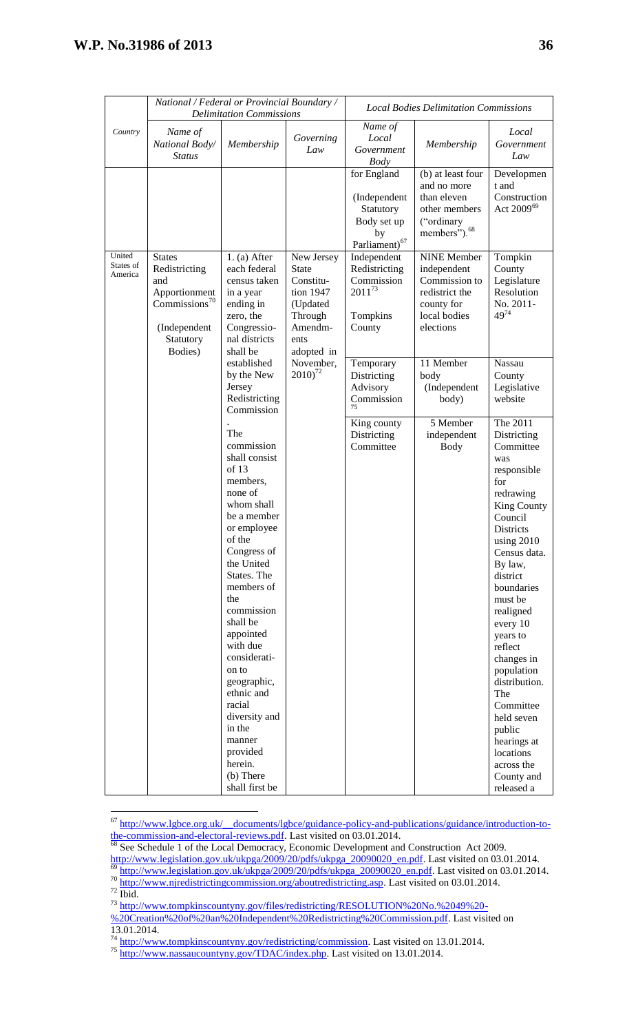### **W.P. No.31986 of 2013 36**

|                                | National / Federal or Provincial Boundary /              |                                                                                                                                                                                                                                                                                                                                                                                                         | <b>Local Bodies Delimitation Commissions</b>         |                                                                                                                                                         |                                                                                                                                                                                    |                                                                                                                                                                                                                                                                                                                                                                                                                                    |
|--------------------------------|----------------------------------------------------------|---------------------------------------------------------------------------------------------------------------------------------------------------------------------------------------------------------------------------------------------------------------------------------------------------------------------------------------------------------------------------------------------------------|------------------------------------------------------|---------------------------------------------------------------------------------------------------------------------------------------------------------|------------------------------------------------------------------------------------------------------------------------------------------------------------------------------------|------------------------------------------------------------------------------------------------------------------------------------------------------------------------------------------------------------------------------------------------------------------------------------------------------------------------------------------------------------------------------------------------------------------------------------|
| Country                        | Name of<br>National Body/<br><b>Status</b>               | <b>Delimitation Commissions</b><br>Membership                                                                                                                                                                                                                                                                                                                                                           | Governing<br>Law                                     | Name of<br>Local<br>Government<br><b>Body</b>                                                                                                           | Membership                                                                                                                                                                         | Local<br>Government<br>Law                                                                                                                                                                                                                                                                                                                                                                                                         |
| United<br>States of<br>America | <b>States</b><br>Redistricting<br>and<br>Apportionment   | $1. (a)$ After<br>each federal<br>census taken<br>in a year                                                                                                                                                                                                                                                                                                                                             | New Jersey<br><b>State</b><br>Constitu-<br>tion 1947 | for England<br>(Independent<br>Statutory<br>Body set up<br>by<br>Parliament) <sup>67</sup><br>Independent<br>Redistricting<br>Commission<br>$2011^{73}$ | (b) at least four<br>and no more<br>than eleven<br>other members<br>("ordinary<br>members"). <sup>68</sup><br><b>NINE</b> Member<br>independent<br>Commission to<br>redistrict the | Developmen<br>t and<br>Construction<br>Act 2009 <sup>69</sup><br>Tompkin<br>County<br>Legislature<br>Resolution                                                                                                                                                                                                                                                                                                                    |
|                                | Commissions $70$<br>(Independent<br>Statutory<br>Bodies) | ending in<br>zero, the<br>Congressio-<br>nal districts<br>shall be                                                                                                                                                                                                                                                                                                                                      | (Updated<br>Through<br>Amendm-<br>ents<br>adopted in | Tompkins<br>County                                                                                                                                      | county for<br>local bodies<br>elections                                                                                                                                            | No. 2011-<br>$49^{74}$                                                                                                                                                                                                                                                                                                                                                                                                             |
|                                |                                                          | established<br>by the New<br>Jersey<br>Redistricting<br>Commission                                                                                                                                                                                                                                                                                                                                      | November,<br>$2010^{72}$                             | Temporary<br>Districting<br>Advisory<br>Commission<br>75                                                                                                | 11 Member<br>body<br>(Independent<br>body)                                                                                                                                         | Nassau<br>County<br>Legislative<br>website                                                                                                                                                                                                                                                                                                                                                                                         |
|                                |                                                          | The<br>commission<br>shall consist<br>of 13<br>members,<br>none of<br>whom shall<br>be a member<br>or employee<br>of the<br>Congress of<br>the United<br>States. The<br>members of<br>the<br>commission<br>shall be<br>appointed<br>with due<br>considerati-<br>on to<br>geographic,<br>ethnic and<br>racial<br>diversity and<br>in the<br>manner<br>provided<br>herein.<br>(b) There<br>shall first be |                                                      | King county<br>Districting<br>Committee                                                                                                                 | 5 Member<br>independent<br><b>Body</b>                                                                                                                                             | The 2011<br>Districting<br>Committee<br>was<br>responsible<br>for<br>redrawing<br><b>King County</b><br>Council<br><b>Districts</b><br>using $2010$<br>Census data.<br>By law,<br>district<br>boundaries<br>must be<br>realigned<br>every 10<br>years to<br>reflect<br>changes in<br>population<br>distribution.<br>The<br>Committee<br>held seven<br>public<br>hearings at<br>locations<br>across the<br>County and<br>released a |

<sup>&</sup>lt;sup>67</sup> http://www.lgbce.org.uk/ documents/lgbce/guidance-policy-and-publications/guidance/introduction-to[the-commission-and-electoral-reviews.pdf.](http://www.lgbce.org.uk/__documents/lgbce/guidance-policy-and-publications/guidance/introduction-to-the-commission-and-electoral-reviews.pdf) Last visited on 03.01.2014.

<sup>&</sup>lt;sup>68</sup> See Schedule 1 of the Local Democracy, Economic Development and Construction Act 2009. [http://www.legislation.gov.uk/ukpga/2009/20/pdfs/ukpga\\_20090020\\_en.pdf.](http://www.legislation.gov.uk/ukpga/2009/20/pdfs/ukpga_20090020_en.pdf) Last visited on 03.01.2014. <sup>69</sup> [http://www.legislation.gov.uk/ukpga/2009/20/pdfs/ukpga\\_20090020\\_en.pdf.](http://www.legislation.gov.uk/ukpga/2009/20/pdfs/ukpga_20090020_en.pdf) Last visited on 03.01.2014.

<sup>&</sup>lt;sup>70</sup> [http://www.njredistrictingcommission.org/aboutredistricting.asp.](http://www.njredistrictingcommission.org/aboutredistricting.asp) Last visited on 03.01.2014.  $72 \overline{\text{Ibid.}}$ 

<sup>&</sup>lt;sup>73</sup> [http://www.tompkinscountyny.gov/files/redistricting/RESOLUTION%20No.%2049%20-](http://www.tompkinscountyny.gov/files/redistricting/RESOLUTION%20No.%2049%20-%20Creation%20of%20an%20Independent%20Redistricting%20Commission.pdf)

[<sup>%20</sup>Creation%20of%20an%20Independent%20Redistricting%20Commission.pdf.](http://www.tompkinscountyny.gov/files/redistricting/RESOLUTION%20No.%2049%20-%20Creation%20of%20an%20Independent%20Redistricting%20Commission.pdf) Last visited on 13.01.2014.

<sup>&</sup>lt;sup>74</sup> [http://www.tompkinscountyny.gov/redistricting/commission.](http://www.tompkinscountyny.gov/redistricting/commission) Last visited on 13.01.2014.

 $75 \frac{\text{http://www.nassaucountyny.gov/TDAC/index.php.}$  $75 \frac{\text{http://www.nassaucountyny.gov/TDAC/index.php.}$  $75 \frac{\text{http://www.nassaucountyny.gov/TDAC/index.php.}$  Last visited on 13.01.2014.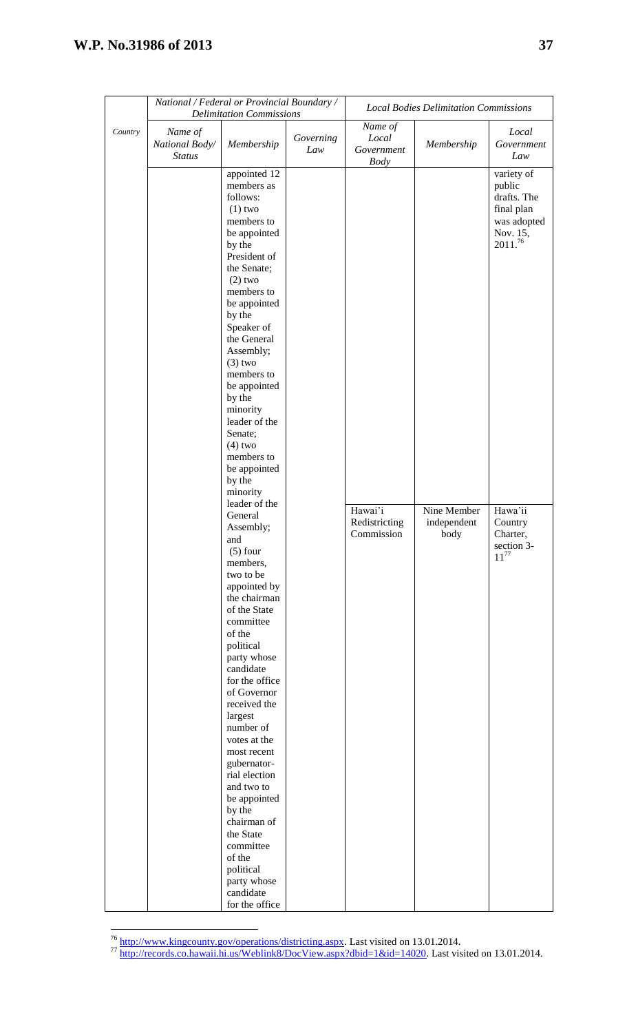### **W.P. No.31986 of 2013 37**

|         | National / Federal or Provincial Boundary /<br><b>Delimitation Commissions</b> |                                                                                                                                                                                                                                                                                                                                                                                                                                                                                  | <b>Local Bodies Delimitation Commissions</b> |                                               |                                    |                                                                                                     |
|---------|--------------------------------------------------------------------------------|----------------------------------------------------------------------------------------------------------------------------------------------------------------------------------------------------------------------------------------------------------------------------------------------------------------------------------------------------------------------------------------------------------------------------------------------------------------------------------|----------------------------------------------|-----------------------------------------------|------------------------------------|-----------------------------------------------------------------------------------------------------|
| Country | Name of<br>National Body/<br><b>Status</b>                                     | Membership                                                                                                                                                                                                                                                                                                                                                                                                                                                                       | Governing<br>Law                             | Name of<br>Local<br>Government<br><b>Body</b> | Membership                         | Local<br>Government<br>Law                                                                          |
|         |                                                                                | appointed 12<br>members as<br>follows:<br>$(1)$ two<br>members to<br>be appointed<br>by the<br>President of<br>the Senate;<br>$(2)$ two<br>members to<br>be appointed<br>by the<br>Speaker of<br>the General<br>Assembly;<br>$(3)$ two<br>members to<br>be appointed<br>by the<br>minority<br>leader of the<br>Senate;<br>$(4)$ two<br>members to<br>be appointed<br>by the<br>minority<br>leader of the                                                                         |                                              |                                               |                                    | variety of<br>public<br>drafts. The<br>final plan<br>was adopted<br>Nov. 15,<br>2011. <sup>76</sup> |
|         |                                                                                | General<br>Assembly;<br>and<br>$(5)$ four<br>members,<br>two to be<br>appointed by<br>the chairman<br>of the State<br>committee<br>of the<br>political<br>party whose<br>candidate<br>for the office<br>of Governor<br>received the<br>largest<br>number of<br>votes at the<br>most recent<br>gubernator-<br>rial election<br>and two to<br>be appointed<br>by the<br>chairman of<br>the State<br>committee<br>of the<br>political<br>party whose<br>candidate<br>for the office |                                              | Hawai'i<br>Redistricting<br>Commission        | Nine Member<br>independent<br>body | Hawa'ii<br>Country<br>Charter,<br>section 3-<br>$11^{77}$                                           |

<sup>&</sup>lt;sup>76</sup> [http://www.kingcounty.gov/operations/districting.aspx.](http://www.kingcounty.gov/operations/districting.aspx) Last visited on 13.01.2014.

<sup>&</sup>lt;sup>77</sup> [http://records.co.hawaii.hi.us/Weblink8/DocView.aspx?dbid=1&id=14020.](http://records.co.hawaii.hi.us/Weblink8/DocView.aspx?dbid=1&id=14020) Last visited on 13.01.2014.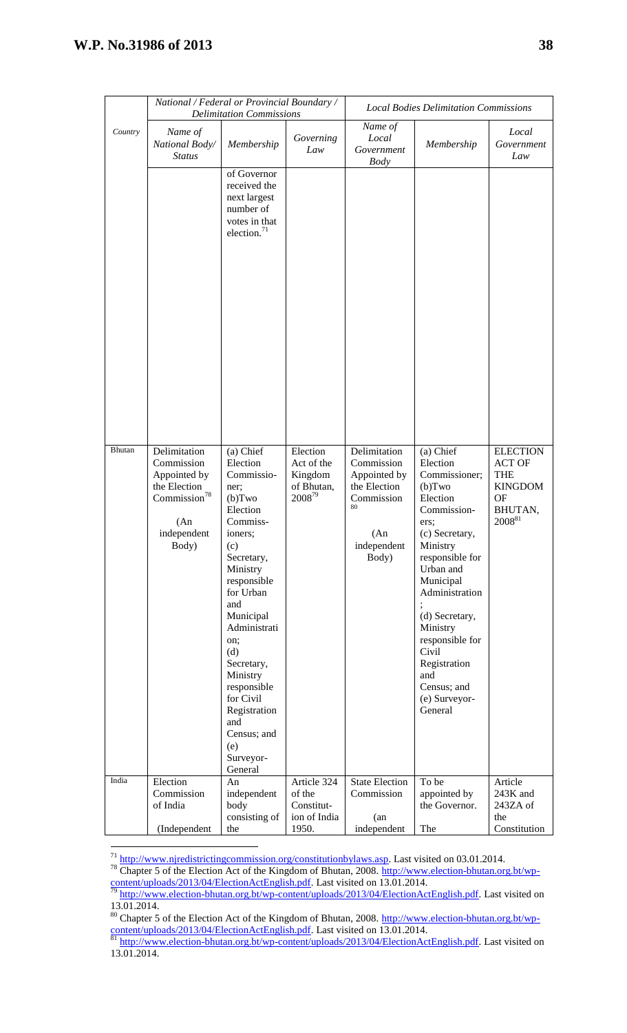|         | National / Federal or Provincial Boundary /                                                                            |                                                                                                                                                                                                                                                                                                                                     | <b>Local Bodies Delimitation Commissions</b>                   |                                                                                                                |                                                                                                                                                                                                                                                                                                               |                                                                                                      |
|---------|------------------------------------------------------------------------------------------------------------------------|-------------------------------------------------------------------------------------------------------------------------------------------------------------------------------------------------------------------------------------------------------------------------------------------------------------------------------------|----------------------------------------------------------------|----------------------------------------------------------------------------------------------------------------|---------------------------------------------------------------------------------------------------------------------------------------------------------------------------------------------------------------------------------------------------------------------------------------------------------------|------------------------------------------------------------------------------------------------------|
|         |                                                                                                                        | <b>Delimitation Commissions</b>                                                                                                                                                                                                                                                                                                     |                                                                |                                                                                                                |                                                                                                                                                                                                                                                                                                               |                                                                                                      |
| Country | Name of<br>National Body/<br><b>Status</b>                                                                             | Membership                                                                                                                                                                                                                                                                                                                          | Governing<br>Law                                               | Name of<br>Local<br>Government<br>Body                                                                         | Membership                                                                                                                                                                                                                                                                                                    | Local<br>Government<br>Law                                                                           |
|         |                                                                                                                        | of Governor<br>received the<br>next largest<br>number of<br>votes in that<br>election. <sup>71</sup>                                                                                                                                                                                                                                |                                                                |                                                                                                                |                                                                                                                                                                                                                                                                                                               |                                                                                                      |
| Bhutan  | Delimitation<br>Commission<br>Appointed by<br>the Election<br>Commission <sup>78</sup><br>(An)<br>independent<br>Body) | (a) Chief<br>Election<br>Commissio-<br>ner;<br>(b) Two<br>Election<br>Commiss-<br>ioners;<br>(c)<br>Secretary,<br>Ministry<br>responsible<br>for Urban<br>and<br>Municipal<br>Administrati<br>on;<br>(d)<br>Secretary,<br>Ministry<br>responsible<br>for Civil<br>Registration<br>and<br>Census; and<br>(e)<br>Surveyor-<br>General | Election<br>Act of the<br>Kingdom<br>of Bhutan,<br>$2008^{79}$ | Delimitation<br>Commission<br>Appointed by<br>the Election<br>Commission<br>80<br>(An)<br>independent<br>Body) | (a) Chief<br>Election<br>Commissioner;<br>(b) Two<br>Election<br>Commission-<br>ers;<br>(c) Secretary,<br>Ministry<br>responsible for<br>Urban and<br>Municipal<br>Administration<br>(d) Secretary,<br>Ministry<br>responsible for<br>Civil<br>Registration<br>and<br>Census; and<br>(e) Surveyor-<br>General | <b>ELECTION</b><br><b>ACT OF</b><br><b>THE</b><br><b>KINGDOM</b><br>OF<br>BHUTAN,<br>$2008^{\rm 81}$ |
| India   | Election                                                                                                               | An                                                                                                                                                                                                                                                                                                                                  | Article 324                                                    | <b>State Election</b>                                                                                          | To be                                                                                                                                                                                                                                                                                                         | Article                                                                                              |
|         | Commission<br>of India                                                                                                 | independent<br>body<br>consisting of                                                                                                                                                                                                                                                                                                | of the<br>Constitut-<br>ion of India                           | Commission<br>(an)                                                                                             | appointed by<br>the Governor.                                                                                                                                                                                                                                                                                 | 243K and<br>243ZA of<br>the                                                                          |
|         | (Independent                                                                                                           | the                                                                                                                                                                                                                                                                                                                                 | 1950.                                                          | independent                                                                                                    | The                                                                                                                                                                                                                                                                                                           | Constitution                                                                                         |

 $^{71}$  [http://www.njredistrictingcommission.org/constitutionbylaws.asp.](http://www.njredistrictingcommission.org/constitutionbylaws.asp) Last visited on 03.01.2014.

<sup>&</sup>lt;sup>78</sup> Chapter 5 of the Election Act of the Kingdom of Bhutan, 2008. [http://www.election-bhutan.org.bt/wp](http://www.election-bhutan.org.bt/wp-content/uploads/2013/04/ElectionActEnglish.pdf)[content/uploads/2013/04/ElectionActEnglish.pdf.](http://www.election-bhutan.org.bt/wp-content/uploads/2013/04/ElectionActEnglish.pdf) Last visited on 13.01.2014.

<sup>&</sup>lt;sup>79</sup> [http://www.election-bhutan.org.bt/wp-content/uploads/2013/04/ElectionActEnglish.pdf.](http://www.election-bhutan.org.bt/wp-content/uploads/2013/04/ElectionActEnglish.pdf) Last visited on 13.01.2014.

<sup>&</sup>lt;sup>80</sup> Chapter 5 of the Election Act of the Kingdom of Bhutan, 2008. [http://www.election-bhutan.org.bt/wp](http://www.election-bhutan.org.bt/wp-content/uploads/2013/04/ElectionActEnglish.pdf)[content/uploads/2013/04/ElectionActEnglish.pdf.](http://www.election-bhutan.org.bt/wp-content/uploads/2013/04/ElectionActEnglish.pdf) Last visited on 13.01.2014.

<sup>&</sup>lt;sup>81</sup> [http://www.election-bhutan.org.bt/wp-content/uploads/2013/04/ElectionActEnglish.pdf.](http://www.election-bhutan.org.bt/wp-content/uploads/2013/04/ElectionActEnglish.pdf) Last visited on 13.01.2014.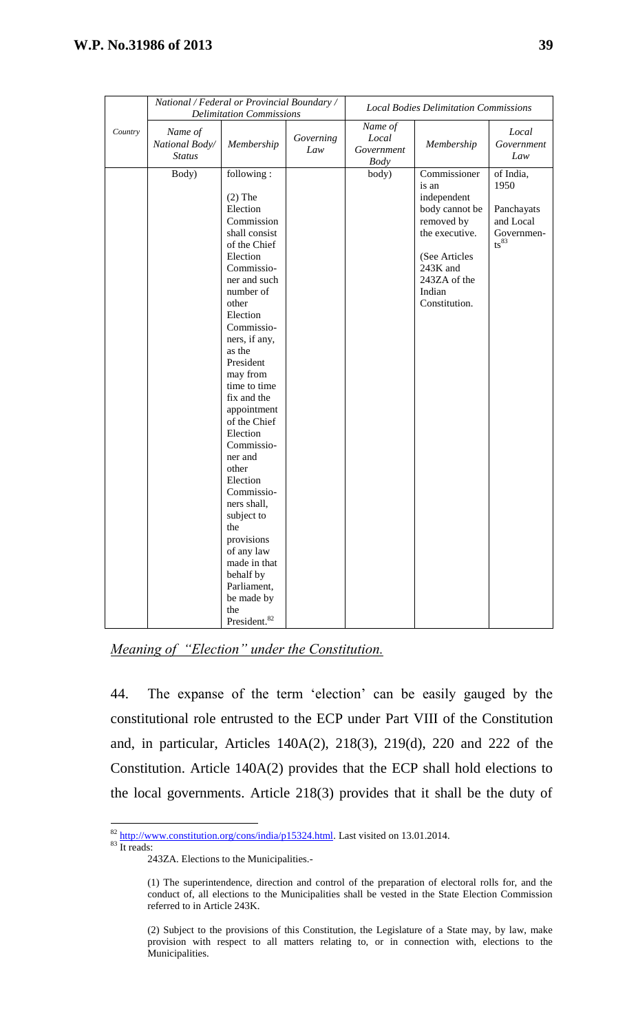|         | National / Federal or Provincial Boundary /<br><b>Delimitation Commissions</b> |                                                                                                                                                                                                                                                                                                                                                                                                                                                                                                                                     | <b>Local Bodies Delimitation Commissions</b> |                                        |                                                                                                                                                                |                                                                                         |
|---------|--------------------------------------------------------------------------------|-------------------------------------------------------------------------------------------------------------------------------------------------------------------------------------------------------------------------------------------------------------------------------------------------------------------------------------------------------------------------------------------------------------------------------------------------------------------------------------------------------------------------------------|----------------------------------------------|----------------------------------------|----------------------------------------------------------------------------------------------------------------------------------------------------------------|-----------------------------------------------------------------------------------------|
| Country | Name of<br>National Body/<br><b>Status</b>                                     | Membership                                                                                                                                                                                                                                                                                                                                                                                                                                                                                                                          | Governing<br>Law                             | Name of<br>Local<br>Government<br>Body | Membership                                                                                                                                                     | Local<br>Government<br>Law                                                              |
|         | Body)                                                                          | following:<br>$(2)$ The<br>Election<br>Commission<br>shall consist<br>of the Chief<br>Election<br>Commissio-<br>ner and such<br>number of<br>other<br>Election<br>Commissio-<br>ners, if any,<br>as the<br>President<br>may from<br>time to time<br>fix and the<br>appointment<br>of the Chief<br>Election<br>Commissio-<br>ner and<br>other<br>Election<br>Commissio-<br>ners shall,<br>subject to<br>the<br>provisions<br>of any law<br>made in that<br>behalf by<br>Parliament,<br>be made by<br>the<br>President. <sup>82</sup> |                                              | body)                                  | Commissioner<br>is an<br>independent<br>body cannot be<br>removed by<br>the executive.<br>(See Articles<br>243K and<br>243ZA of the<br>Indian<br>Constitution. | of India,<br>1950<br>Panchayats<br>and Local<br>Governmen-<br>$\sqrt{15}$ <sup>83</sup> |

*Meaning of "Election" under the Constitution.* 

44. The expanse of the term 'election' can be easily gauged by the constitutional role entrusted to the ECP under Part VIII of the Constitution and, in particular, Articles 140A(2), 218(3), 219(d), 220 and 222 of the Constitution. Article 140A(2) provides that the ECP shall hold elections to the local governments. Article 218(3) provides that it shall be the duty of

 $83 \overline{\text{It reads}}$ :

  $82$  [http://www.constitution.org/cons/india/p15324.html.](http://www.constitution.org/cons/india/p15324.html) Last visited on 13.01.2014.

<sup>243</sup>ZA. Elections to the Municipalities.-

<sup>(1)</sup> The superintendence, direction and control of the preparation of electoral rolls for, and the conduct of, all elections to the Municipalities shall be vested in the State Election Commission referred to in Article 243K.

<sup>(2)</sup> Subject to the provisions of this Constitution, the Legislature of a State may, by law, make provision with respect to all matters relating to, or in connection with, elections to the Municipalities.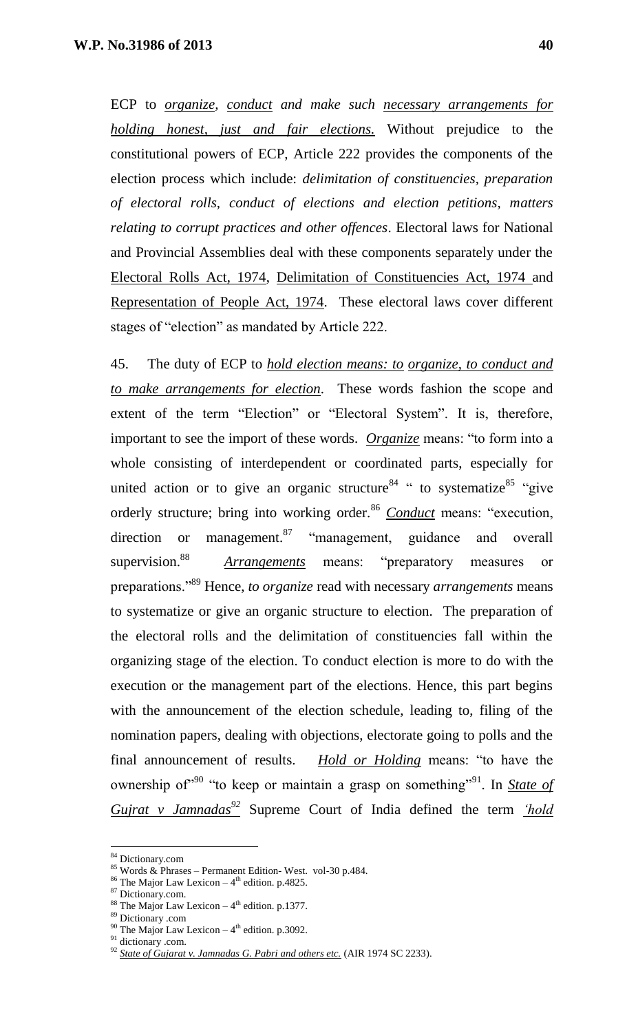ECP to *organize, conduct and make such necessary arrangements for holding honest, just and fair elections.* Without prejudice to the constitutional powers of ECP, Article 222 provides the components of the election process which include: *delimitation of constituencies, preparation of electoral rolls, conduct of elections and election petitions, matters relating to corrupt practices and other offences*. Electoral laws for National and Provincial Assemblies deal with these components separately under the Electoral Rolls Act, 1974, Delimitation of Constituencies Act, 1974 and Representation of People Act, 1974. These electoral laws cover different stages of "election" as mandated by Article 222.

45. The duty of ECP to *hold election means: to organize, to conduct and to make arrangements for election*. These words fashion the scope and extent of the term "Election" or "Electoral System". It is, therefore, important to see the import of these words. *Organize* means: "to form into a whole consisting of interdependent or coordinated parts, especially for united action or to give an organic structure  $84 \text{ }$  "to systematize  $85 \text{ }$ "give orderly structure; bring into working order.<sup>86</sup> Conduct means: "execution, direction or management.<sup>87</sup> "management, guidance and overall supervision.<sup>88</sup> *Arrangements* means: "preparatory measures or preparations.‖<sup>89</sup> Hence, *to organize* read with necessary *arrangements* means to systematize or give an organic structure to election. The preparation of the electoral rolls and the delimitation of constituencies fall within the organizing stage of the election. To conduct election is more to do with the execution or the management part of the elections. Hence, this part begins with the announcement of the election schedule, leading to, filing of the nomination papers, dealing with objections, electorate going to polls and the final announcement of results. *Hold or Holding* means: "to have the ownership of<sup> $990$ </sup> "to keep or maintain a grasp on something"<sup>91</sup>. In *State of Gujrat v Jamnadas<sup>92</sup>* Supreme Court of India defined the term *"hold* 

<sup>84</sup> Dictionary.com

 $85$  Words & Phrases – Permanent Edition-West. vol-30 p.484.

<sup>&</sup>lt;sup>86</sup> The Major Law Lexicon  $-4$ <sup>th</sup> edition. p.4825.

<sup>87</sup> Dictionary.com.  $88$  The Major Law Lexicon –  $4<sup>th</sup>$  edition. p.1377.

<sup>89</sup> Dictionary .com

 $90$  The Major Law Lexicon – 4<sup>th</sup> edition. p.3092.

<sup>&</sup>lt;sup>91</sup> dictionary .com.

<sup>92</sup> *State of Gujarat v. Jamnadas G. Pabri and others etc.* (AIR 1974 SC 2233).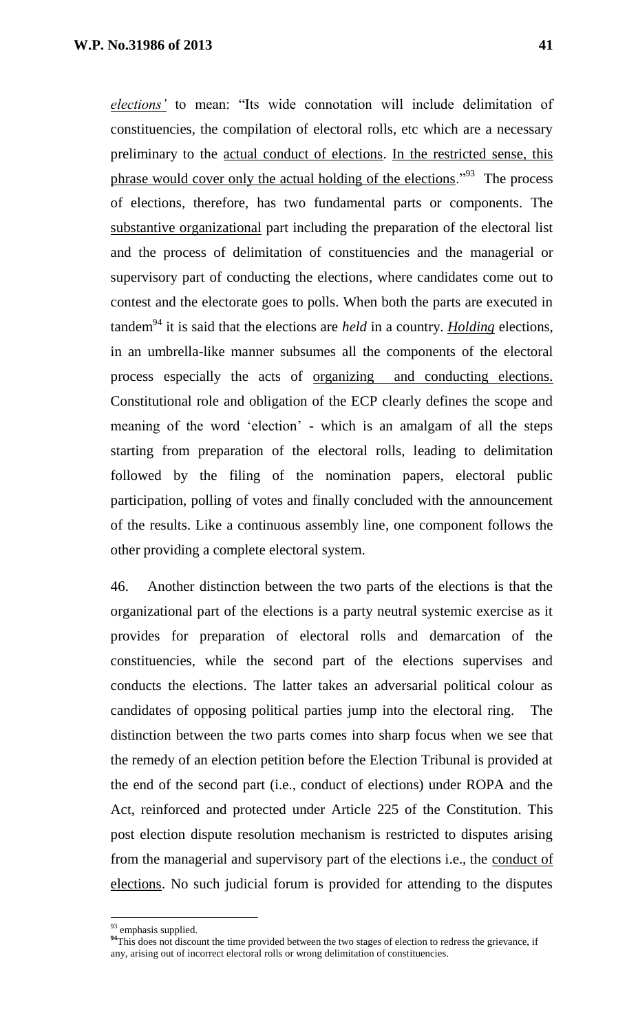elections' to mean: "Its wide connotation will include delimitation of constituencies, the compilation of electoral rolls, etc which are a necessary preliminary to the actual conduct of elections. In the restricted sense, this phrase would cover only the actual holding of the elections."<sup>93</sup> The process of elections, therefore, has two fundamental parts or components. The substantive organizational part including the preparation of the electoral list and the process of delimitation of constituencies and the managerial or supervisory part of conducting the elections, where candidates come out to contest and the electorate goes to polls. When both the parts are executed in tandem<sup>94</sup> it is said that the elections are *held* in a country. *Holding* elections, in an umbrella-like manner subsumes all the components of the electoral process especially the acts of organizing and conducting elections. Constitutional role and obligation of the ECP clearly defines the scope and meaning of the word 'election' - which is an amalgam of all the steps starting from preparation of the electoral rolls, leading to delimitation followed by the filing of the nomination papers, electoral public participation, polling of votes and finally concluded with the announcement of the results. Like a continuous assembly line, one component follows the other providing a complete electoral system.

46. Another distinction between the two parts of the elections is that the organizational part of the elections is a party neutral systemic exercise as it provides for preparation of electoral rolls and demarcation of the constituencies, while the second part of the elections supervises and conducts the elections. The latter takes an adversarial political colour as candidates of opposing political parties jump into the electoral ring. The distinction between the two parts comes into sharp focus when we see that the remedy of an election petition before the Election Tribunal is provided at the end of the second part (i.e., conduct of elections) under ROPA and the Act, reinforced and protected under Article 225 of the Constitution. This post election dispute resolution mechanism is restricted to disputes arising from the managerial and supervisory part of the elections i.e., the conduct of elections. No such judicial forum is provided for attending to the disputes

 <sup>93</sup> emphasis supplied.

<sup>&</sup>lt;sup>94</sup>This does not discount the time provided between the two stages of election to redress the grievance, if any, arising out of incorrect electoral rolls or wrong delimitation of constituencies.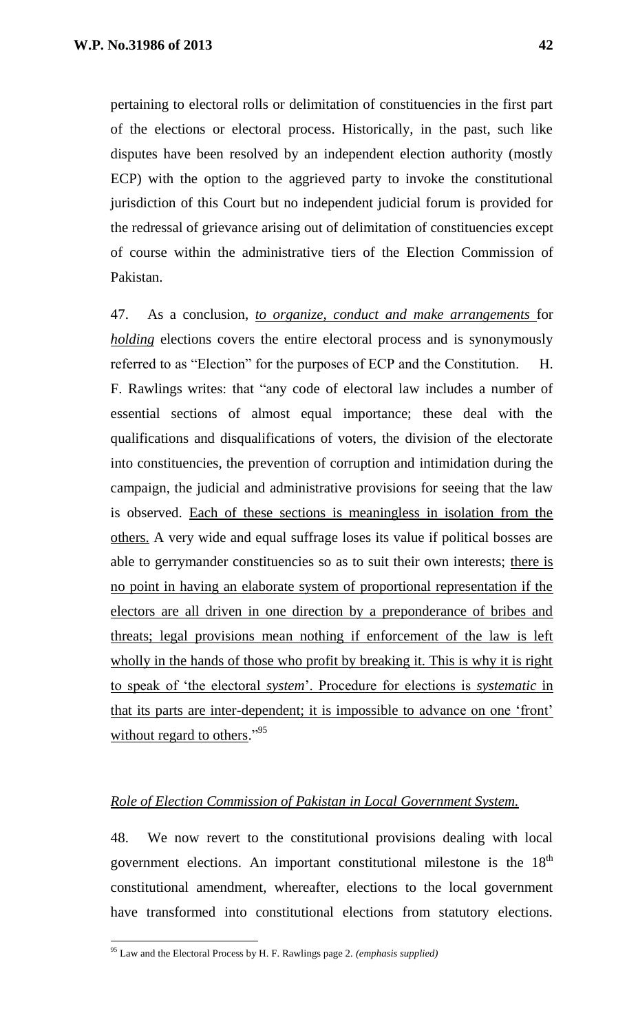pertaining to electoral rolls or delimitation of constituencies in the first part of the elections or electoral process. Historically, in the past, such like disputes have been resolved by an independent election authority (mostly ECP) with the option to the aggrieved party to invoke the constitutional jurisdiction of this Court but no independent judicial forum is provided for the redressal of grievance arising out of delimitation of constituencies except of course within the administrative tiers of the Election Commission of Pakistan.

47. As a conclusion, *to organize, conduct and make arrangements* for *holding* elections covers the entire electoral process and is synonymously referred to as "Election" for the purposes of ECP and the Constitution. H. F. Rawlings writes: that "any code of electoral law includes a number of essential sections of almost equal importance; these deal with the qualifications and disqualifications of voters, the division of the electorate into constituencies, the prevention of corruption and intimidation during the campaign, the judicial and administrative provisions for seeing that the law is observed. Each of these sections is meaningless in isolation from the others. A very wide and equal suffrage loses its value if political bosses are able to gerrymander constituencies so as to suit their own interests; there is no point in having an elaborate system of proportional representation if the electors are all driven in one direction by a preponderance of bribes and threats; legal provisions mean nothing if enforcement of the law is left wholly in the hands of those who profit by breaking it. This is why it is right to speak of ‗the electoral *system*'. Procedure for elections is *systematic* in that its parts are inter-dependent; it is impossible to advance on one 'front' without regard to others."<sup>95</sup>

### *Role of Election Commission of Pakistan in Local Government System.*

48. We now revert to the constitutional provisions dealing with local government elections. An important constitutional milestone is the 18<sup>th</sup> constitutional amendment, whereafter, elections to the local government have transformed into constitutional elections from statutory elections.

<sup>95</sup> Law and the Electoral Process by H. F. Rawlings page 2. *(emphasis supplied)*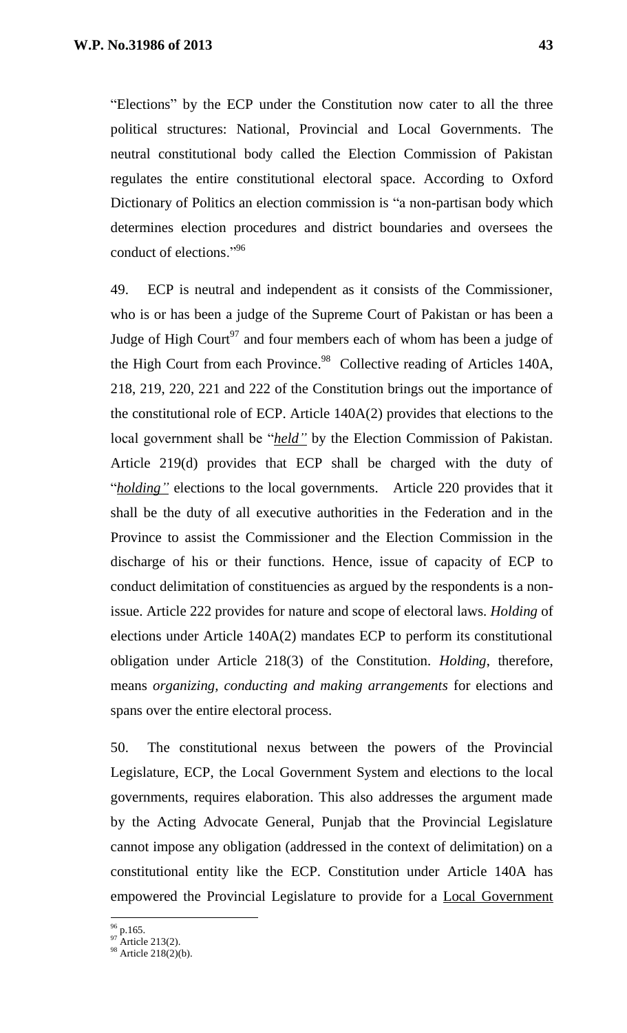"Elections" by the ECP under the Constitution now cater to all the three political structures: National, Provincial and Local Governments. The neutral constitutional body called the Election Commission of Pakistan regulates the entire constitutional electoral space. According to Oxford Dictionary of Politics an election commission is "a non-partisan body which determines election procedures and district boundaries and oversees the conduct of elections."96

49. ECP is neutral and independent as it consists of the Commissioner, who is or has been a judge of the Supreme Court of Pakistan or has been a Judge of High Court<sup>97</sup> and four members each of whom has been a judge of the High Court from each Province.<sup>98</sup> Collective reading of Articles 140A, 218, 219, 220, 221 and 222 of the Constitution brings out the importance of the constitutional role of ECP. Article 140A(2) provides that elections to the local government shall be "*held*" by the Election Commission of Pakistan. Article 219(d) provides that ECP shall be charged with the duty of *"holding"* elections to the local governments. Article 220 provides that it shall be the duty of all executive authorities in the Federation and in the Province to assist the Commissioner and the Election Commission in the discharge of his or their functions. Hence, issue of capacity of ECP to conduct delimitation of constituencies as argued by the respondents is a nonissue. Article 222 provides for nature and scope of electoral laws. *Holding* of elections under Article 140A(2) mandates ECP to perform its constitutional obligation under Article 218(3) of the Constitution. *Holding*, therefore, means *organizing, conducting and making arrangements* for elections and spans over the entire electoral process.

50. The constitutional nexus between the powers of the Provincial Legislature, ECP, the Local Government System and elections to the local governments, requires elaboration. This also addresses the argument made by the Acting Advocate General, Punjab that the Provincial Legislature cannot impose any obligation (addressed in the context of delimitation) on a constitutional entity like the ECP. Constitution under Article 140A has empowered the Provincial Legislature to provide for a Local Government

 $96$  p.165.

 $97$  Article 213(2).

<sup>98</sup> Article 218(2)(b).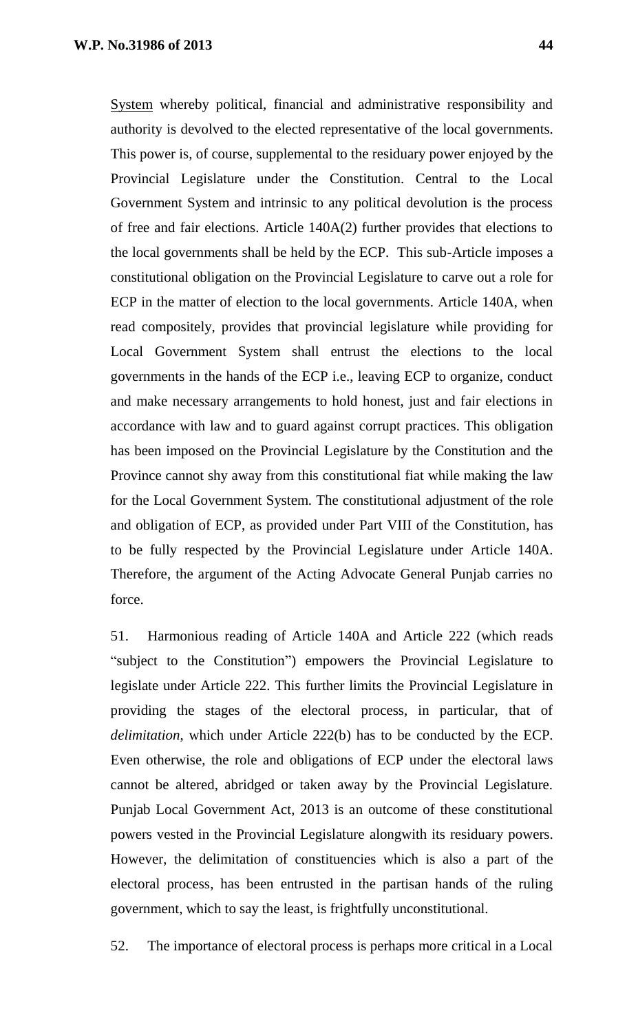System whereby political, financial and administrative responsibility and authority is devolved to the elected representative of the local governments. This power is, of course, supplemental to the residuary power enjoyed by the Provincial Legislature under the Constitution. Central to the Local Government System and intrinsic to any political devolution is the process of free and fair elections. Article 140A(2) further provides that elections to the local governments shall be held by the ECP. This sub-Article imposes a constitutional obligation on the Provincial Legislature to carve out a role for ECP in the matter of election to the local governments. Article 140A, when read compositely, provides that provincial legislature while providing for Local Government System shall entrust the elections to the local governments in the hands of the ECP i.e., leaving ECP to organize, conduct and make necessary arrangements to hold honest, just and fair elections in accordance with law and to guard against corrupt practices. This obligation has been imposed on the Provincial Legislature by the Constitution and the Province cannot shy away from this constitutional fiat while making the law for the Local Government System. The constitutional adjustment of the role and obligation of ECP, as provided under Part VIII of the Constitution, has to be fully respected by the Provincial Legislature under Article 140A. Therefore, the argument of the Acting Advocate General Punjab carries no force.

51. Harmonious reading of Article 140A and Article 222 (which reads "subject to the Constitution") empowers the Provincial Legislature to legislate under Article 222. This further limits the Provincial Legislature in providing the stages of the electoral process, in particular, that of *delimitation*, which under Article 222(b) has to be conducted by the ECP. Even otherwise, the role and obligations of ECP under the electoral laws cannot be altered, abridged or taken away by the Provincial Legislature. Punjab Local Government Act, 2013 is an outcome of these constitutional powers vested in the Provincial Legislature alongwith its residuary powers. However, the delimitation of constituencies which is also a part of the electoral process, has been entrusted in the partisan hands of the ruling government, which to say the least, is frightfully unconstitutional.

52. The importance of electoral process is perhaps more critical in a Local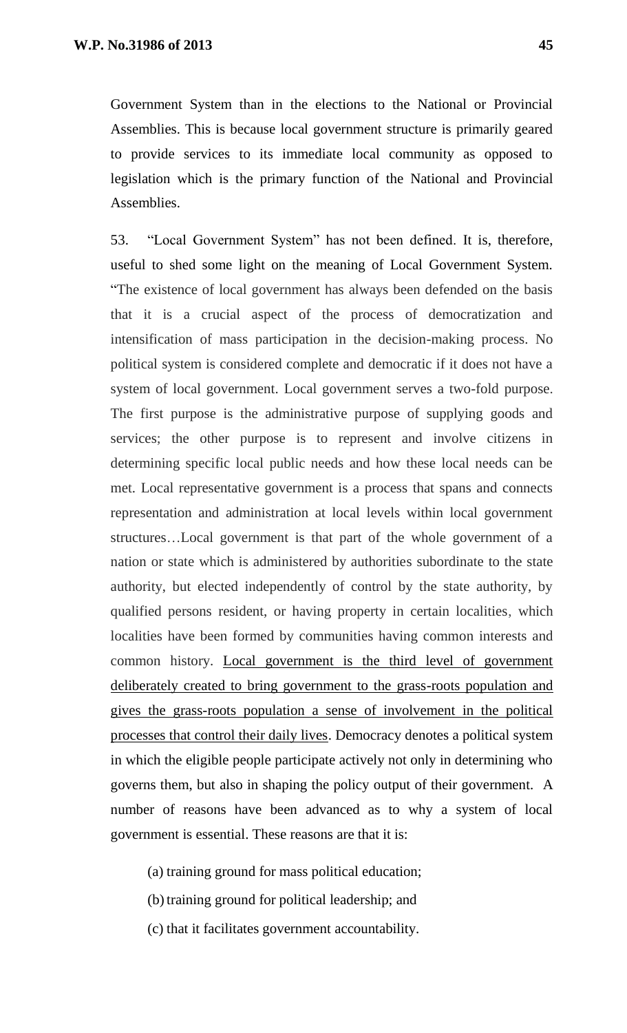Government System than in the elections to the National or Provincial Assemblies. This is because local government structure is primarily geared to provide services to its immediate local community as opposed to legislation which is the primary function of the National and Provincial Assemblies.

53. "Local Government System" has not been defined. It is, therefore, useful to shed some light on the meaning of Local Government System. ―The existence of local government has always been defended on the basis that it is a crucial aspect of the process of democratization and intensification of mass participation in the decision-making process. No political system is considered complete and democratic if it does not have a system of local government. Local government serves a two-fold purpose. The first purpose is the administrative purpose of supplying goods and services; the other purpose is to represent and involve citizens in determining specific local public needs and how these local needs can be met. Local representative government is a process that spans and connects representation and administration at local levels within local government structures…Local government is that part of the whole government of a nation or state which is administered by authorities subordinate to the state authority, but elected independently of control by the state authority, by qualified persons resident, or having property in certain localities, which localities have been formed by communities having common interests and common history. Local government is the third level of government deliberately created to bring government to the grass-roots population and gives the grass-roots population a sense of involvement in the political processes that control their daily lives. Democracy denotes a political system in which the eligible people participate actively not only in determining who governs them, but also in shaping the policy output of their government. A number of reasons have been advanced as to why a system of local government is essential. These reasons are that it is:

(a) training ground for mass political education;

(b)training ground for political leadership; and

(c) that it facilitates government accountability.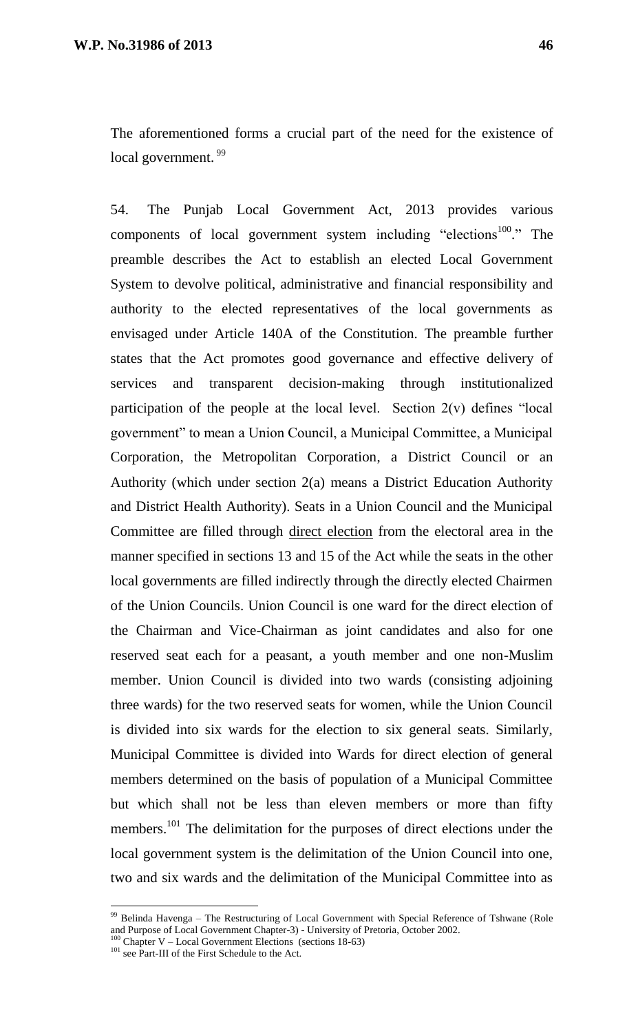The aforementioned forms a crucial part of the need for the existence of local government.<sup>99</sup>

54. The Punjab Local Government Act, 2013 provides various components of local government system including "elections<sup>100</sup>". The preamble describes the Act to establish an elected Local Government System to devolve political, administrative and financial responsibility and authority to the elected representatives of the local governments as envisaged under Article 140A of the Constitution. The preamble further states that the Act promotes good governance and effective delivery of services and transparent decision-making through institutionalized participation of the people at the local level. Section  $2(v)$  defines "local government" to mean a Union Council, a Municipal Committee, a Municipal Corporation, the Metropolitan Corporation, a District Council or an Authority (which under section 2(a) means a District Education Authority and District Health Authority). Seats in a Union Council and the Municipal Committee are filled through direct election from the electoral area in the manner specified in sections 13 and 15 of the Act while the seats in the other local governments are filled indirectly through the directly elected Chairmen of the Union Councils. Union Council is one ward for the direct election of the Chairman and Vice-Chairman as joint candidates and also for one reserved seat each for a peasant, a youth member and one non-Muslim member. Union Council is divided into two wards (consisting adjoining three wards) for the two reserved seats for women, while the Union Council is divided into six wards for the election to six general seats. Similarly, Municipal Committee is divided into Wards for direct election of general members determined on the basis of population of a Municipal Committee but which shall not be less than eleven members or more than fifty members.<sup>101</sup> The delimitation for the purposes of direct elections under the local government system is the delimitation of the Union Council into one, two and six wards and the delimitation of the Municipal Committee into as

<sup>&</sup>lt;sup>99</sup> Belinda Havenga – The Restructuring of Local Government with Special Reference of Tshwane (Role and Purpose of Local Government Chapter-3) - University of Pretoria, October 2002.

 $100$  Chapter V – Local Government Elections (sections 18-63)

<sup>&</sup>lt;sup>101</sup> see Part-III of the First Schedule to the Act.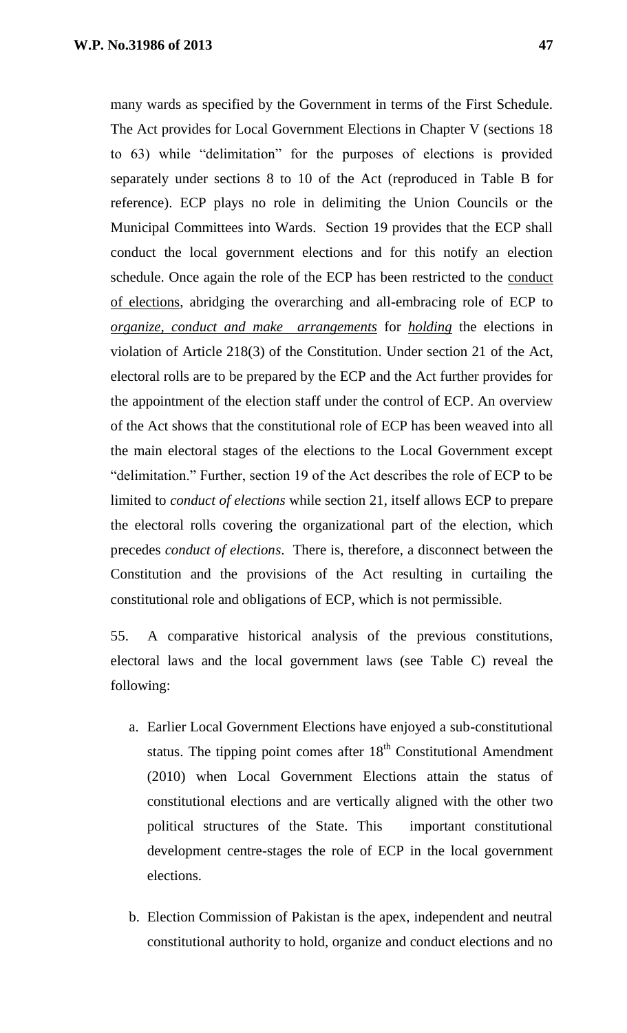many wards as specified by the Government in terms of the First Schedule. The Act provides for Local Government Elections in Chapter V (sections 18 to 63) while "delimitation" for the purposes of elections is provided separately under sections 8 to 10 of the Act (reproduced in Table B for reference). ECP plays no role in delimiting the Union Councils or the Municipal Committees into Wards. Section 19 provides that the ECP shall conduct the local government elections and for this notify an election schedule. Once again the role of the ECP has been restricted to the conduct of elections, abridging the overarching and all-embracing role of ECP to *organize, conduct and make arrangements* for *holding* the elections in violation of Article 218(3) of the Constitution. Under section 21 of the Act, electoral rolls are to be prepared by the ECP and the Act further provides for the appointment of the election staff under the control of ECP. An overview of the Act shows that the constitutional role of ECP has been weaved into all the main electoral stages of the elections to the Local Government except "delimitation." Further, section 19 of the Act describes the role of ECP to be limited to *conduct of elections* while section 21, itself allows ECP to prepare the electoral rolls covering the organizational part of the election, which precedes *conduct of elections*. There is, therefore, a disconnect between the Constitution and the provisions of the Act resulting in curtailing the constitutional role and obligations of ECP, which is not permissible.

55. A comparative historical analysis of the previous constitutions, electoral laws and the local government laws (see Table C) reveal the following:

- a. Earlier Local Government Elections have enjoyed a sub-constitutional status. The tipping point comes after  $18<sup>th</sup>$  Constitutional Amendment (2010) when Local Government Elections attain the status of constitutional elections and are vertically aligned with the other two political structures of the State. This important constitutional development centre-stages the role of ECP in the local government elections.
- b. Election Commission of Pakistan is the apex, independent and neutral constitutional authority to hold, organize and conduct elections and no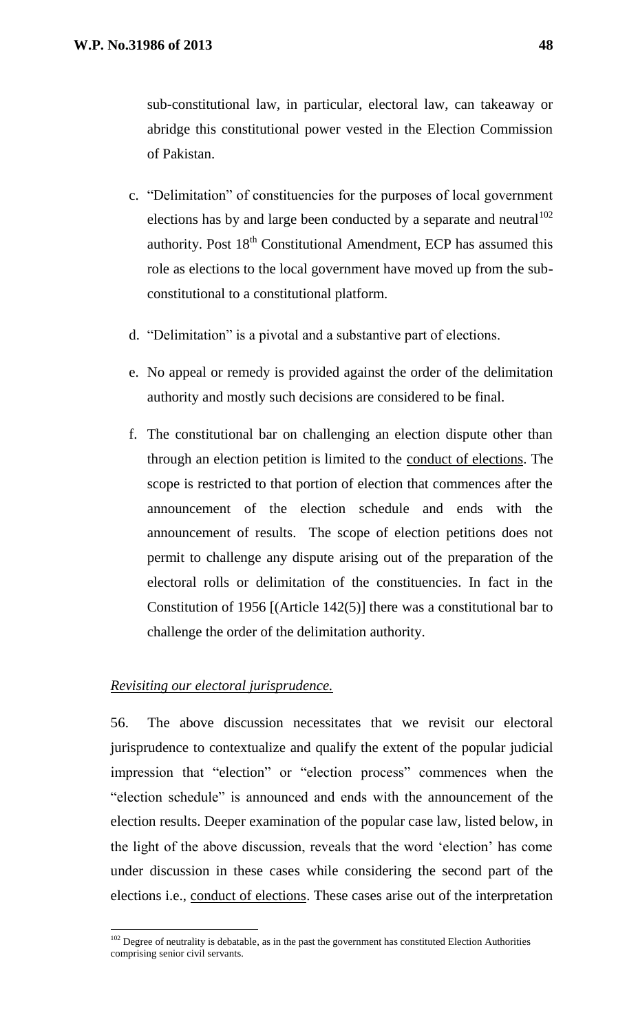sub-constitutional law, in particular, electoral law, can takeaway or abridge this constitutional power vested in the Election Commission of Pakistan.

- c. "Delimitation" of constituencies for the purposes of local government elections has by and large been conducted by a separate and neutral $102$ authority. Post 18<sup>th</sup> Constitutional Amendment, ECP has assumed this role as elections to the local government have moved up from the subconstitutional to a constitutional platform.
- d. "Delimitation" is a pivotal and a substantive part of elections.
- e. No appeal or remedy is provided against the order of the delimitation authority and mostly such decisions are considered to be final.
- f. The constitutional bar on challenging an election dispute other than through an election petition is limited to the conduct of elections. The scope is restricted to that portion of election that commences after the announcement of the election schedule and ends with the announcement of results. The scope of election petitions does not permit to challenge any dispute arising out of the preparation of the electoral rolls or delimitation of the constituencies. In fact in the Constitution of 1956 [(Article 142(5)] there was a constitutional bar to challenge the order of the delimitation authority.

### *Revisiting our electoral jurisprudence.*

56. The above discussion necessitates that we revisit our electoral jurisprudence to contextualize and qualify the extent of the popular judicial impression that "election" or "election process" commences when the "election schedule" is announced and ends with the announcement of the election results. Deeper examination of the popular case law, listed below, in the light of the above discussion, reveals that the word ‗election' has come under discussion in these cases while considering the second part of the elections i.e., conduct of elections. These cases arise out of the interpretation

 $102$  Degree of neutrality is debatable, as in the past the government has constituted Election Authorities comprising senior civil servants.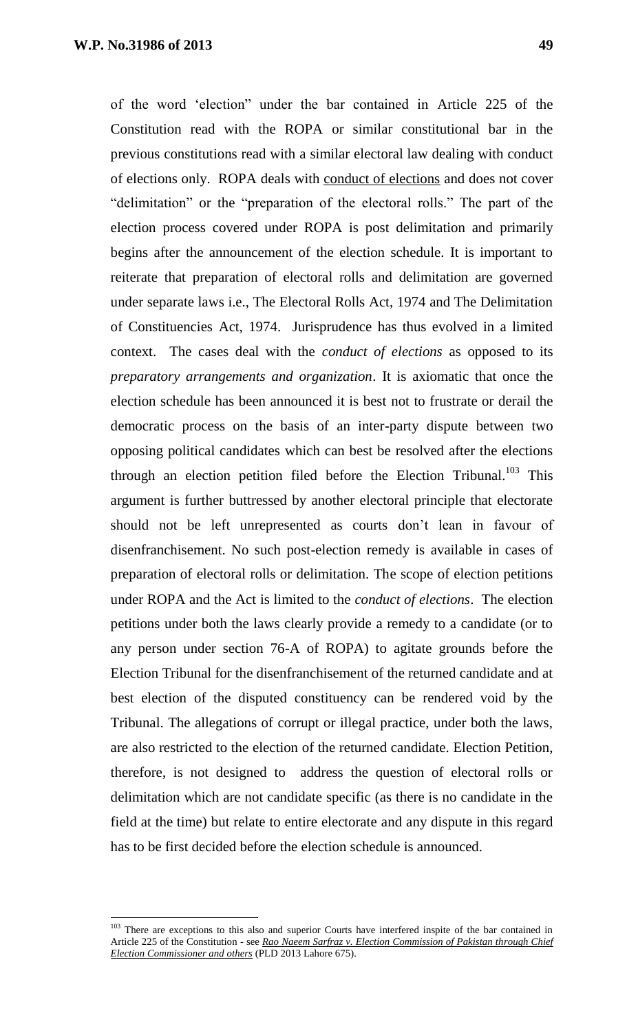of the word 'election" under the bar contained in Article 225 of the Constitution read with the ROPA or similar constitutional bar in the previous constitutions read with a similar electoral law dealing with conduct of elections only. ROPA deals with conduct of elections and does not cover "delimitation" or the "preparation of the electoral rolls." The part of the election process covered under ROPA is post delimitation and primarily begins after the announcement of the election schedule. It is important to reiterate that preparation of electoral rolls and delimitation are governed under separate laws i.e., The Electoral Rolls Act, 1974 and The Delimitation of Constituencies Act, 1974. Jurisprudence has thus evolved in a limited context. The cases deal with the *conduct of elections* as opposed to its *preparatory arrangements and organization*. It is axiomatic that once the election schedule has been announced it is best not to frustrate or derail the democratic process on the basis of an inter-party dispute between two opposing political candidates which can best be resolved after the elections through an election petition filed before the Election Tribunal.<sup>103</sup> This argument is further buttressed by another electoral principle that electorate should not be left unrepresented as courts don't lean in favour of disenfranchisement. No such post-election remedy is available in cases of preparation of electoral rolls or delimitation. The scope of election petitions under ROPA and the Act is limited to the *conduct of elections*. The election petitions under both the laws clearly provide a remedy to a candidate (or to any person under section 76-A of ROPA) to agitate grounds before the Election Tribunal for the disenfranchisement of the returned candidate and at best election of the disputed constituency can be rendered void by the Tribunal. The allegations of corrupt or illegal practice, under both the laws, are also restricted to the election of the returned candidate. Election Petition, therefore, is not designed to address the question of electoral rolls or delimitation which are not candidate specific (as there is no candidate in the field at the time) but relate to entire electorate and any dispute in this regard has to be first decided before the election schedule is announced.

<sup>&</sup>lt;sup>103</sup> There are exceptions to this also and superior Courts have interfered inspite of the bar contained in Article 225 of the Constitution - see *Rao Naeem Sarfraz v. Election Commission of Pakistan through Chief Election Commissioner and others* (PLD 2013 Lahore 675).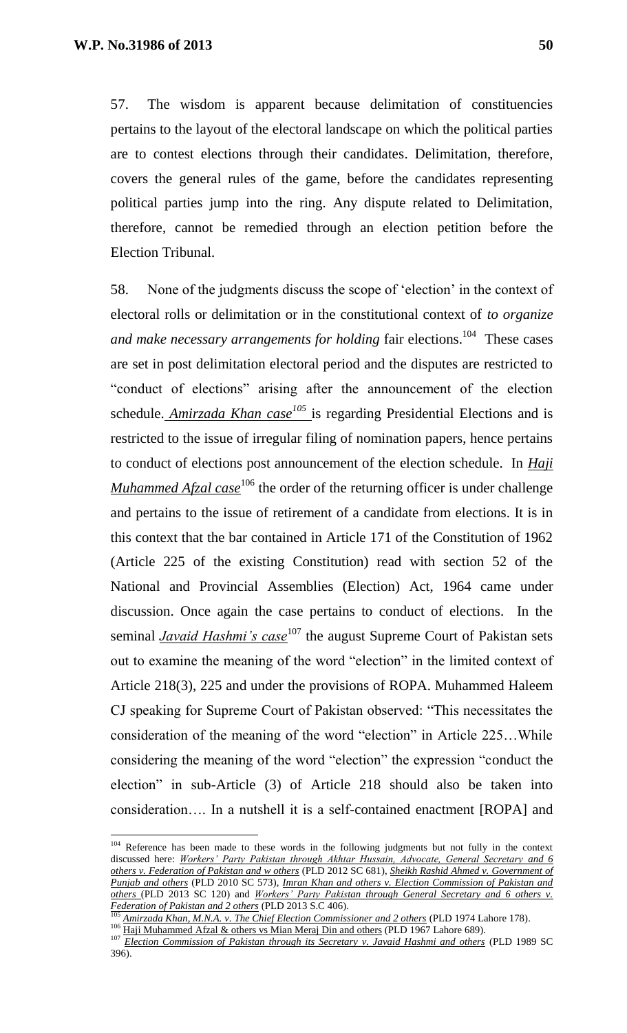57. The wisdom is apparent because delimitation of constituencies pertains to the layout of the electoral landscape on which the political parties are to contest elections through their candidates. Delimitation, therefore, covers the general rules of the game, before the candidates representing political parties jump into the ring. Any dispute related to Delimitation, therefore, cannot be remedied through an election petition before the Election Tribunal.

58. None of the judgments discuss the scope of ‗election' in the context of electoral rolls or delimitation or in the constitutional context of *to organize* and make necessary arrangements for holding fair elections.<sup>104</sup> These cases are set in post delimitation electoral period and the disputes are restricted to "conduct of elections" arising after the announcement of the election schedule. *Amirzada Khan case<sup>105</sup>* is regarding Presidential Elections and is restricted to the issue of irregular filing of nomination papers, hence pertains to conduct of elections post announcement of the election schedule. In *Haji Muhammed Afzal case*<sup>106</sup> the order of the returning officer is under challenge and pertains to the issue of retirement of a candidate from elections. It is in this context that the bar contained in Article 171 of the Constitution of 1962 (Article 225 of the existing Constitution) read with section 52 of the National and Provincial Assemblies (Election) Act, 1964 came under discussion. Once again the case pertains to conduct of elections. In the seminal *Javaid Hashmi's case*<sup>107</sup> the august Supreme Court of Pakistan sets out to examine the meaning of the word "election" in the limited context of Article 218(3), 225 and under the provisions of ROPA. Muhammed Haleem CJ speaking for Supreme Court of Pakistan observed: "This necessitates the consideration of the meaning of the word "election" in Article 225...While considering the meaning of the word "election" the expression "conduct the election" in sub-Article (3) of Article 218 should also be taken into consideration…. In a nutshell it is a self-contained enactment [ROPA] and

 $104$  Reference has been made to these words in the following judgments but not fully in the context discussed here: *Workers" Party Pakistan through Akhtar Hussain, Advocate, General Secretary and 6 others v. Federation of Pakistan and w others* (PLD 2012 SC 681), *Sheikh Rashid Ahmed v. Government of Punjab and others* (PLD 2010 SC 573), *Imran Khan and others v. Election Commission of Pakistan and others* (PLD 2013 SC 120) and *Workers" Party Pakistan through General Secretary and 6 others v. Federation of Pakistan and 2 others* (PLD 2013 S.C 406).

<sup>105</sup> *Amirzada Khan, M.N.A. v. The Chief Election Commissioner and 2 others* (PLD 1974 Lahore 178).

 $106$  Haji Muhammed Afzal & others vs Mian Meraj Din and others (PLD 1967 Lahore 689).

<sup>107</sup> *Election Commission of Pakistan through its Secretary v. Javaid Hashmi and others* (PLD 1989 SC 396).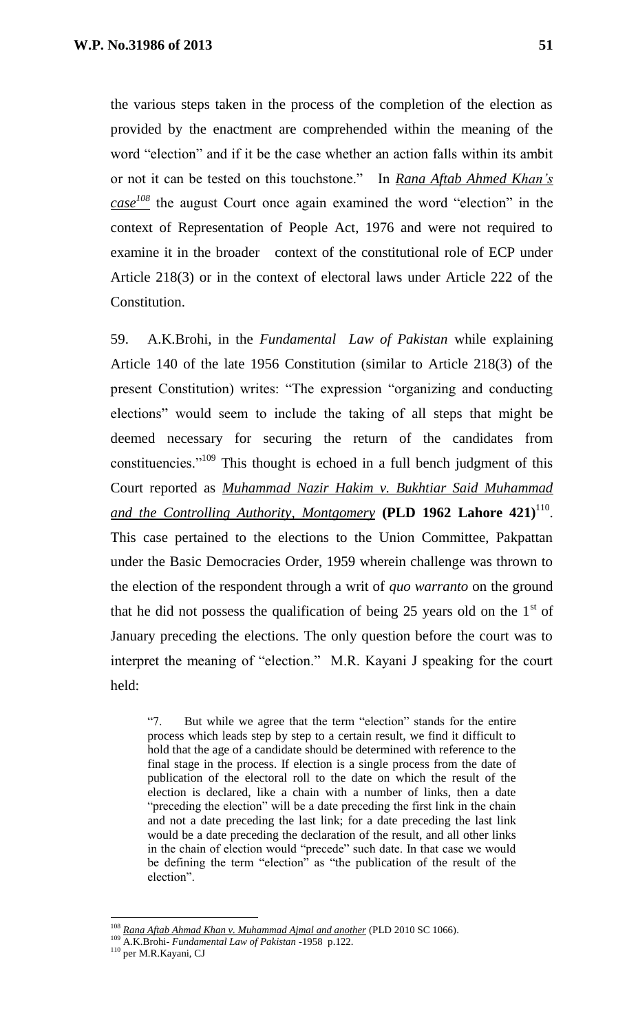the various steps taken in the process of the completion of the election as provided by the enactment are comprehended within the meaning of the word "election" and if it be the case whether an action falls within its ambit or not it can be tested on this touchstone." In *Rana Aftab Ahmed Khan's*  $case^{108}$  the august Court once again examined the word "election" in the context of Representation of People Act, 1976 and were not required to examine it in the broader context of the constitutional role of ECP under Article 218(3) or in the context of electoral laws under Article 222 of the Constitution.

59. A.K.Brohi, in the *Fundamental Law of Pakistan* while explaining Article 140 of the late 1956 Constitution (similar to Article 218(3) of the present Constitution) writes: "The expression "organizing and conducting elections" would seem to include the taking of all steps that might be deemed necessary for securing the return of the candidates from constituencies."<sup>109</sup> This thought is echoed in a full bench judgment of this Court reported as *Muhammad Nazir Hakim v. Bukhtiar Said Muhammad and the Controlling Authority, Montgomery* **(PLD 1962 Lahore 421)**<sup>110</sup> . This case pertained to the elections to the Union Committee, Pakpattan under the Basic Democracies Order, 1959 wherein challenge was thrown to the election of the respondent through a writ of *quo warranto* on the ground that he did not possess the qualification of being 25 years old on the  $1<sup>st</sup>$  of January preceding the elections. The only question before the court was to interpret the meaning of "election." M.R. Kayani J speaking for the court held:

"7. But while we agree that the term "election" stands for the entire process which leads step by step to a certain result, we find it difficult to hold that the age of a candidate should be determined with reference to the final stage in the process. If election is a single process from the date of publication of the electoral roll to the date on which the result of the election is declared, like a chain with a number of links, then a date "preceding the election" will be a date preceding the first link in the chain and not a date preceding the last link; for a date preceding the last link would be a date preceding the declaration of the result, and all other links in the chain of election would "precede" such date. In that case we would be defining the term "election" as "the publication of the result of the election".

<sup>108</sup> *Rana Aftab Ahmad Khan v. Muhammad Ajmal and another* (PLD 2010 SC 1066).

<sup>109</sup> A.K.Brohi- *Fundamental Law of Pakistan* -1958 p.122.

<sup>110</sup> per M.R.Kayani, CJ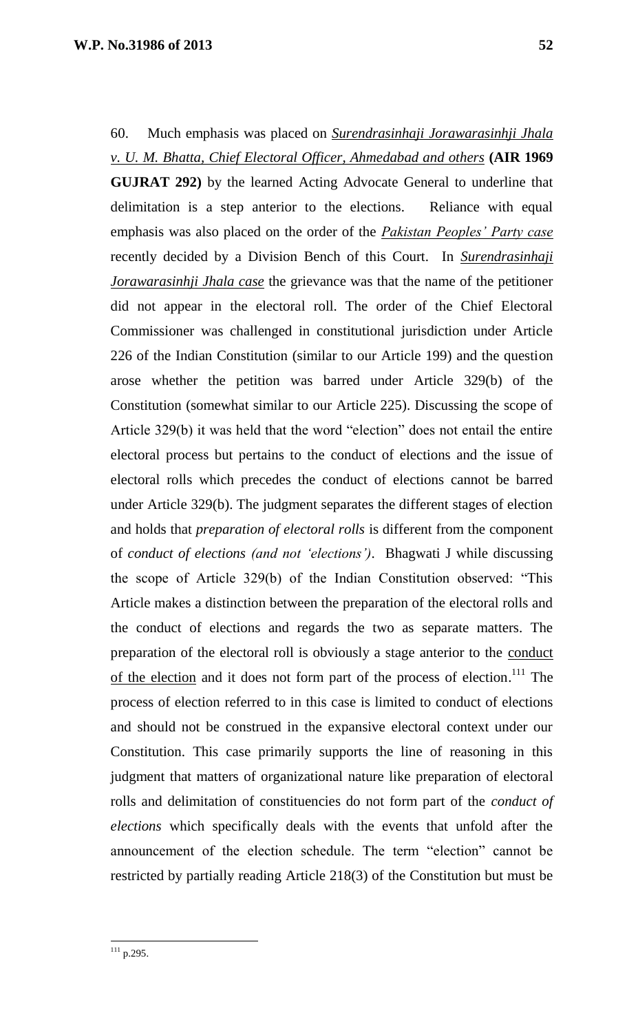60. Much emphasis was placed on *Surendrasinhaji Jorawarasinhji Jhala v. U. M. Bhatta, Chief Electoral Officer, Ahmedabad and others* **(AIR 1969 GUJRAT 292)** by the learned Acting Advocate General to underline that delimitation is a step anterior to the elections. Reliance with equal emphasis was also placed on the order of the *Pakistan Peoples" Party case* recently decided by a Division Bench of this Court. In *Surendrasinhaji Jorawarasinhji Jhala case* the grievance was that the name of the petitioner did not appear in the electoral roll. The order of the Chief Electoral Commissioner was challenged in constitutional jurisdiction under Article 226 of the Indian Constitution (similar to our Article 199) and the question arose whether the petition was barred under Article 329(b) of the Constitution (somewhat similar to our Article 225). Discussing the scope of Article 329(b) it was held that the word "election" does not entail the entire electoral process but pertains to the conduct of elections and the issue of electoral rolls which precedes the conduct of elections cannot be barred under Article 329(b). The judgment separates the different stages of election and holds that *preparation of electoral rolls* is different from the component of *conduct of elections (and not "elections")*. Bhagwati J while discussing the scope of Article 329(b) of the Indian Constitution observed: "This Article makes a distinction between the preparation of the electoral rolls and the conduct of elections and regards the two as separate matters. The preparation of the electoral roll is obviously a stage anterior to the conduct of the election and it does not form part of the process of election.<sup>111</sup> The process of election referred to in this case is limited to conduct of elections and should not be construed in the expansive electoral context under our Constitution. This case primarily supports the line of reasoning in this judgment that matters of organizational nature like preparation of electoral rolls and delimitation of constituencies do not form part of the *conduct of elections* which specifically deals with the events that unfold after the announcement of the election schedule. The term "election" cannot be restricted by partially reading Article 218(3) of the Constitution but must be

  $^{111}$  p.295.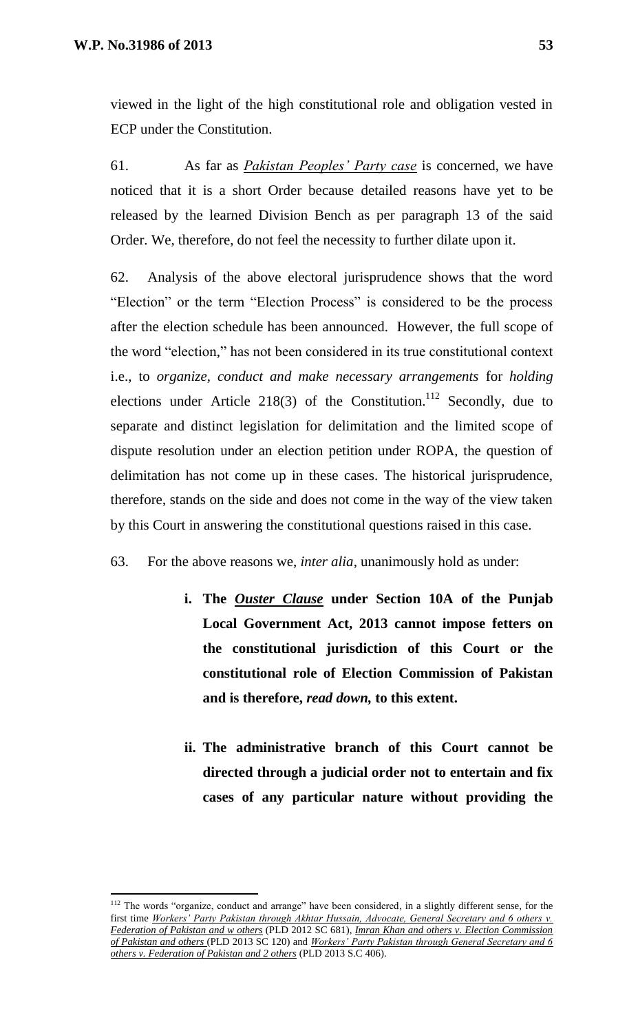viewed in the light of the high constitutional role and obligation vested in ECP under the Constitution.

61. As far as *Pakistan Peoples" Party case* is concerned, we have noticed that it is a short Order because detailed reasons have yet to be released by the learned Division Bench as per paragraph 13 of the said Order. We, therefore, do not feel the necessity to further dilate upon it.

62. Analysis of the above electoral jurisprudence shows that the word "Election" or the term "Election Process" is considered to be the process after the election schedule has been announced. However, the full scope of the word "election," has not been considered in its true constitutional context i.e., to *organize, conduct and make necessary arrangements* for *holding*  elections under Article 218(3) of the Constitution.<sup>112</sup> Secondly, due to separate and distinct legislation for delimitation and the limited scope of dispute resolution under an election petition under ROPA, the question of delimitation has not come up in these cases. The historical jurisprudence, therefore, stands on the side and does not come in the way of the view taken by this Court in answering the constitutional questions raised in this case.

63. For the above reasons we, *inter alia*, unanimously hold as under:

- **i. The** *Ouster Clause* **under Section 10A of the Punjab Local Government Act, 2013 cannot impose fetters on the constitutional jurisdiction of this Court or the constitutional role of Election Commission of Pakistan and is therefore,** *read down,* **to this extent.**
- **ii. The administrative branch of this Court cannot be directed through a judicial order not to entertain and fix cases of any particular nature without providing the**

<sup>&</sup>lt;sup>112</sup> The words "organize, conduct and arrange" have been considered, in a slightly different sense, for the first time *Workers" Party Pakistan through Akhtar Hussain, Advocate, General Secretary and 6 others v. Federation of Pakistan and w others* (PLD 2012 SC 681), *Imran Khan and others v. Election Commission of Pakistan and others* (PLD 2013 SC 120) and *Workers" Party Pakistan through General Secretary and 6 others v. Federation of Pakistan and 2 others* (PLD 2013 S.C 406).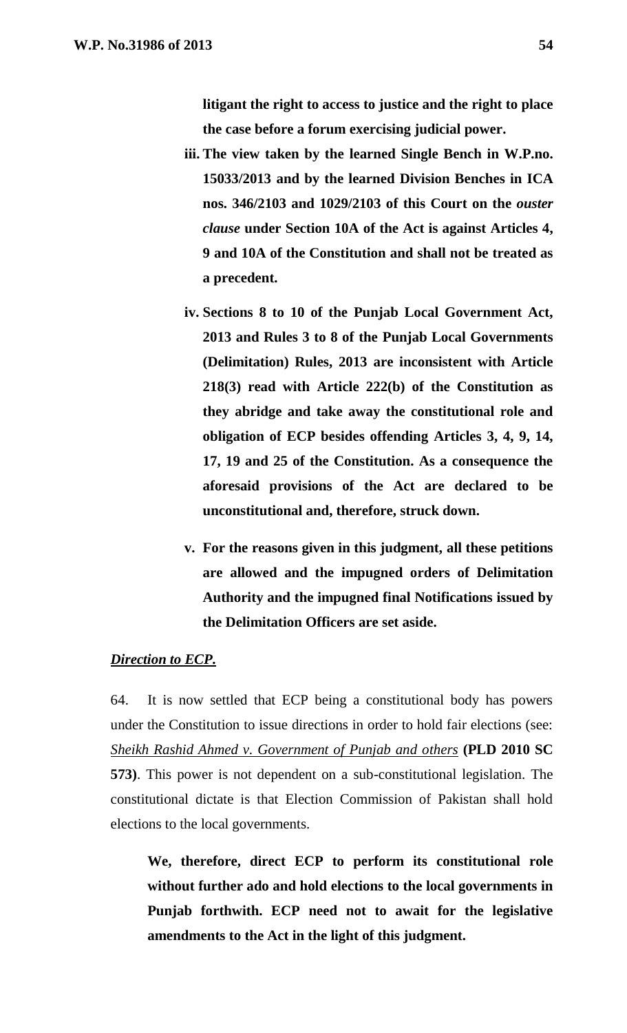**litigant the right to access to justice and the right to place the case before a forum exercising judicial power.**

- **iii. The view taken by the learned Single Bench in W.P.no. 15033/2013 and by the learned Division Benches in ICA nos. 346/2103 and 1029/2103 of this Court on the** *ouster clause* **under Section 10A of the Act is against Articles 4, 9 and 10A of the Constitution and shall not be treated as a precedent.**
- **iv. Sections 8 to 10 of the Punjab Local Government Act, 2013 and Rules 3 to 8 of the Punjab Local Governments (Delimitation) Rules, 2013 are inconsistent with Article 218(3) read with Article 222(b) of the Constitution as they abridge and take away the constitutional role and obligation of ECP besides offending Articles 3, 4, 9, 14, 17, 19 and 25 of the Constitution. As a consequence the aforesaid provisions of the Act are declared to be unconstitutional and, therefore, struck down.**
- **v. For the reasons given in this judgment, all these petitions are allowed and the impugned orders of Delimitation Authority and the impugned final Notifications issued by the Delimitation Officers are set aside.**

### *Direction to ECP.*

64. It is now settled that ECP being a constitutional body has powers under the Constitution to issue directions in order to hold fair elections (see: *Sheikh Rashid Ahmed v. Government of Punjab and others* **(PLD 2010 SC 573)**. This power is not dependent on a sub-constitutional legislation. The constitutional dictate is that Election Commission of Pakistan shall hold elections to the local governments.

**We, therefore, direct ECP to perform its constitutional role without further ado and hold elections to the local governments in Punjab forthwith. ECP need not to await for the legislative amendments to the Act in the light of this judgment.**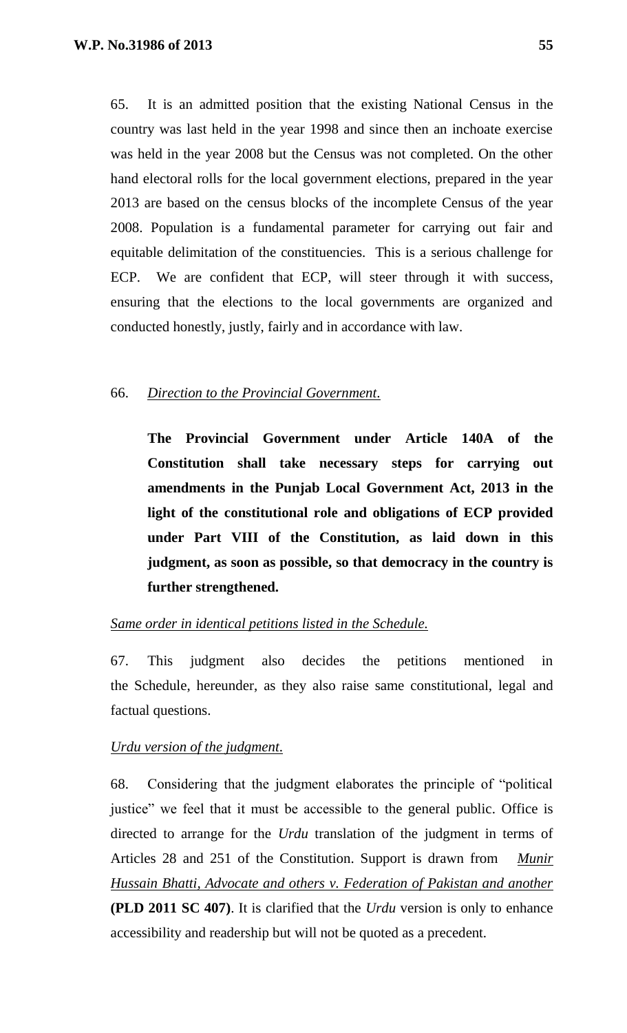65. It is an admitted position that the existing National Census in the country was last held in the year 1998 and since then an inchoate exercise was held in the year 2008 but the Census was not completed. On the other hand electoral rolls for the local government elections, prepared in the year 2013 are based on the census blocks of the incomplete Census of the year 2008. Population is a fundamental parameter for carrying out fair and equitable delimitation of the constituencies. This is a serious challenge for ECP. We are confident that ECP, will steer through it with success, ensuring that the elections to the local governments are organized and conducted honestly, justly, fairly and in accordance with law.

#### 66. *Direction to the Provincial Government.*

**The Provincial Government under Article 140A of the Constitution shall take necessary steps for carrying out amendments in the Punjab Local Government Act, 2013 in the light of the constitutional role and obligations of ECP provided under Part VIII of the Constitution, as laid down in this judgment, as soon as possible, so that democracy in the country is further strengthened.** 

#### *Same order in identical petitions listed in the Schedule.*

67. This judgment also decides the petitions mentioned in the Schedule, hereunder, as they also raise same constitutional, legal and factual questions.

### *Urdu version of the judgment.*

68. Considering that the judgment elaborates the principle of "political" justice" we feel that it must be accessible to the general public. Office is directed to arrange for the *Urdu* translation of the judgment in terms of Articles 28 and 251 of the Constitution. Support is drawn from *Munir Hussain Bhatti, Advocate and others v. Federation of Pakistan and another* **(PLD 2011 SC 407)**. It is clarified that the *Urdu* version is only to enhance accessibility and readership but will not be quoted as a precedent.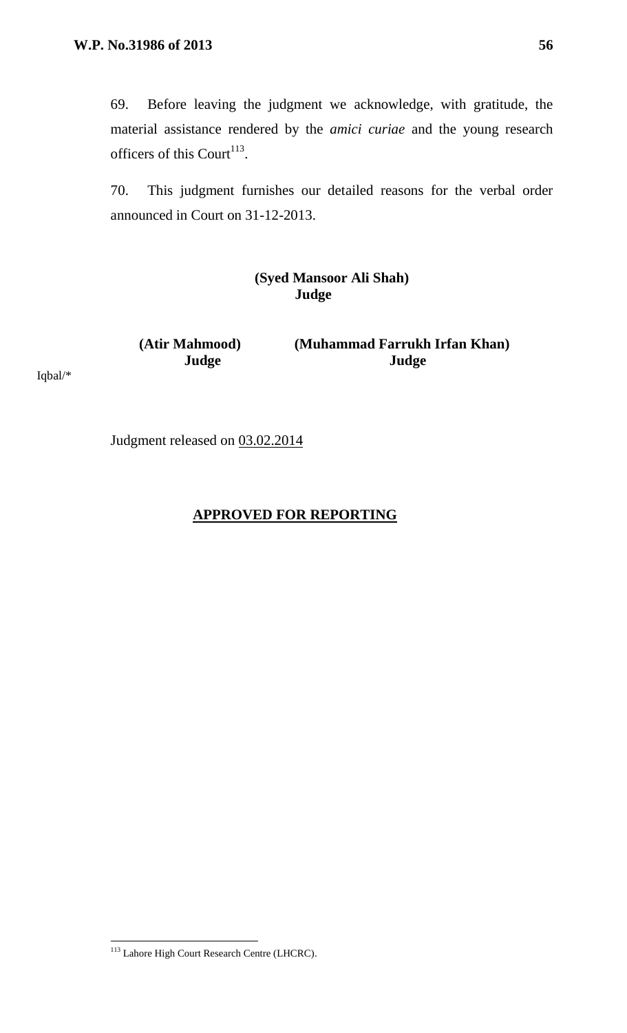69. Before leaving the judgment we acknowledge, with gratitude, the material assistance rendered by the *amici curiae* and the young research officers of this Court<sup>113</sup>.

70. This judgment furnishes our detailed reasons for the verbal order announced in Court on 31-12-2013.

# **(Syed Mansoor Ali Shah) Judge**

 **(Atir Mahmood) (Muhammad Farrukh Irfan Khan) Judge Judge**

Iqbal/\*

Judgment released on 03.02.2014

## **APPROVED FOR REPORTING**

 <sup>113</sup> Lahore High Court Research Centre (LHCRC).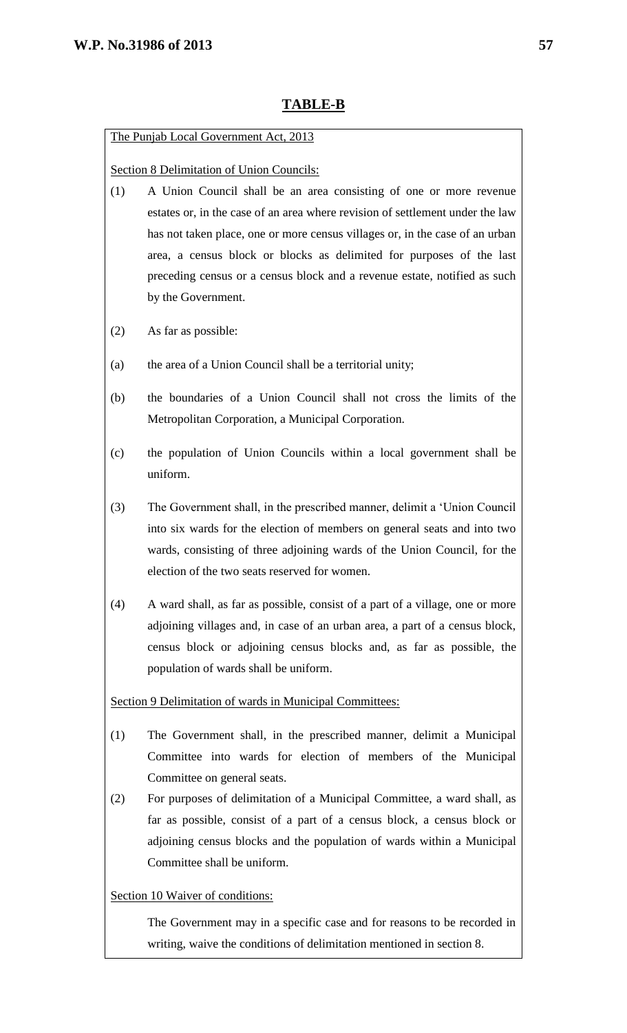# **TABLE-B**

The Punjab Local Government Act, 2013

### Section 8 Delimitation of Union Councils:

- (1) A Union Council shall be an area consisting of one or more revenue estates or, in the case of an area where revision of settlement under the law has not taken place, one or more census villages or, in the case of an urban area, a census block or blocks as delimited for purposes of the last preceding census or a census block and a revenue estate, notified as such by the Government.
- (2) As far as possible:
- (a) the area of a Union Council shall be a territorial unity;
- (b) the boundaries of a Union Council shall not cross the limits of the Metropolitan Corporation, a Municipal Corporation.
- (c) the population of Union Councils within a local government shall be uniform.
- (3) The Government shall, in the prescribed manner, delimit a ‗Union Council into six wards for the election of members on general seats and into two wards, consisting of three adjoining wards of the Union Council, for the election of the two seats reserved for women.
- (4) A ward shall, as far as possible, consist of a part of a village, one or more adjoining villages and, in case of an urban area, a part of a census block, census block or adjoining census blocks and, as far as possible, the population of wards shall be uniform.

Section 9 Delimitation of wards in Municipal Committees:

- (1) The Government shall, in the prescribed manner, delimit a Municipal Committee into wards for election of members of the Municipal Committee on general seats.
- (2) For purposes of delimitation of a Municipal Committee, a ward shall, as far as possible, consist of a part of a census block, a census block or adjoining census blocks and the population of wards within a Municipal Committee shall be uniform.

### Section 10 Waiver of conditions:

The Government may in a specific case and for reasons to be recorded in writing, waive the conditions of delimitation mentioned in section 8.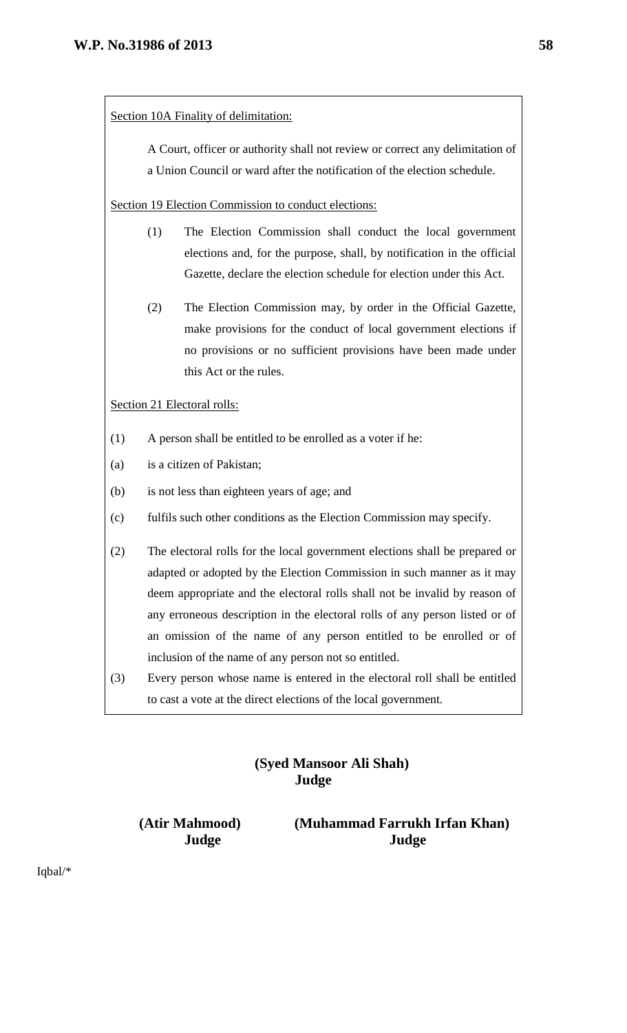|     | <b>Section 10A Finality of delimitation:</b>                                                                                                                                                                                                                                                                                                                                                                                                      |  |  |  |
|-----|---------------------------------------------------------------------------------------------------------------------------------------------------------------------------------------------------------------------------------------------------------------------------------------------------------------------------------------------------------------------------------------------------------------------------------------------------|--|--|--|
|     | A Court, officer or authority shall not review or correct any delimitation of<br>a Union Council or ward after the notification of the election schedule.                                                                                                                                                                                                                                                                                         |  |  |  |
|     | Section 19 Election Commission to conduct elections:                                                                                                                                                                                                                                                                                                                                                                                              |  |  |  |
|     | (1)<br>The Election Commission shall conduct the local government<br>elections and, for the purpose, shall, by notification in the official<br>Gazette, declare the election schedule for election under this Act.                                                                                                                                                                                                                                |  |  |  |
|     | (2)<br>The Election Commission may, by order in the Official Gazette,<br>make provisions for the conduct of local government elections if<br>no provisions or no sufficient provisions have been made under<br>this Act or the rules.                                                                                                                                                                                                             |  |  |  |
|     | Section 21 Electoral rolls:                                                                                                                                                                                                                                                                                                                                                                                                                       |  |  |  |
| (1) | A person shall be entitled to be enrolled as a voter if he:                                                                                                                                                                                                                                                                                                                                                                                       |  |  |  |
| (a) | is a citizen of Pakistan;                                                                                                                                                                                                                                                                                                                                                                                                                         |  |  |  |
| (b) | is not less than eighteen years of age; and                                                                                                                                                                                                                                                                                                                                                                                                       |  |  |  |
| (c) | fulfils such other conditions as the Election Commission may specify.                                                                                                                                                                                                                                                                                                                                                                             |  |  |  |
| (2) | The electoral rolls for the local government elections shall be prepared or<br>adapted or adopted by the Election Commission in such manner as it may<br>deem appropriate and the electoral rolls shall not be invalid by reason of<br>any erroneous description in the electoral rolls of any person listed or of<br>an omission of the name of any person entitled to be enrolled or of<br>inclusion of the name of any person not so entitled. |  |  |  |
| (3) | Every person whose name is entered in the electoral roll shall be entitled<br>to cast a vote at the direct elections of the local government.                                                                                                                                                                                                                                                                                                     |  |  |  |

# **(Syed Mansoor Ali Shah) Judge**

**Judge Judge**

 **(Muhammad Farrukh Irfan Khan)**<br>**Judge** 

Iqbal/\*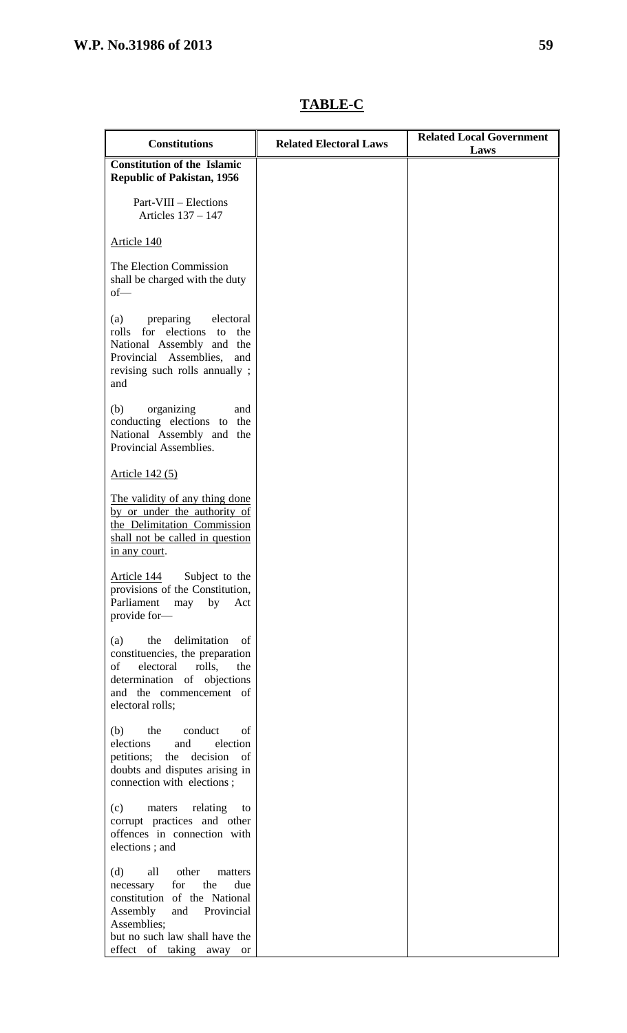| <b>Constitutions</b>                                                                                                                                                                                              | <b>Related Electoral Laws</b> | <b>Related Local Government</b><br>Laws |
|-------------------------------------------------------------------------------------------------------------------------------------------------------------------------------------------------------------------|-------------------------------|-----------------------------------------|
| <b>Constitution of the Islamic</b><br><b>Republic of Pakistan, 1956</b>                                                                                                                                           |                               |                                         |
| Part-VIII - Elections<br>Articles 137 - 147                                                                                                                                                                       |                               |                                         |
| Article 140                                                                                                                                                                                                       |                               |                                         |
| The Election Commission<br>shall be charged with the duty<br>$of$ —                                                                                                                                               |                               |                                         |
| preparing<br>electoral<br>(a)<br>for elections<br>rolls<br>the<br>to<br>National Assembly and the<br>Provincial Assemblies,<br>and<br>revising such rolls annually;<br>and                                        |                               |                                         |
| (b)<br>organizing<br>and<br>conducting elections to the<br>National Assembly and the<br>Provincial Assemblies.                                                                                                    |                               |                                         |
| Article 142 (5)                                                                                                                                                                                                   |                               |                                         |
| The validity of any thing done<br>by or under the authority of<br>the Delimitation Commission<br>shall not be called in question<br>in any court.                                                                 |                               |                                         |
| Article 144<br>Subject to the<br>provisions of the Constitution,<br>Parliament<br>by<br>may<br>Act<br>provide for-                                                                                                |                               |                                         |
| delimitation<br>the<br>(a)<br>of<br>constituencies, the preparation<br>of<br>rolls,<br>electoral<br>the<br>determination of objections<br>and the commencement of<br>electoral rolls;                             |                               |                                         |
| the<br>conduct<br>of<br>(b)<br>elections<br>and<br>election<br>petitions;<br>the<br>decision<br>of<br>doubts and disputes arising in<br>connection with elections;                                                |                               |                                         |
| (c)<br>maters relating<br>to<br>corrupt practices and other<br>offences in connection with<br>elections; and                                                                                                      |                               |                                         |
| (d)<br>all<br>other<br>matters<br>the<br>due<br>necessary<br>for<br>constitution of the National<br>Assembly<br>and<br>Provincial<br>Assemblies;<br>but no such law shall have the<br>effect of taking away<br>or |                               |                                         |

# **TABLE-C**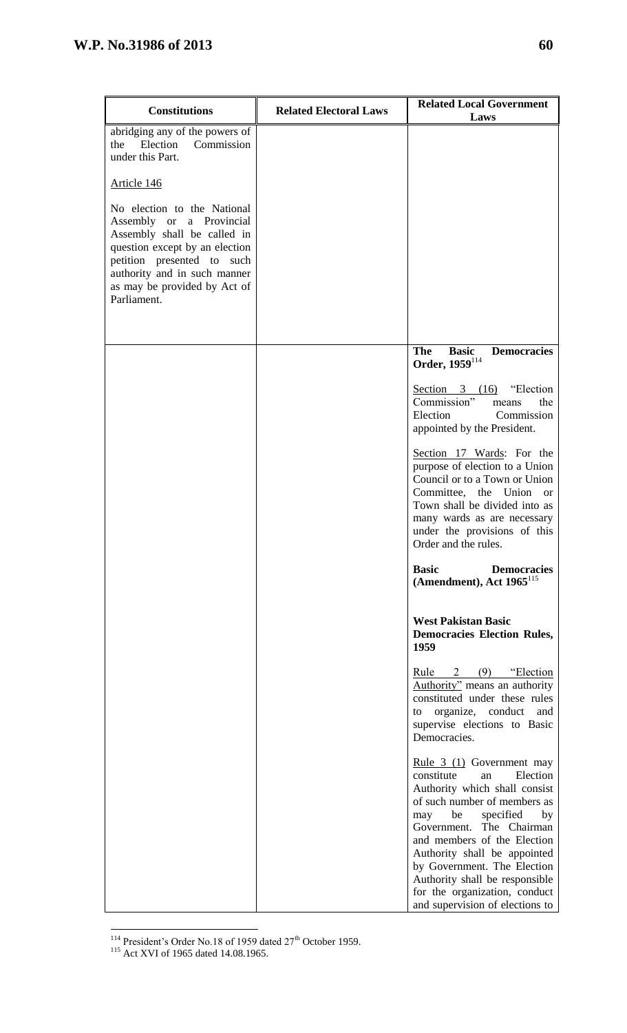| <b>Constitutions</b>                                                                                                                                                                                                                     | <b>Related Electoral Laws</b> | <b>Related Local Government</b><br>Laws                                                                                                                                                                                                                                                                                                                                                     |
|------------------------------------------------------------------------------------------------------------------------------------------------------------------------------------------------------------------------------------------|-------------------------------|---------------------------------------------------------------------------------------------------------------------------------------------------------------------------------------------------------------------------------------------------------------------------------------------------------------------------------------------------------------------------------------------|
| abridging any of the powers of<br>Commission<br>Election<br>the<br>under this Part.                                                                                                                                                      |                               |                                                                                                                                                                                                                                                                                                                                                                                             |
| Article 146                                                                                                                                                                                                                              |                               |                                                                                                                                                                                                                                                                                                                                                                                             |
| No election to the National<br>Assembly or<br>a Provincial<br>Assembly shall be called in<br>question except by an election<br>petition presented to such<br>authority and in such manner<br>as may be provided by Act of<br>Parliament. |                               |                                                                                                                                                                                                                                                                                                                                                                                             |
|                                                                                                                                                                                                                                          |                               | <b>Basic</b><br>The<br><b>Democracies</b><br>Order, 1959 <sup>114</sup>                                                                                                                                                                                                                                                                                                                     |
|                                                                                                                                                                                                                                          |                               | Section $3(16)$ "Election"<br>Commission"<br>the<br>means<br>Election<br>Commission<br>appointed by the President.                                                                                                                                                                                                                                                                          |
|                                                                                                                                                                                                                                          |                               | Section 17 Wards: For the<br>purpose of election to a Union<br>Council or to a Town or Union<br>Committee, the Union<br><sub>or</sub><br>Town shall be divided into as<br>many wards as are necessary<br>under the provisions of this<br>Order and the rules.                                                                                                                               |
|                                                                                                                                                                                                                                          |                               | <b>Basic</b><br><b>Democracies</b><br>(Amendment), Act $1965^{115}$                                                                                                                                                                                                                                                                                                                         |
|                                                                                                                                                                                                                                          |                               | <b>West Pakistan Basic</b><br><b>Democracies Election Rules,</b><br>1959                                                                                                                                                                                                                                                                                                                    |
|                                                                                                                                                                                                                                          |                               | Rule $2$ (9) "Election<br>Authority" means an authority<br>constituted under these rules<br>organize, conduct and<br>to<br>supervise elections to Basic<br>Democracies.                                                                                                                                                                                                                     |
|                                                                                                                                                                                                                                          |                               | Rule $3(1)$ Government may<br>Election<br>constitute<br>an<br>Authority which shall consist<br>of such number of members as<br>be<br>specified<br>by<br>may<br>Government. The Chairman<br>and members of the Election<br>Authority shall be appointed<br>by Government. The Election<br>Authority shall be responsible<br>for the organization, conduct<br>and supervision of elections to |

  $114$  President's Order No.18 of 1959 dated  $27<sup>th</sup>$  October 1959.

<sup>&</sup>lt;sup>115</sup> Act XVI of 1965 dated 14.08.1965.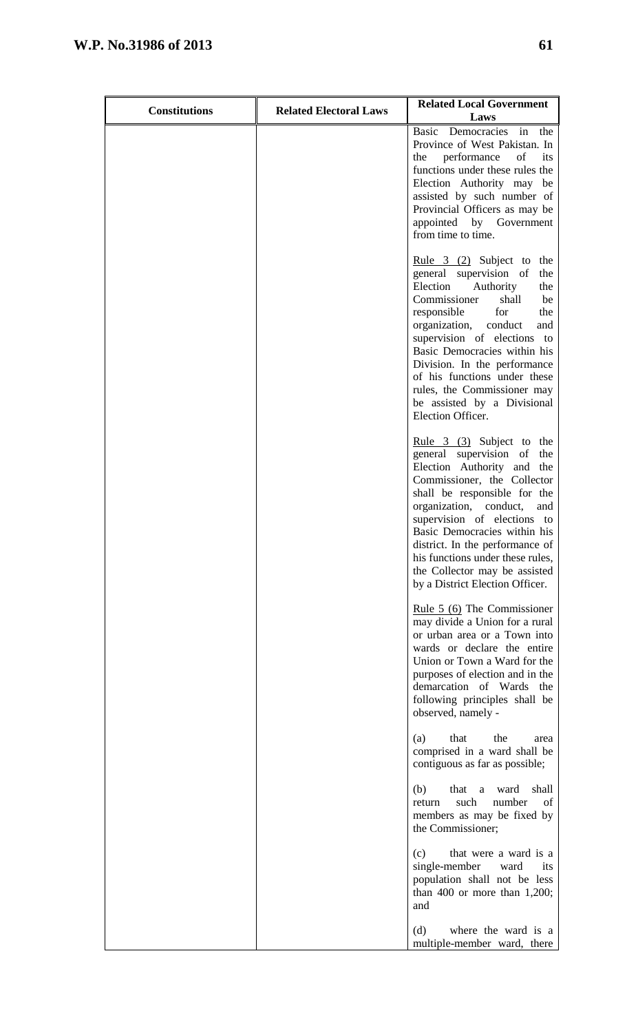| <b>Constitutions</b> | <b>Related Electoral Laws</b> | <b>Related Local Government</b><br>Laws                                                                                                                                                                                                                                                                                                                                                                   |
|----------------------|-------------------------------|-----------------------------------------------------------------------------------------------------------------------------------------------------------------------------------------------------------------------------------------------------------------------------------------------------------------------------------------------------------------------------------------------------------|
|                      |                               | Basic Democracies in the<br>Province of West Pakistan. In<br>performance<br>of<br>its<br>the<br>functions under these rules the<br>Election Authority may be<br>assisted by such number of<br>Provincial Officers as may be<br>appointed by Government<br>from time to time.                                                                                                                              |
|                      |                               | Rule $3(2)$ Subject to the<br>general supervision of<br>the<br>Election<br>Authority<br>the<br>shall<br>Commissioner<br>be<br>responsible<br>for<br>the<br>organization, conduct<br>and<br>supervision of elections to<br>Basic Democracies within his<br>Division. In the performance<br>of his functions under these<br>rules, the Commissioner may<br>be assisted by a Divisional<br>Election Officer. |
|                      |                               | Rule $3$ $(3)$ Subject to the<br>general supervision of<br>the<br>Election Authority and the<br>Commissioner, the Collector<br>shall be responsible for the<br>organization, conduct,<br>and<br>supervision of elections to<br>Basic Democracies within his<br>district. In the performance of<br>his functions under these rules,<br>the Collector may be assisted<br>by a District Election Officer.    |
|                      |                               | Rule $5(6)$ The Commissioner<br>may divide a Union for a rural<br>or urban area or a Town into<br>wards or declare the entire<br>Union or Town a Ward for the<br>purposes of election and in the<br>demarcation of Wards the<br>following principles shall be<br>observed, namely -                                                                                                                       |
|                      |                               | that<br>the<br>(a)<br>area<br>comprised in a ward shall be<br>contiguous as far as possible;                                                                                                                                                                                                                                                                                                              |
|                      |                               | (b)<br>that<br>ward<br>shall<br>a<br>such<br>number<br>return<br>οf<br>members as may be fixed by<br>the Commissioner;                                                                                                                                                                                                                                                                                    |
|                      |                               | that were a ward is a<br>(c)<br>single-member<br>ward<br>its<br>population shall not be less<br>than 400 or more than $1,200$ ;<br>and                                                                                                                                                                                                                                                                    |
|                      |                               | where the ward is a<br>(d)<br>multiple-member ward, there                                                                                                                                                                                                                                                                                                                                                 |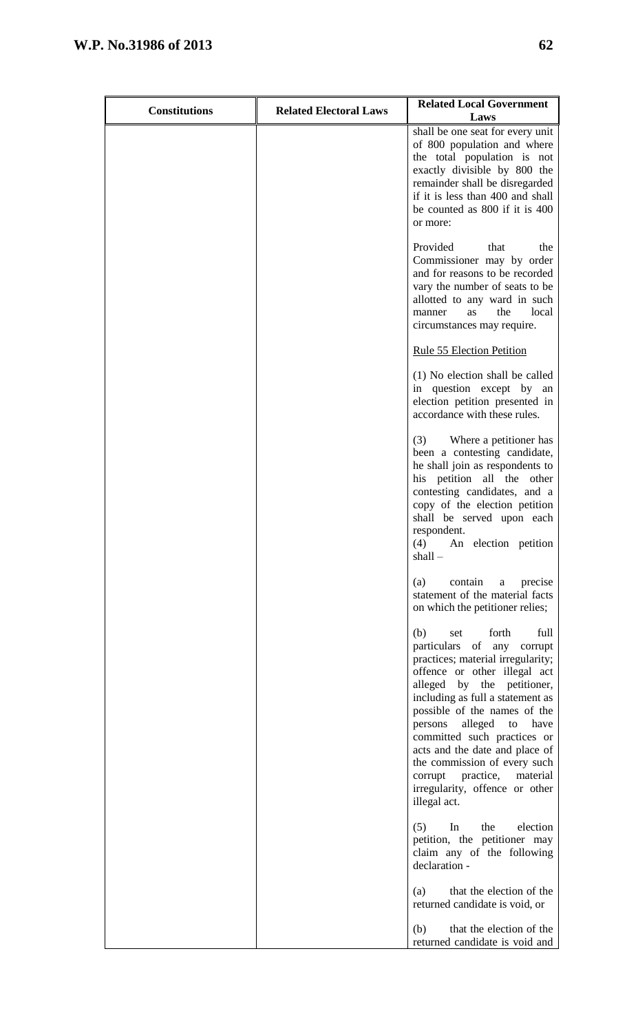| <b>Constitutions</b> | <b>Related Electoral Laws</b> | <b>Related Local Government</b><br>Laws                                                                                                                                                                                                                                                                                                                                                                                                                        |
|----------------------|-------------------------------|----------------------------------------------------------------------------------------------------------------------------------------------------------------------------------------------------------------------------------------------------------------------------------------------------------------------------------------------------------------------------------------------------------------------------------------------------------------|
|                      |                               | shall be one seat for every unit<br>of 800 population and where<br>the total population is not<br>exactly divisible by 800 the<br>remainder shall be disregarded<br>if it is less than 400 and shall<br>be counted as 800 if it is 400<br>or more:                                                                                                                                                                                                             |
|                      |                               | Provided<br>that<br>the<br>Commissioner may by order<br>and for reasons to be recorded<br>vary the number of seats to be<br>allotted to any ward in such<br>the<br>as<br>local<br>manner<br>circumstances may require.                                                                                                                                                                                                                                         |
|                      |                               | <b>Rule 55 Election Petition</b>                                                                                                                                                                                                                                                                                                                                                                                                                               |
|                      |                               | (1) No election shall be called<br>in question except by an<br>election petition presented in<br>accordance with these rules.                                                                                                                                                                                                                                                                                                                                  |
|                      |                               | (3)<br>Where a petitioner has<br>been a contesting candidate,<br>he shall join as respondents to<br>his petition all the other<br>contesting candidates, and a<br>copy of the election petition<br>shall be served upon each<br>respondent.<br>(4)<br>An election petition<br>$shall -$                                                                                                                                                                        |
|                      |                               | (a)<br>contain<br>$\mathbf{a}$<br>precise<br>statement of the material facts<br>on which the petitioner relies;                                                                                                                                                                                                                                                                                                                                                |
|                      |                               | forth<br>full<br>(b)<br>set<br>particulars of<br>any<br>corrupt<br>practices; material irregularity;<br>offence or other illegal act<br>alleged by the petitioner,<br>including as full a statement as<br>possible of the names of the<br>alleged<br>persons<br>to<br>have<br>committed such practices or<br>acts and the date and place of<br>the commission of every such<br>corrupt practice,<br>material<br>irregularity, offence or other<br>illegal act. |
|                      |                               | election<br>(5)<br>In<br>the<br>petition, the petitioner may<br>claim any of the following<br>declaration -                                                                                                                                                                                                                                                                                                                                                    |
|                      |                               | that the election of the<br>(a)<br>returned candidate is void, or                                                                                                                                                                                                                                                                                                                                                                                              |
|                      |                               | that the election of the<br>(b)<br>returned candidate is void and                                                                                                                                                                                                                                                                                                                                                                                              |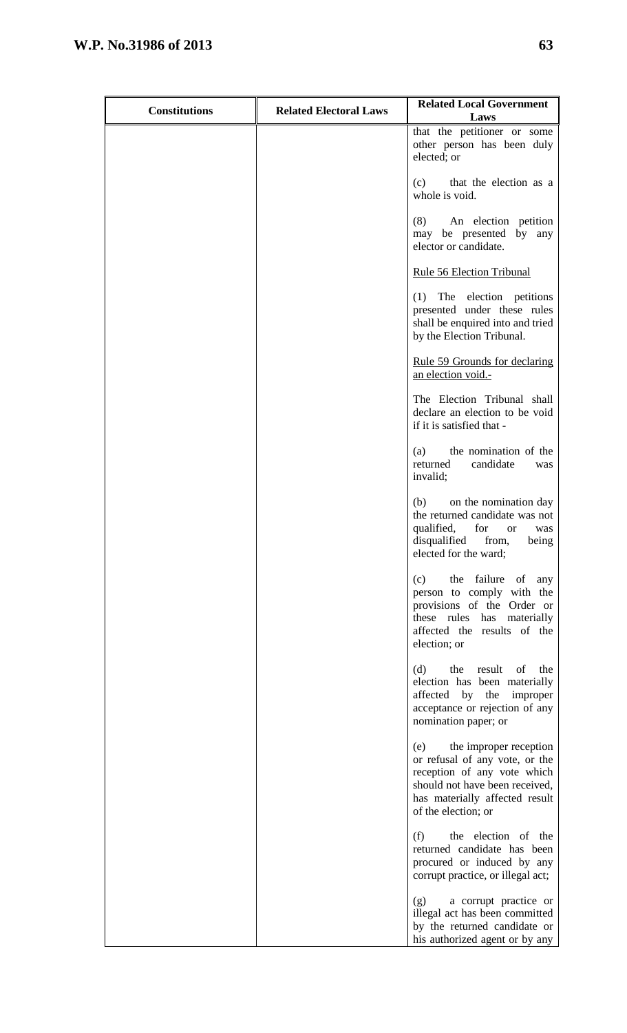| <b>Constitutions</b> | <b>Related Electoral Laws</b> | <b>Related Local Government</b><br>Laws                                                                                                                                                   |
|----------------------|-------------------------------|-------------------------------------------------------------------------------------------------------------------------------------------------------------------------------------------|
|                      |                               | that the petitioner or some<br>other person has been duly<br>elected; or                                                                                                                  |
|                      |                               | (c) that the election as a<br>whole is void.                                                                                                                                              |
|                      |                               | (8) An election petition<br>may be presented by any<br>elector or candidate.                                                                                                              |
|                      |                               | <b>Rule 56 Election Tribunal</b>                                                                                                                                                          |
|                      |                               | (1) The election petitions<br>presented under these rules<br>shall be enquired into and tried<br>by the Election Tribunal.                                                                |
|                      |                               | Rule 59 Grounds for declaring<br>an election void.-                                                                                                                                       |
|                      |                               | The Election Tribunal shall<br>declare an election to be void<br>if it is satisfied that -                                                                                                |
|                      |                               | the nomination of the<br>(a)<br>returned<br>candidate<br>was<br>invalid;                                                                                                                  |
|                      |                               | (b)<br>on the nomination day<br>the returned candidate was not<br>qualified,<br>for<br><b>or</b><br>was<br>disqualified from,<br>being<br>elected for the ward;                           |
|                      |                               | the failure of any<br>(c)<br>person to comply with the<br>provisions of the Order or<br>these rules<br>has materially<br>affected the results of the<br>election; or                      |
|                      |                               | the result<br>(d)<br>of<br>the<br>election has been materially<br>affected by the improper<br>acceptance or rejection of any<br>nomination paper; or                                      |
|                      |                               | the improper reception<br>(e)<br>or refusal of any vote, or the<br>reception of any vote which<br>should not have been received,<br>has materially affected result<br>of the election; or |
|                      |                               | (f)<br>the election of the<br>returned candidate has been<br>procured or induced by any<br>corrupt practice, or illegal act;                                                              |
|                      |                               | a corrupt practice or<br>(g)<br>illegal act has been committed<br>by the returned candidate or<br>his authorized agent or by any                                                          |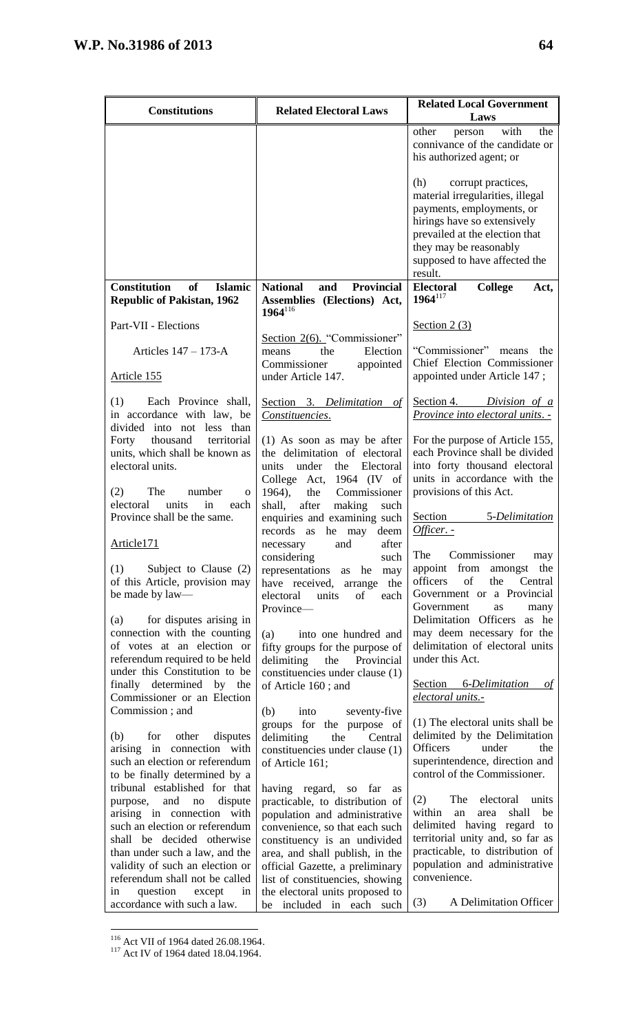| <b>Constitutions</b>                                                                                                                                                                                                                                                              | <b>Related Electoral Laws</b>                                                                                                                                                                                                                  | <b>Related Local Government</b><br>Laws                                                                                                                                                                                       |
|-----------------------------------------------------------------------------------------------------------------------------------------------------------------------------------------------------------------------------------------------------------------------------------|------------------------------------------------------------------------------------------------------------------------------------------------------------------------------------------------------------------------------------------------|-------------------------------------------------------------------------------------------------------------------------------------------------------------------------------------------------------------------------------|
|                                                                                                                                                                                                                                                                                   |                                                                                                                                                                                                                                                | with<br>other<br>the<br>person<br>connivance of the candidate or<br>his authorized agent; or                                                                                                                                  |
|                                                                                                                                                                                                                                                                                   |                                                                                                                                                                                                                                                | (h)<br>corrupt practices,<br>material irregularities, illegal<br>payments, employments, or                                                                                                                                    |
|                                                                                                                                                                                                                                                                                   |                                                                                                                                                                                                                                                | hirings have so extensively<br>prevailed at the election that<br>they may be reasonably<br>supposed to have affected the<br>result.                                                                                           |
| <b>Constitution</b><br>of<br><b>Islamic</b><br><b>Republic of Pakistan, 1962</b>                                                                                                                                                                                                  | <b>Provincial</b><br><b>National</b><br>and<br>Assemblies (Elections) Act,<br>$1964^{116}$                                                                                                                                                     | <b>Electoral</b><br>College<br>Act,<br>$1964^{117}$                                                                                                                                                                           |
| Part-VII - Elections                                                                                                                                                                                                                                                              |                                                                                                                                                                                                                                                | Section $2(3)$                                                                                                                                                                                                                |
| Articles 147 - 173-A                                                                                                                                                                                                                                                              | Section 2(6). "Commissioner"<br>the<br>Election<br>means<br>Commissioner<br>appointed                                                                                                                                                          | "Commissioner"<br>the<br>means<br>Chief Election Commissioner                                                                                                                                                                 |
| Article 155                                                                                                                                                                                                                                                                       | under Article 147.                                                                                                                                                                                                                             | appointed under Article 147;                                                                                                                                                                                                  |
| (1)<br>Each Province shall,<br>in accordance with law, be<br>divided into not less than                                                                                                                                                                                           | Section 3. Delimitation of<br>Constituencies.                                                                                                                                                                                                  | Section 4. Division of a<br>Province into electoral units. -                                                                                                                                                                  |
| Forty<br>thousand<br>territorial<br>units, which shall be known as<br>electoral units.<br>(2)<br>The<br>number<br>$\Omega$                                                                                                                                                        | $(1)$ As soon as may be after<br>the delimitation of electoral<br>Electoral<br>units<br>under<br>the<br>College Act, 1964 (IV of<br>Commissioner<br>1964),<br>the                                                                              | For the purpose of Article 155,<br>each Province shall be divided<br>into forty thousand electoral<br>units in accordance with the<br>provisions of this Act.                                                                 |
| units<br>electoral<br>in<br>each<br>Province shall be the same.                                                                                                                                                                                                                   | making<br>shall,<br>after<br>such<br>enquiries and examining such<br>records<br>as<br>he<br>may<br>deem                                                                                                                                        | Section<br>5-Delimitation<br>Officer. -                                                                                                                                                                                       |
| Article171                                                                                                                                                                                                                                                                        | after<br>and<br>necessary<br>considering<br>such                                                                                                                                                                                               | The<br>Commissioner<br>may                                                                                                                                                                                                    |
| Subject to Clause (2)<br>(1)<br>of this Article, provision may<br>be made by law—                                                                                                                                                                                                 | representations as<br>he<br>may<br>have received, arrange the<br>electoral<br>units<br>of<br>each<br>Province-                                                                                                                                 | from<br>amongst the<br>appoint<br>of<br>officers<br>the<br>Central<br>Government or a Provincial<br>Government<br>as<br>many                                                                                                  |
| for disputes arising in<br>(a)<br>connection with the counting<br>of votes at an election or<br>referendum required to be held                                                                                                                                                    | (a)<br>into one hundred and<br>fifty groups for the purpose of<br>delimiting<br>Provincial<br>the                                                                                                                                              | Delimitation Officers as he<br>may deem necessary for the<br>delimitation of electoral units<br>under this Act.                                                                                                               |
| under this Constitution to be<br>finally determined by the<br>Commissioner or an Election                                                                                                                                                                                         | constituencies under clause (1)<br>of Article 160; and                                                                                                                                                                                         | Section 6-Delimitation<br>of<br>electoral units.-                                                                                                                                                                             |
| Commission; and<br>other<br>disputes<br>(b)<br>for<br>arising in connection with<br>such an election or referendum<br>to be finally determined by a                                                                                                                               | seventy-five<br>(b)<br>into<br>groups for the purpose of<br>delimiting<br>the<br>Central<br>constituencies under clause (1)<br>of Article 161;                                                                                                 | (1) The electoral units shall be<br>delimited by the Delimitation<br>under<br><b>Officers</b><br>the<br>superintendence, direction and<br>control of the Commissioner.                                                        |
| tribunal established for that<br>and<br>dispute<br>purpose,<br>$\mathbf{no}$<br>arising in connection with<br>such an election or referendum<br>shall be decided otherwise<br>than under such a law, and the<br>validity of such an election or<br>referendum shall not be called | having regard, so far<br><b>as</b><br>practicable, to distribution of<br>population and administrative<br>convenience, so that each such<br>constituency is an undivided<br>area, and shall publish, in the<br>official Gazette, a preliminary | The<br>(2)<br>electoral<br>units<br>within<br>shall<br>be<br>area<br>an<br>delimited having regard to<br>territorial unity and, so far as<br>practicable, to distribution of<br>population and administrative<br>convenience. |
| question except<br>in<br>in<br>accordance with such a law.                                                                                                                                                                                                                        | list of constituencies, showing<br>the electoral units proposed to<br>included in each such<br>be                                                                                                                                              | A Delimitation Officer<br>(3)                                                                                                                                                                                                 |

 <sup>116</sup> Act VII of 1964 dated 26.08.1964.

 $117$  Act IV of 1964 dated 18.04.1964.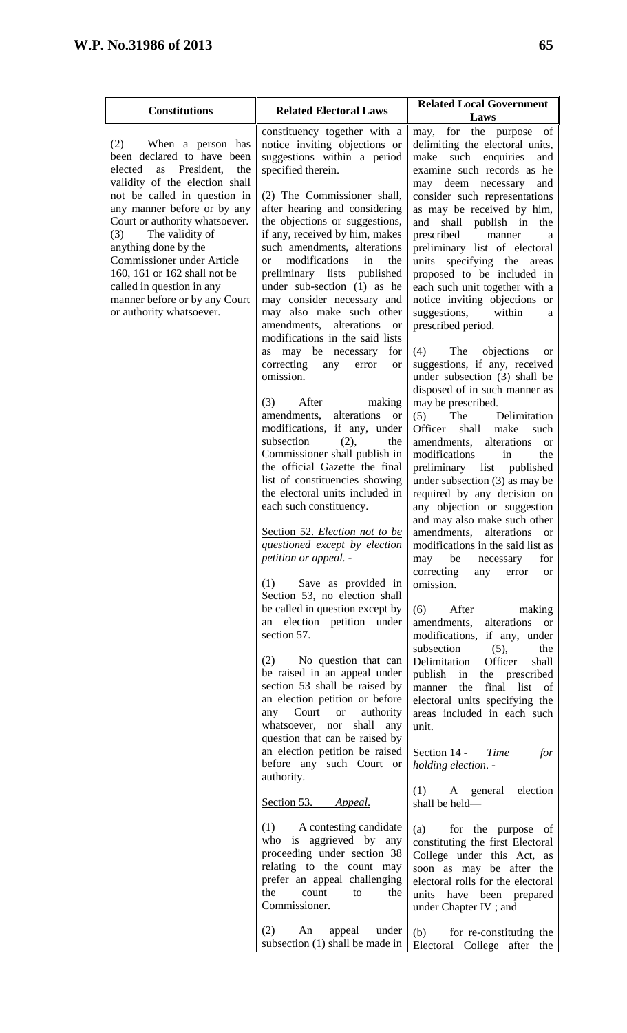| <b>Constitutions</b>                                                                                                                                        | <b>Related Electoral Laws</b>                                                                                                                                                                                           | <b>Related Local Government</b><br>Laws                                                                                                                                                                              |
|-------------------------------------------------------------------------------------------------------------------------------------------------------------|-------------------------------------------------------------------------------------------------------------------------------------------------------------------------------------------------------------------------|----------------------------------------------------------------------------------------------------------------------------------------------------------------------------------------------------------------------|
| (2)<br>When a person has<br>been declared to have been<br>President.<br>elected<br>the<br>as<br>validity of the election shall                              | constituency together with a<br>notice inviting objections or<br>suggestions within a period<br>specified therein.                                                                                                      | the purpose of<br>may, for<br>delimiting the electoral units,<br>such<br>make<br>enquiries<br>and<br>examine such records as he<br>may deem necessary<br>and                                                         |
| not be called in question in<br>any manner before or by any<br>Court or authority whatsoever.<br>The validity of<br>(3)<br>anything done by the             | (2) The Commissioner shall,<br>after hearing and considering<br>the objections or suggestions,<br>if any, received by him, makes<br>such amendments, alterations                                                        | consider such representations<br>as may be received by him,<br>shall publish in<br>and<br>the<br>prescribed<br>manner<br>a<br>preliminary list of electoral                                                          |
| <b>Commissioner under Article</b><br>160, 161 or 162 shall not be<br>called in question in any<br>manner before or by any Court<br>or authority whatsoever. | modifications<br>in<br>the<br><sub>or</sub><br>preliminary lists published<br>under sub-section (1) as he<br>may consider necessary and<br>may also make such other<br>amendments,<br>alterations<br><sub>or</sub>      | units specifying the areas<br>proposed to be included in<br>each such unit together with a<br>notice inviting objections or<br>suggestions, within<br>$\rm{a}$<br>prescribed period.                                 |
|                                                                                                                                                             | modifications in the said lists<br>may be necessary<br>for<br>as<br>correcting<br>any<br>error<br><b>or</b><br>omission.                                                                                                | (4)<br>The<br>objections<br><b>or</b><br>suggestions, if any, received<br>under subsection (3) shall be<br>disposed of in such manner as                                                                             |
|                                                                                                                                                             | (3)<br>After<br>making<br>alterations<br>amendments,<br><b>or</b><br>modifications, if any, under<br>(2),<br>subsection<br>the<br>Commissioner shall publish in                                                         | may be prescribed.<br>(5)<br>The<br>Delimitation<br>Officer<br>shall make<br>such<br>amendments, alterations<br><sub>or</sub><br>modifications<br>in<br>the                                                          |
|                                                                                                                                                             | the official Gazette the final<br>list of constituencies showing<br>the electoral units included in<br>each such constituency.                                                                                          | preliminary list published<br>under subsection $(3)$ as may be<br>required by any decision on<br>any objection or suggestion<br>and may also make such other                                                         |
|                                                                                                                                                             | Section 52. Election not to be<br>questioned except by election<br><i>petition or appeal.</i> -<br>Save as provided in<br>(1)                                                                                           | amendments,<br>alterations<br><b>or</b><br>modifications in the said list as<br>for<br>may<br>be<br>necessary<br>correcting<br>any<br>error<br><sub>or</sub><br>omission.                                            |
|                                                                                                                                                             | Section 53, no election shall<br>be called in question except by<br>an election petition under<br>section 57.                                                                                                           | (6)<br>After<br>making<br>alterations or<br>amendments,<br>modifications, if any, under<br>subsection<br>(5),<br>the                                                                                                 |
|                                                                                                                                                             | No question that can<br>(2)<br>be raised in an appeal under<br>section 53 shall be raised by<br>an election petition or before<br>any Court or authority<br>whatsoever, nor shall any<br>question that can be raised by | Officer<br>Delimitation<br>shall<br>publish in<br>the prescribed<br>the final list of<br>manner<br>electoral units specifying the<br>areas included in each such<br>unit.                                            |
|                                                                                                                                                             | an election petition be raised<br>before any such Court or<br>authority.                                                                                                                                                | Section 14 - Time<br>for<br>holding election. -                                                                                                                                                                      |
|                                                                                                                                                             | Section 53. Appeal.                                                                                                                                                                                                     | $(1)$ A general election<br>shall be held-                                                                                                                                                                           |
|                                                                                                                                                             | (1) A contesting candidate<br>who is aggrieved by any<br>proceeding under section 38<br>relating to the count may<br>prefer an appeal challenging<br>the<br>count<br>the<br>to<br>Commissioner.                         | for the purpose of<br>(a)<br>constituting the first Electoral<br>College under this Act, as<br>soon as may be after the<br>electoral rolls for the electoral<br>have been prepared<br>units<br>under Chapter IV; and |
|                                                                                                                                                             | (2)<br>An<br>appeal<br>under<br>subsection (1) shall be made in                                                                                                                                                         | (b)<br>for re-constituting the<br>Electoral College after the                                                                                                                                                        |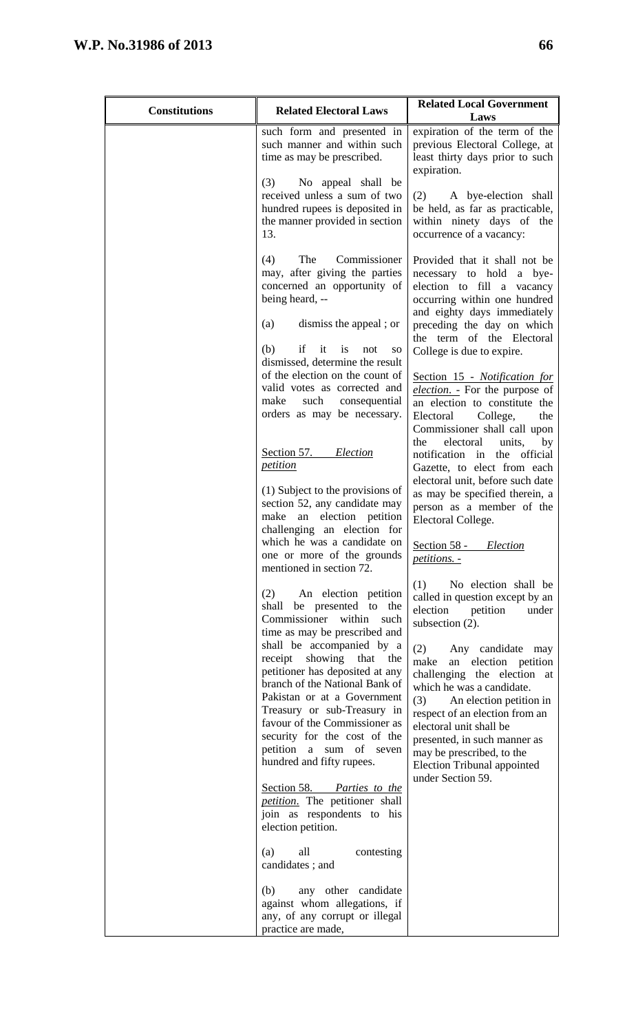| <b>Constitutions</b> | <b>Related Electoral Laws</b>                                                                                                                                                                                                                                                                                        | <b>Related Local Government</b><br>Laws                                                                                                                                                                                                                                                                                              |
|----------------------|----------------------------------------------------------------------------------------------------------------------------------------------------------------------------------------------------------------------------------------------------------------------------------------------------------------------|--------------------------------------------------------------------------------------------------------------------------------------------------------------------------------------------------------------------------------------------------------------------------------------------------------------------------------------|
|                      | such form and presented in<br>such manner and within such<br>time as may be prescribed.                                                                                                                                                                                                                              | expiration of the term of the<br>previous Electoral College, at<br>least thirty days prior to such<br>expiration.                                                                                                                                                                                                                    |
|                      | (3)<br>No appeal shall be<br>received unless a sum of two<br>hundred rupees is deposited in<br>the manner provided in section<br>13.                                                                                                                                                                                 | (2) A bye-election shall<br>be held, as far as practicable,<br>within ninety days of the<br>occurrence of a vacancy:                                                                                                                                                                                                                 |
|                      | Commissioner<br>(4)<br>The<br>may, after giving the parties<br>concerned an opportunity of<br>being heard, --                                                                                                                                                                                                        | Provided that it shall not be<br>necessary to hold a bye-<br>election to fill a vacancy<br>occurring within one hundred<br>and eighty days immediately                                                                                                                                                                               |
|                      | (a)<br>dismiss the appeal; or<br>if it<br>(b)<br>is<br>not<br><sub>SO</sub><br>dismissed, determine the result                                                                                                                                                                                                       | preceding the day on which<br>the term of the Electoral<br>College is due to expire.                                                                                                                                                                                                                                                 |
|                      | of the election on the count of<br>valid votes as corrected and<br>make<br>such<br>consequential<br>orders as may be necessary.                                                                                                                                                                                      | Section 15 - Notification for<br>election. - For the purpose of<br>an election to constitute the<br>Electoral<br>College,<br>the<br>Commissioner shall call upon                                                                                                                                                                     |
|                      | Section 57. Election<br><i>petition</i>                                                                                                                                                                                                                                                                              | units,<br>the<br>electoral<br>by<br>notification in the official<br>Gazette, to elect from each                                                                                                                                                                                                                                      |
|                      | (1) Subject to the provisions of<br>section 52, any candidate may<br>an election petition<br>make<br>challenging an election for                                                                                                                                                                                     | electoral unit, before such date<br>as may be specified therein, a<br>person as a member of the<br>Electoral College.                                                                                                                                                                                                                |
|                      | which he was a candidate on<br>one or more of the grounds<br>mentioned in section 72.                                                                                                                                                                                                                                | <u>Section 58 - </u><br>Election<br>petitions. -                                                                                                                                                                                                                                                                                     |
|                      | (2) An election petition<br>shall be presented to the<br>Commissioner within<br>such<br>time as may be prescribed and                                                                                                                                                                                                | No election shall be<br>(1)<br>called in question except by an<br>election<br>petition<br>under<br>subsection (2).                                                                                                                                                                                                                   |
|                      | shall be accompanied by a<br>showing that the<br>receipt<br>petitioner has deposited at any<br>branch of the National Bank of<br>Pakistan or at a Government<br>Treasury or sub-Treasury in<br>favour of the Commissioner as<br>security for the cost of the<br>petition a sum of seven<br>hundred and fifty rupees. | (2)<br>Any candidate may<br>an election petition<br>make<br>challenging the election at<br>which he was a candidate.<br>An election petition in<br>(3)<br>respect of an election from an<br>electoral unit shall be<br>presented, in such manner as<br>may be prescribed, to the<br>Election Tribunal appointed<br>under Section 59. |
|                      | Section 58. Parties to the<br><i>petition</i> . The petitioner shall<br>join as respondents to his<br>election petition.                                                                                                                                                                                             |                                                                                                                                                                                                                                                                                                                                      |
|                      | all<br>(a)<br>contesting<br>candidates; and                                                                                                                                                                                                                                                                          |                                                                                                                                                                                                                                                                                                                                      |
|                      | any other candidate<br>(b)<br>against whom allegations, if<br>any, of any corrupt or illegal<br>practice are made,                                                                                                                                                                                                   |                                                                                                                                                                                                                                                                                                                                      |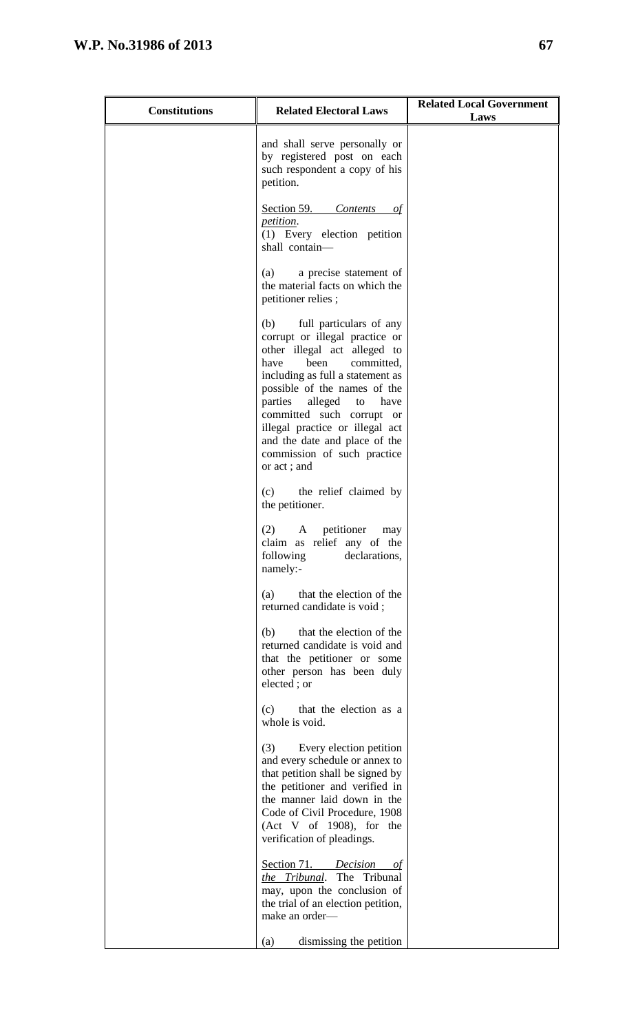| <b>Constitutions</b> | <b>Related Electoral Laws</b>                                                                                                                                                                                                                                                                                                                                                         | <b>Related Local Government</b><br>Laws |
|----------------------|---------------------------------------------------------------------------------------------------------------------------------------------------------------------------------------------------------------------------------------------------------------------------------------------------------------------------------------------------------------------------------------|-----------------------------------------|
|                      | and shall serve personally or<br>by registered post on each<br>such respondent a copy of his<br>petition.                                                                                                                                                                                                                                                                             |                                         |
|                      | Section 59.<br>Contents<br>of<br><i>petition.</i><br>(1) Every election petition<br>shall contain-                                                                                                                                                                                                                                                                                    |                                         |
|                      | (a)<br>a precise statement of<br>the material facts on which the<br>petitioner relies;                                                                                                                                                                                                                                                                                                |                                         |
|                      | full particulars of any<br>(b)<br>corrupt or illegal practice or<br>other illegal act alleged to<br>been<br>have<br>committed,<br>including as full a statement as<br>possible of the names of the<br>parties<br>alleged<br>to<br>have<br>committed such corrupt or<br>illegal practice or illegal act<br>and the date and place of the<br>commission of such practice<br>or act; and |                                         |
|                      | the relief claimed by<br>(c)<br>the petitioner.                                                                                                                                                                                                                                                                                                                                       |                                         |
|                      | A petitioner<br>(2)<br>may<br>claim as relief any of the<br>following<br>declarations,<br>namely:-                                                                                                                                                                                                                                                                                    |                                         |
|                      | that the election of the<br>(a)<br>returned candidate is void;                                                                                                                                                                                                                                                                                                                        |                                         |
|                      | that the election of the<br>(b)<br>returned candidate is void and<br>that the petitioner or some<br>other person has been duly<br>elected; or                                                                                                                                                                                                                                         |                                         |
|                      | that the election as a<br>(c)<br>whole is void.                                                                                                                                                                                                                                                                                                                                       |                                         |
|                      | (3)<br>Every election petition<br>and every schedule or annex to<br>that petition shall be signed by<br>the petitioner and verified in<br>the manner laid down in the<br>Code of Civil Procedure, 1908<br>(Act V of 1908), for the<br>verification of pleadings.                                                                                                                      |                                         |
|                      | Section 71.<br>Decision<br>οt<br>the Tribunal.<br>The Tribunal<br>may, upon the conclusion of<br>the trial of an election petition,<br>make an order-<br>dismissing the petition<br>(a)                                                                                                                                                                                               |                                         |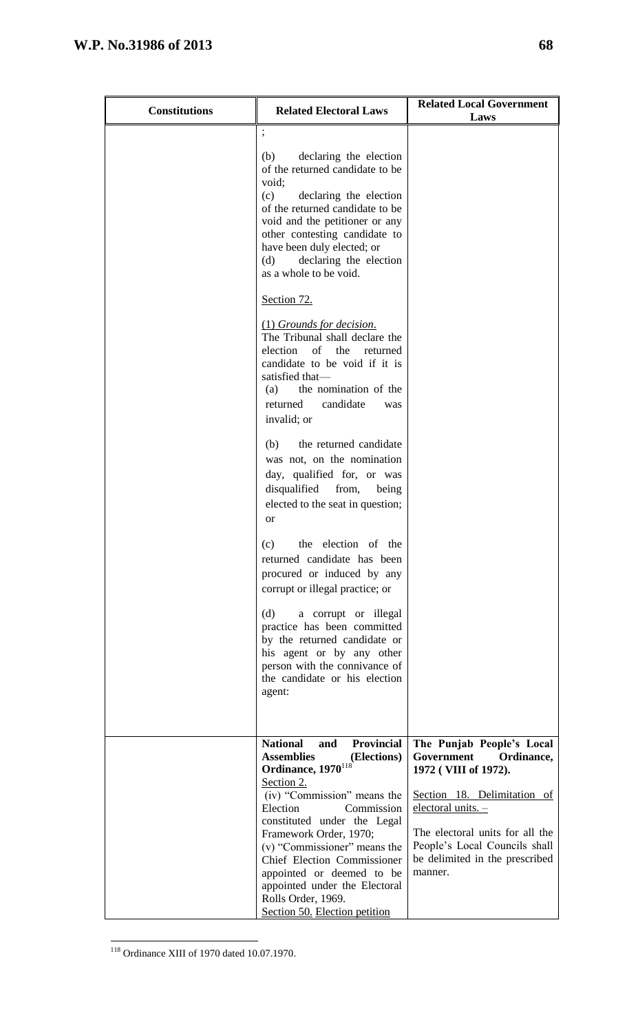| <b>Constitutions</b> | <b>Related Electoral Laws</b>                                                                                                                                                                                                                                                                                                                                                                                                         | <b>Related Local Government</b><br>Laws                                                                                                                                                                                                             |
|----------------------|---------------------------------------------------------------------------------------------------------------------------------------------------------------------------------------------------------------------------------------------------------------------------------------------------------------------------------------------------------------------------------------------------------------------------------------|-----------------------------------------------------------------------------------------------------------------------------------------------------------------------------------------------------------------------------------------------------|
|                      | $\vdots$<br>declaring the election<br>(b)<br>of the returned candidate to be<br>void;<br>(c)<br>declaring the election<br>of the returned candidate to be<br>void and the petitioner or any<br>other contesting candidate to<br>have been duly elected; or<br>declaring the election<br>(d)<br>as a whole to be void.                                                                                                                 |                                                                                                                                                                                                                                                     |
|                      | Section 72.<br>(1) Grounds for decision.<br>The Tribunal shall declare the<br>election<br>of<br>the<br>returned<br>candidate to be void if it is<br>satisfied that-<br>the nomination of the<br>(a)<br>candidate<br>returned<br>was<br>invalid; or                                                                                                                                                                                    |                                                                                                                                                                                                                                                     |
|                      | the returned candidate<br>(b)<br>was not, on the nomination<br>day, qualified for, or was<br>disqualified<br>from,<br>being<br>elected to the seat in question;<br>or<br>the election of the<br>(c)<br>returned candidate has been<br>procured or induced by any                                                                                                                                                                      |                                                                                                                                                                                                                                                     |
|                      | corrupt or illegal practice; or<br>(d)<br>a corrupt or illegal<br>practice has been committed<br>by the returned candidate or<br>his agent or by any other<br>person with the connivance of<br>the candidate or his election<br>agent:                                                                                                                                                                                                |                                                                                                                                                                                                                                                     |
|                      | <b>National</b><br><b>Provincial</b><br>and<br><b>Assemblies</b><br>(Elections)<br>Ordinance, 1970 <sup>118</sup><br>Section 2.<br>(iv) "Commission" means the<br>Election<br>Commission<br>constituted under the Legal<br>Framework Order, 1970;<br>(v) "Commissioner" means the<br>Chief Election Commissioner<br>appointed or deemed to be<br>appointed under the Electoral<br>Rolls Order, 1969.<br>Section 50. Election petition | The Punjab People's Local<br>Government<br>Ordinance,<br>1972 (VIII of 1972).<br>Section 18. Delimitation of<br>electoral units. -<br>The electoral units for all the<br>People's Local Councils shall<br>be delimited in the prescribed<br>manner. |

  $118$  Ordinance XIII of 1970 dated 10.07.1970.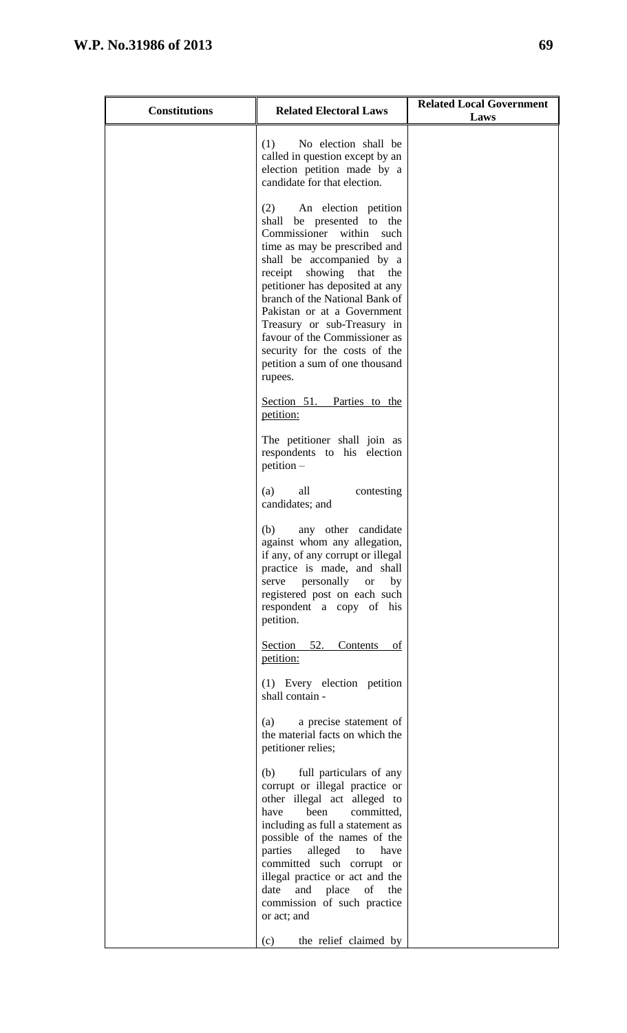| <b>Constitutions</b> | <b>Related Electoral Laws</b>                                                                                                                                                                                                                                                                                                                                                                                                    | <b>Related Local Government</b><br>Laws |
|----------------------|----------------------------------------------------------------------------------------------------------------------------------------------------------------------------------------------------------------------------------------------------------------------------------------------------------------------------------------------------------------------------------------------------------------------------------|-----------------------------------------|
|                      | No election shall be<br>(1)<br>called in question except by an<br>election petition made by a<br>candidate for that election.                                                                                                                                                                                                                                                                                                    |                                         |
|                      | (2) An election petition<br>shall be presented to the<br>Commissioner within<br>such<br>time as may be prescribed and<br>shall be accompanied by a<br>receipt showing that the<br>petitioner has deposited at any<br>branch of the National Bank of<br>Pakistan or at a Government<br>Treasury or sub-Treasury in<br>favour of the Commissioner as<br>security for the costs of the<br>petition a sum of one thousand<br>rupees. |                                         |
|                      | Section 51. Parties to the<br>petition:<br>The petitioner shall join as                                                                                                                                                                                                                                                                                                                                                          |                                         |
|                      | respondents to his election<br>$petition -$                                                                                                                                                                                                                                                                                                                                                                                      |                                         |
|                      | all<br>(a)<br>contesting<br>candidates; and                                                                                                                                                                                                                                                                                                                                                                                      |                                         |
|                      | (b)<br>any other candidate<br>against whom any allegation,<br>if any, of any corrupt or illegal<br>practice is made, and shall<br>personally<br>serve<br><b>or</b><br>by<br>registered post on each such<br>respondent a copy of his<br>petition.                                                                                                                                                                                |                                         |
|                      | Section 52.<br>Contents<br>of<br>petition:                                                                                                                                                                                                                                                                                                                                                                                       |                                         |
|                      | (1) Every election petition<br>shall contain -                                                                                                                                                                                                                                                                                                                                                                                   |                                         |
|                      | a precise statement of<br>(a)<br>the material facts on which the<br>petitioner relies;                                                                                                                                                                                                                                                                                                                                           |                                         |
|                      | full particulars of any<br>(b)<br>corrupt or illegal practice or<br>other illegal act alleged to<br>been<br>have<br>committed,<br>including as full a statement as<br>possible of the names of the<br>parties<br>alleged<br>have<br>to<br>committed such corrupt or<br>illegal practice or act and the<br>place<br>of<br>the<br>date<br>and<br>commission of such practice<br>or act; and                                        |                                         |
|                      | the relief claimed by<br>(c)                                                                                                                                                                                                                                                                                                                                                                                                     |                                         |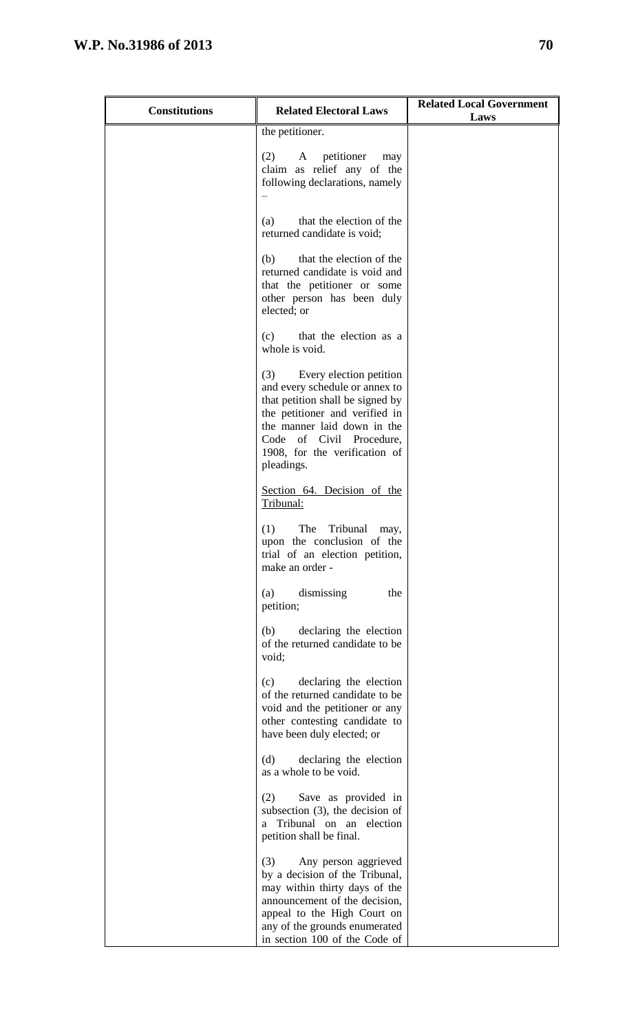| <b>Constitutions</b> | <b>Related Electoral Laws</b>                                                                                                                                                                                                                    | <b>Related Local Government</b><br>Laws |
|----------------------|--------------------------------------------------------------------------------------------------------------------------------------------------------------------------------------------------------------------------------------------------|-----------------------------------------|
|                      | the petitioner.                                                                                                                                                                                                                                  |                                         |
|                      | (2)<br>petitioner<br>A<br>may<br>claim as relief any of the<br>following declarations, namely                                                                                                                                                    |                                         |
|                      | that the election of the<br>(a)<br>returned candidate is void;                                                                                                                                                                                   |                                         |
|                      | that the election of the<br>(b)<br>returned candidate is void and<br>that the petitioner or some<br>other person has been duly<br>elected; or                                                                                                    |                                         |
|                      | that the election as a<br>(c)<br>whole is void.                                                                                                                                                                                                  |                                         |
|                      | (3)<br>Every election petition<br>and every schedule or annex to<br>that petition shall be signed by<br>the petitioner and verified in<br>the manner laid down in the<br>Code of Civil Procedure,<br>1908, for the verification of<br>pleadings. |                                         |
|                      | Section 64. Decision of the<br>Tribunal:                                                                                                                                                                                                         |                                         |
|                      | (1)<br>The Tribunal may,<br>upon the conclusion of the<br>trial of an election petition,<br>make an order -                                                                                                                                      |                                         |
|                      | dismissing<br>(a)<br>the<br>petition;                                                                                                                                                                                                            |                                         |
|                      | declaring the election<br>(b)<br>of the returned candidate to be<br>void:                                                                                                                                                                        |                                         |
|                      | declaring the election<br>(c)<br>of the returned candidate to be<br>void and the petitioner or any<br>other contesting candidate to<br>have been duly elected; or                                                                                |                                         |
|                      | (d)<br>declaring the election<br>as a whole to be void.                                                                                                                                                                                          |                                         |
|                      | Save as provided in<br>(2)<br>subsection $(3)$ , the decision of<br>a Tribunal on an election<br>petition shall be final.                                                                                                                        |                                         |
|                      | (3)<br>Any person aggrieved<br>by a decision of the Tribunal,<br>may within thirty days of the<br>announcement of the decision,<br>appeal to the High Court on<br>any of the grounds enumerated<br>in section 100 of the Code of                 |                                         |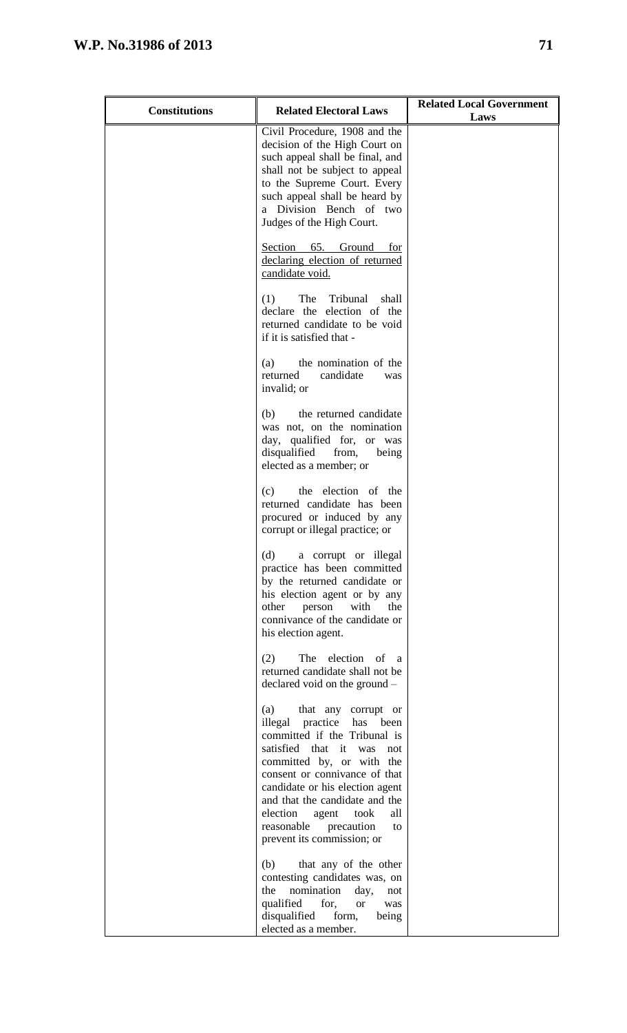| <b>Constitutions</b> | <b>Related Electoral Laws</b>                                                                                                                                                                                                                                                                                                                                           | <b>Related Local Government</b><br>Laws |
|----------------------|-------------------------------------------------------------------------------------------------------------------------------------------------------------------------------------------------------------------------------------------------------------------------------------------------------------------------------------------------------------------------|-----------------------------------------|
|                      | Civil Procedure, 1908 and the<br>decision of the High Court on<br>such appeal shall be final, and<br>shall not be subject to appeal<br>to the Supreme Court. Every<br>such appeal shall be heard by<br>a Division Bench of two<br>Judges of the High Court.                                                                                                             |                                         |
|                      | Section 65. Ground for<br>declaring election of returned<br>candidate void.                                                                                                                                                                                                                                                                                             |                                         |
|                      | The<br>Tribunal<br>shall<br>(1)<br>declare the election of the<br>returned candidate to be void<br>if it is satisfied that -                                                                                                                                                                                                                                            |                                         |
|                      | the nomination of the<br>(a)<br>returned<br>candidate<br>was<br>invalid; or                                                                                                                                                                                                                                                                                             |                                         |
|                      | the returned candidate<br>(b)<br>was not, on the nomination<br>day, qualified for, or was<br>disqualified<br>from,<br>being<br>elected as a member; or                                                                                                                                                                                                                  |                                         |
|                      | the election of the<br>(c)<br>returned candidate has been<br>procured or induced by any<br>corrupt or illegal practice; or                                                                                                                                                                                                                                              |                                         |
|                      | (d)<br>a corrupt or illegal<br>practice has been committed<br>by the returned candidate or<br>his election agent or by any<br>other<br>person<br>with<br>the<br>connivance of the candidate or<br>his election agent.                                                                                                                                                   |                                         |
|                      | The election<br>(2)<br>of a<br>returned candidate shall not be<br>declared void on the ground $-$                                                                                                                                                                                                                                                                       |                                         |
|                      | (a)<br>that any corrupt or<br>practice<br>illegal<br>has<br>been<br>committed if the Tribunal is<br>satisfied that it was<br>not<br>committed by, or with the<br>consent or connivance of that<br>candidate or his election agent<br>and that the candidate and the<br>election<br>took<br>all<br>agent<br>reasonable<br>precaution<br>to<br>prevent its commission; or |                                         |
|                      | that any of the other<br>(b)<br>contesting candidates was, on<br>nomination<br>the<br>day,<br>not<br>qualified<br>for,<br><b>or</b><br>was<br>disqualified<br>form,<br>being<br>elected as a member.                                                                                                                                                                    |                                         |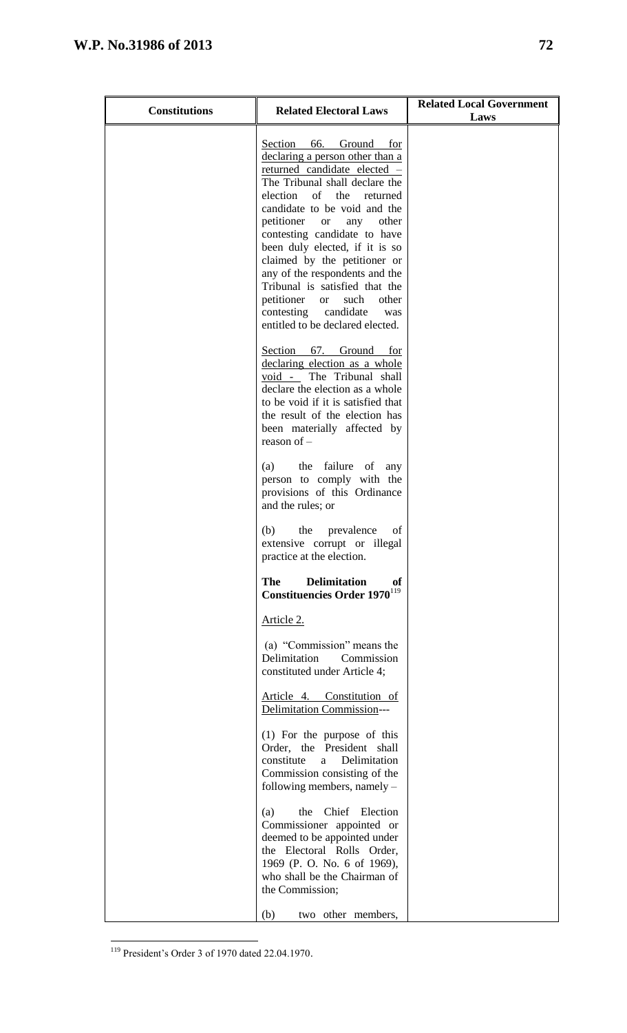| <b>Constitutions</b> | <b>Related Electoral Laws</b>                                                                                                                                                                                                                                                                                                                                                                                                                                                                                                    | <b>Related Local Government</b><br>Laws |
|----------------------|----------------------------------------------------------------------------------------------------------------------------------------------------------------------------------------------------------------------------------------------------------------------------------------------------------------------------------------------------------------------------------------------------------------------------------------------------------------------------------------------------------------------------------|-----------------------------------------|
|                      | 66.<br>Ground for<br>Section<br>declaring a person other than a<br>returned candidate elected -<br>The Tribunal shall declare the<br>election<br>of<br>the<br>returned<br>candidate to be void and the<br>petitioner or<br>other<br>any<br>contesting candidate to have<br>been duly elected, if it is so<br>claimed by the petitioner or<br>any of the respondents and the<br>Tribunal is satisfied that the<br>petitioner<br>other<br>such<br><sub>or</sub><br>contesting candidate<br>was<br>entitled to be declared elected. |                                         |
|                      | Section 67. Ground for<br>declaring election as a whole<br>void - The Tribunal shall<br>declare the election as a whole<br>to be void if it is satisfied that<br>the result of the election has<br>been materially affected by<br>reason of -                                                                                                                                                                                                                                                                                    |                                         |
|                      | the failure of<br>(a)<br>any<br>person to comply with the<br>provisions of this Ordinance<br>and the rules; or                                                                                                                                                                                                                                                                                                                                                                                                                   |                                         |
|                      | the prevalence<br>(b)<br>of<br>extensive corrupt or illegal<br>practice at the election.                                                                                                                                                                                                                                                                                                                                                                                                                                         |                                         |
|                      | <b>Delimitation</b><br>The<br>of<br><b>Constituencies Order 1970</b> <sup>119</sup>                                                                                                                                                                                                                                                                                                                                                                                                                                              |                                         |
|                      | <u>Article 2.</u>                                                                                                                                                                                                                                                                                                                                                                                                                                                                                                                |                                         |
|                      | (a) "Commission" means the<br>Delimitation<br>Commission<br>constituted under Article 4;                                                                                                                                                                                                                                                                                                                                                                                                                                         |                                         |
|                      | Article 4. Constitution of<br>Delimitation Commission---                                                                                                                                                                                                                                                                                                                                                                                                                                                                         |                                         |
|                      | (1) For the purpose of this<br>Order, the President shall<br>constitute<br>Delimitation<br>a<br>Commission consisting of the<br>following members, namely -                                                                                                                                                                                                                                                                                                                                                                      |                                         |
|                      | the Chief Election<br>(a)<br>Commissioner appointed or<br>deemed to be appointed under<br>the Electoral Rolls Order,<br>1969 (P. O. No. 6 of 1969),<br>who shall be the Chairman of<br>the Commission;                                                                                                                                                                                                                                                                                                                           |                                         |
|                      | two other members,<br>(b)                                                                                                                                                                                                                                                                                                                                                                                                                                                                                                        |                                         |

 <sup>119</sup> President's Order 3 of 1970 dated 22.04.1970.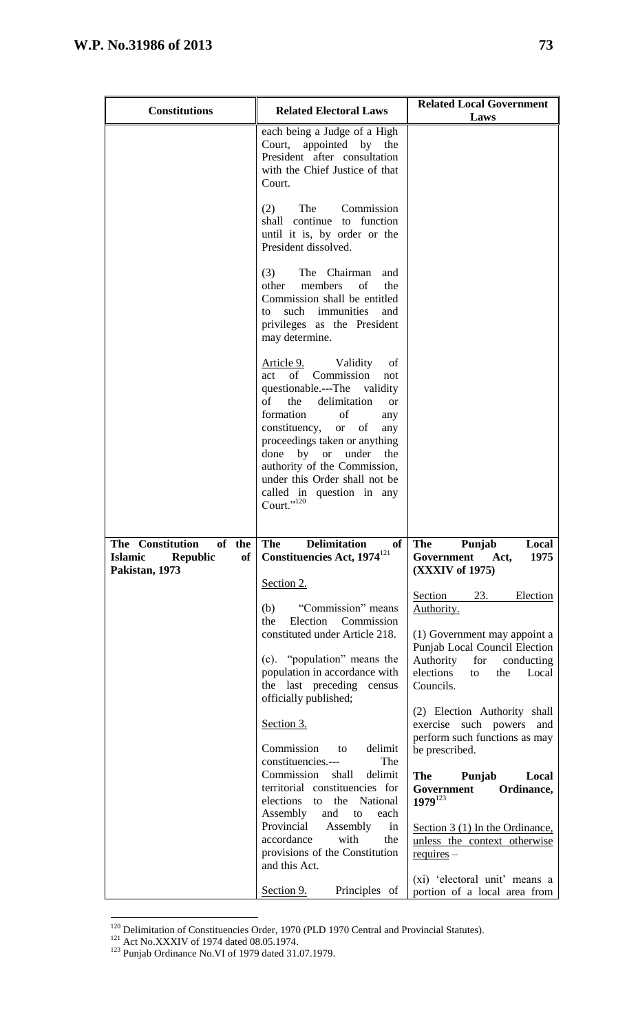| <b>Constitutions</b>                                            | <b>Related Electoral Laws</b>                                                                                                                                                                                                                                                                                                                                                         | <b>Related Local Government</b><br>Laws                                                                                                         |
|-----------------------------------------------------------------|---------------------------------------------------------------------------------------------------------------------------------------------------------------------------------------------------------------------------------------------------------------------------------------------------------------------------------------------------------------------------------------|-------------------------------------------------------------------------------------------------------------------------------------------------|
|                                                                 | each being a Judge of a High<br>Court,<br>appointed by the<br>President after consultation<br>with the Chief Justice of that<br>Court.                                                                                                                                                                                                                                                |                                                                                                                                                 |
|                                                                 | (2)<br>The Commission<br>shall continue to function<br>until it is, by order or the<br>President dissolved.                                                                                                                                                                                                                                                                           |                                                                                                                                                 |
|                                                                 | (3)<br>The Chairman<br>and<br>other<br>members<br>of<br>the<br>Commission shall be entitled<br>such immunities<br>and<br>to<br>privileges as the President<br>may determine.                                                                                                                                                                                                          |                                                                                                                                                 |
|                                                                 | Article 9.<br>Validity<br>of<br>Commission<br>of<br>not<br>act<br>questionable.---The validity<br>of<br>the<br>delimitation<br><b>or</b><br>formation<br>of<br>any<br>constituency,<br>of<br><b>or</b><br>any<br>proceedings taken or anything<br>done by or under<br>the<br>authority of the Commission,<br>under this Order shall not be<br>called in question in any<br>Court."120 |                                                                                                                                                 |
| The Constitution<br>of the<br><b>Islamic</b><br><b>Republic</b> | <b>The</b><br><b>Delimitation</b><br>of<br>of Constituencies Act, $1974^{121}$                                                                                                                                                                                                                                                                                                        | <b>The</b><br>Punjab<br>Local<br>Government<br>1975<br>Act,                                                                                     |
| Pakistan, 1973                                                  | Section 2.                                                                                                                                                                                                                                                                                                                                                                            | (XXXIV of 1975)<br>Section<br>23.<br>Election                                                                                                   |
|                                                                 | "Commission" means<br>(b)<br>the<br>Election<br>Commission                                                                                                                                                                                                                                                                                                                            | Authority.                                                                                                                                      |
|                                                                 | constituted under Article 218.<br>(c). "population" means the<br>population in accordance with<br>the last preceding census<br>officially published;                                                                                                                                                                                                                                  | (1) Government may appoint a<br>Punjab Local Council Election<br>Authority<br>for<br>conducting<br>elections<br>the<br>Local<br>to<br>Councils. |
|                                                                 | Section 3.<br>Commission<br>delimit<br>to                                                                                                                                                                                                                                                                                                                                             | (2) Election Authority shall<br>exercise such powers and<br>perform such functions as may<br>be prescribed.                                     |
|                                                                 | constituencies.---<br>The<br>Commission<br>shall<br>delimit<br>territorial constituencies for<br>National<br>elections<br>the<br>to                                                                                                                                                                                                                                                   | The<br>Punjab<br>Local<br>Government<br>Ordinance,<br>$1979$ <sup>123</sup>                                                                     |
|                                                                 | Assembly<br>and<br>to<br>each<br>Provincial<br>Assembly<br>in<br>accordance<br>with<br>the<br>provisions of the Constitution<br>and this Act.                                                                                                                                                                                                                                         | Section 3 (1) In the Ordinance,<br>unless the context otherwise<br>$requires -$                                                                 |
|                                                                 | Section 9.<br>Principles of                                                                                                                                                                                                                                                                                                                                                           | (xi) 'electoral unit' means a<br>portion of a local area from                                                                                   |

<sup>&</sup>lt;sup>120</sup> Delimitation of Constituencies Order, 1970 (PLD 1970 Central and Provincial Statutes).

 $121$  Act No.XXXIV of 1974 dated 08.05.1974.

 $123$  Punjab Ordinance No. VI of 1979 dated 31.07.1979.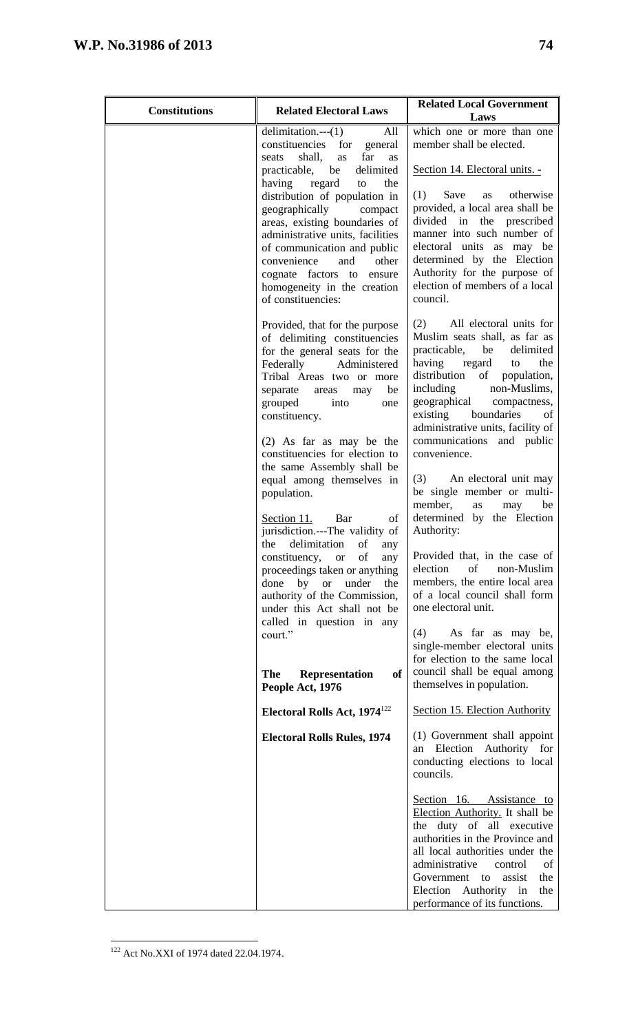| <b>Constitutions</b> | <b>Related Electoral Laws</b>                                                                                                                                                                                                                                                                                                                                                                                                                                | <b>Related Local Government</b><br>Laws                                                                                                                                                                                                                                                                                                                           |
|----------------------|--------------------------------------------------------------------------------------------------------------------------------------------------------------------------------------------------------------------------------------------------------------------------------------------------------------------------------------------------------------------------------------------------------------------------------------------------------------|-------------------------------------------------------------------------------------------------------------------------------------------------------------------------------------------------------------------------------------------------------------------------------------------------------------------------------------------------------------------|
|                      | delimitation.--- $(1)$<br>All<br>constituencies for general<br>shall.<br>far<br><b>as</b><br>seats<br>as<br>practicable, be<br>delimited<br>having<br>regard<br>the<br>to<br>distribution of population in<br>geographically<br>compact<br>areas, existing boundaries of<br>administrative units, facilities<br>of communication and public<br>convenience<br>and<br>other<br>cognate factors to ensure<br>homogeneity in the creation<br>of constituencies: | which one or more than one<br>member shall be elected.<br>Section 14. Electoral units. -<br>(1)<br>Save as<br>otherwise<br>provided, a local area shall be<br>divided in<br>the prescribed<br>manner into such number of<br>electoral units as may be<br>determined by the Election<br>Authority for the purpose of<br>election of members of a local<br>council. |
|                      | Provided, that for the purpose<br>of delimiting constituencies<br>for the general seats for the<br>Federally<br>Administered<br>Tribal Areas two or more<br>separate<br>be<br>areas<br>may<br>grouped<br>into<br>one<br>constituency.<br>$(2)$ As far as may be the<br>constituencies for election to                                                                                                                                                        | (2)<br>All electoral units for<br>Muslim seats shall, as far as<br>practicable,<br>be<br>delimited<br>having regard<br>the<br>to<br>distribution<br>of<br>population,<br>including<br>non-Muslims,<br>geographical compactness,<br>existing boundaries<br>of<br>administrative units, facility of<br>and public<br>communications<br>convenience.                 |
|                      | the same Assembly shall be<br>equal among themselves in<br>population.<br>Bar<br>of<br>Section 11.<br>jurisdiction.---The validity of<br>of<br>the<br>delimitation<br>any                                                                                                                                                                                                                                                                                    | (3)<br>An electoral unit may<br>be single member or multi-<br>member,<br>be<br>as<br>may<br>determined by the Election<br>Authority:<br>Provided that, in the case of                                                                                                                                                                                             |
|                      | constituency, or<br>of<br>any<br>proceedings taken or anything<br>done by or under<br>the<br>authority of the Commission,<br>under this Act shall not be<br>called in question in any                                                                                                                                                                                                                                                                        | election<br>of<br>non-Muslim<br>members, the entire local area<br>of a local council shall form<br>one electoral unit.                                                                                                                                                                                                                                            |
|                      | court."<br><b>The</b><br>Representation<br>of<br>People Act, 1976                                                                                                                                                                                                                                                                                                                                                                                            | (4)<br>As far as may be,<br>single-member electoral units<br>for election to the same local<br>council shall be equal among<br>themselves in population.                                                                                                                                                                                                          |
|                      | Electoral Rolls Act, 1974 <sup>122</sup>                                                                                                                                                                                                                                                                                                                                                                                                                     | Section 15. Election Authority                                                                                                                                                                                                                                                                                                                                    |
|                      | <b>Electoral Rolls Rules, 1974</b>                                                                                                                                                                                                                                                                                                                                                                                                                           | (1) Government shall appoint<br>Election Authority for<br>an<br>conducting elections to local<br>councils.                                                                                                                                                                                                                                                        |
|                      |                                                                                                                                                                                                                                                                                                                                                                                                                                                              | Section 16. Assistance to<br>Election Authority. It shall be<br>the duty of all executive<br>authorities in the Province and<br>all local authorities under the<br>administrative<br>control<br>οf<br>Government to<br>assist<br>the<br>Election Authority in<br>the<br>performance of its functions.                                                             |

 <sup>122</sup> Act No.XXI of 1974 dated 22.04.1974.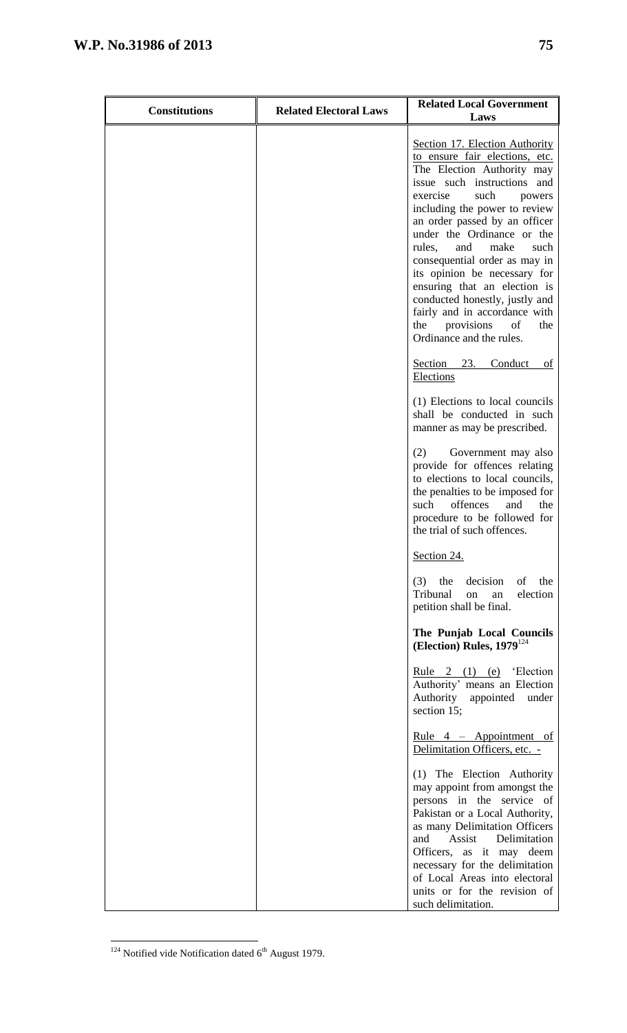| <b>Constitutions</b> | <b>Related Electoral Laws</b> | <b>Related Local Government</b><br>Laws                                                                                                                                                                                                                                                                                                                                                                                                                                                                                        |
|----------------------|-------------------------------|--------------------------------------------------------------------------------------------------------------------------------------------------------------------------------------------------------------------------------------------------------------------------------------------------------------------------------------------------------------------------------------------------------------------------------------------------------------------------------------------------------------------------------|
|                      |                               | Section 17. Election Authority<br>to ensure fair elections, etc.<br>The Election Authority may<br>issue such instructions and<br>exercise<br>such<br>powers<br>including the power to review<br>an order passed by an officer<br>under the Ordinance or the<br>and<br>make<br>rules,<br>such<br>consequential order as may in<br>its opinion be necessary for<br>ensuring that an election is<br>conducted honestly, justly and<br>fairly and in accordance with<br>the<br>provisions<br>of<br>the<br>Ordinance and the rules. |
|                      |                               | <b>Section</b><br>23.<br>Conduct<br>of<br>Elections<br>(1) Elections to local councils                                                                                                                                                                                                                                                                                                                                                                                                                                         |
|                      |                               | shall be conducted in such<br>manner as may be prescribed.                                                                                                                                                                                                                                                                                                                                                                                                                                                                     |
|                      |                               | (2)<br>Government may also<br>provide for offences relating<br>to elections to local councils,<br>the penalties to be imposed for<br>offences<br>such<br>and<br>the<br>procedure to be followed for<br>the trial of such offences.                                                                                                                                                                                                                                                                                             |
|                      |                               | Section 24.                                                                                                                                                                                                                                                                                                                                                                                                                                                                                                                    |
|                      |                               | the<br>decision<br>of<br>the<br>(3)<br>Tribunal<br>election<br>on<br>an<br>petition shall be final.                                                                                                                                                                                                                                                                                                                                                                                                                            |
|                      |                               | The Punjab Local Councils<br>(Election) Rules, $1979^{124}$                                                                                                                                                                                                                                                                                                                                                                                                                                                                    |
|                      |                               | Rule 2 $(1)$ $(e)$ 'Election<br>Authority' means an Election<br>Authority<br>appointed<br>under<br>section 15;                                                                                                                                                                                                                                                                                                                                                                                                                 |
|                      |                               | <u>Rule <math>4</math> – Appointment of</u><br>Delimitation Officers, etc. -                                                                                                                                                                                                                                                                                                                                                                                                                                                   |
|                      |                               | (1) The Election Authority<br>may appoint from amongst the<br>persons in the service of<br>Pakistan or a Local Authority,<br>as many Delimitation Officers<br>Delimitation<br>Assist<br>and<br>Officers, as it may deem<br>necessary for the delimitation<br>of Local Areas into electoral<br>units or for the revision of<br>such delimitation.                                                                                                                                                                               |

  $124$  Notified vide Notification dated  $6<sup>th</sup>$  August 1979.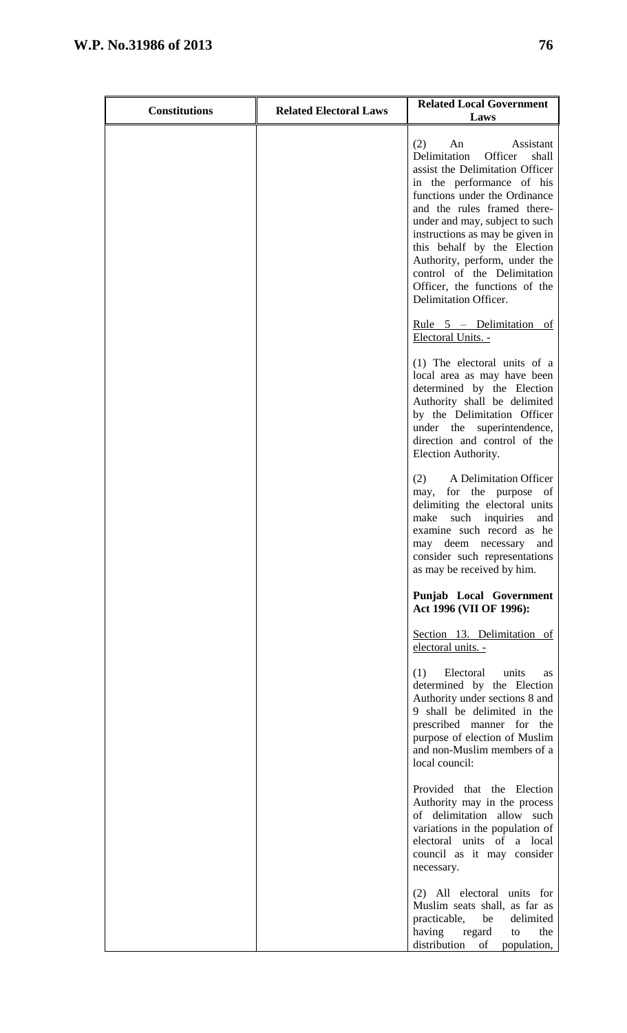| <b>Constitutions</b> | <b>Related Electoral Laws</b> | <b>Related Local Government</b><br>Laws                                                                                                                                                                                                                                                                                                                                                                                  |
|----------------------|-------------------------------|--------------------------------------------------------------------------------------------------------------------------------------------------------------------------------------------------------------------------------------------------------------------------------------------------------------------------------------------------------------------------------------------------------------------------|
|                      |                               | Assistant<br>(2)<br>An<br>Delimitation<br>Officer<br>shall<br>assist the Delimitation Officer<br>in the performance of his<br>functions under the Ordinance<br>and the rules framed there-<br>under and may, subject to such<br>instructions as may be given in<br>this behalf by the Election<br>Authority, perform, under the<br>control of the Delimitation<br>Officer, the functions of the<br>Delimitation Officer. |
|                      |                               | Rule $5$ – Delimitation of<br>Electoral Units. -                                                                                                                                                                                                                                                                                                                                                                         |
|                      |                               | (1) The electoral units of a<br>local area as may have been<br>determined by the Election<br>Authority shall be delimited<br>by the Delimitation Officer<br>under the superintendence,<br>direction and control of the<br>Election Authority.                                                                                                                                                                            |
|                      |                               | (2) A Delimitation Officer<br>for the purpose of<br>may,<br>delimiting the electoral units<br>such inquiries<br>make<br>and<br>examine such record as he<br>may deem necessary<br>and<br>consider such representations<br>as may be received by him.                                                                                                                                                                     |
|                      |                               | Punjab Local Government<br>Act 1996 (VII OF 1996):                                                                                                                                                                                                                                                                                                                                                                       |
|                      |                               | Section 13. Delimitation of<br>electoral units. -                                                                                                                                                                                                                                                                                                                                                                        |
|                      |                               | (1)<br>Electoral<br>units<br><b>as</b><br>determined by the Election<br>Authority under sections 8 and<br>9 shall be delimited in the<br>prescribed manner for the<br>purpose of election of Muslim<br>and non-Muslim members of a<br>local council:                                                                                                                                                                     |
|                      |                               | Provided that the Election<br>Authority may in the process<br>of delimitation allow such<br>variations in the population of<br>electoral units of a local<br>council as it may consider<br>necessary.                                                                                                                                                                                                                    |
|                      |                               | (2) All electoral units for<br>Muslim seats shall, as far as<br>practicable,<br>delimited<br>be<br>having regard<br>the<br>to<br>distribution<br>of<br>population,                                                                                                                                                                                                                                                       |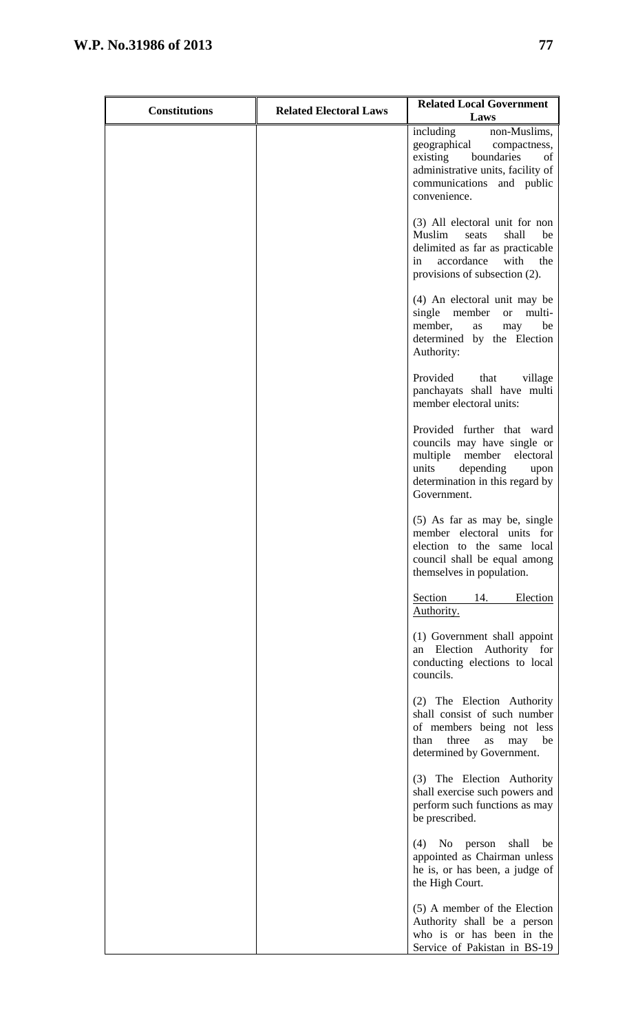| <b>Constitutions</b> | <b>Related Electoral Laws</b> | <b>Related Local Government</b><br>Laws                                                                                                                                     |
|----------------------|-------------------------------|-----------------------------------------------------------------------------------------------------------------------------------------------------------------------------|
|                      |                               | including<br>non-Muslims,<br>geographical<br>compactness,<br>existing<br>boundaries<br>of<br>administrative units, facility of<br>communications and public<br>convenience. |
|                      |                               | (3) All electoral unit for non<br>Muslim<br>seats<br>shall<br>be<br>delimited as far as practicable<br>accordance<br>with<br>the<br>1n<br>provisions of subsection (2).     |
|                      |                               | (4) An electoral unit may be<br>single member<br><b>or</b><br>multi-<br>member,<br>be<br>as<br>may<br>determined by the Election<br>Authority:                              |
|                      |                               | Provided<br>that<br>village<br>panchayats shall have multi<br>member electoral units:                                                                                       |
|                      |                               | Provided further that ward<br>councils may have single or<br>multiple member<br>electoral<br>units<br>depending<br>upon<br>determination in this regard by<br>Government.   |
|                      |                               | (5) As far as may be, single<br>member electoral units for<br>election to the same local<br>council shall be equal among<br>themselves in population.                       |
|                      |                               | <b>Section</b><br>14.<br>Election<br>Authority.                                                                                                                             |
|                      |                               | (1) Government shall appoint<br>Election Authority for<br>an<br>conducting elections to local<br>councils.                                                                  |
|                      |                               | (2) The Election Authority<br>shall consist of such number<br>of members being not less<br>three<br>than<br>as<br>may<br>be<br>determined by Government.                    |
|                      |                               | (3) The Election Authority<br>shall exercise such powers and<br>perform such functions as may<br>be prescribed.                                                             |
|                      |                               | No person<br>(4)<br>shall<br>be<br>appointed as Chairman unless<br>he is, or has been, a judge of<br>the High Court.                                                        |
|                      |                               | (5) A member of the Election<br>Authority shall be a person<br>who is or has been in the<br>Service of Pakistan in BS-19                                                    |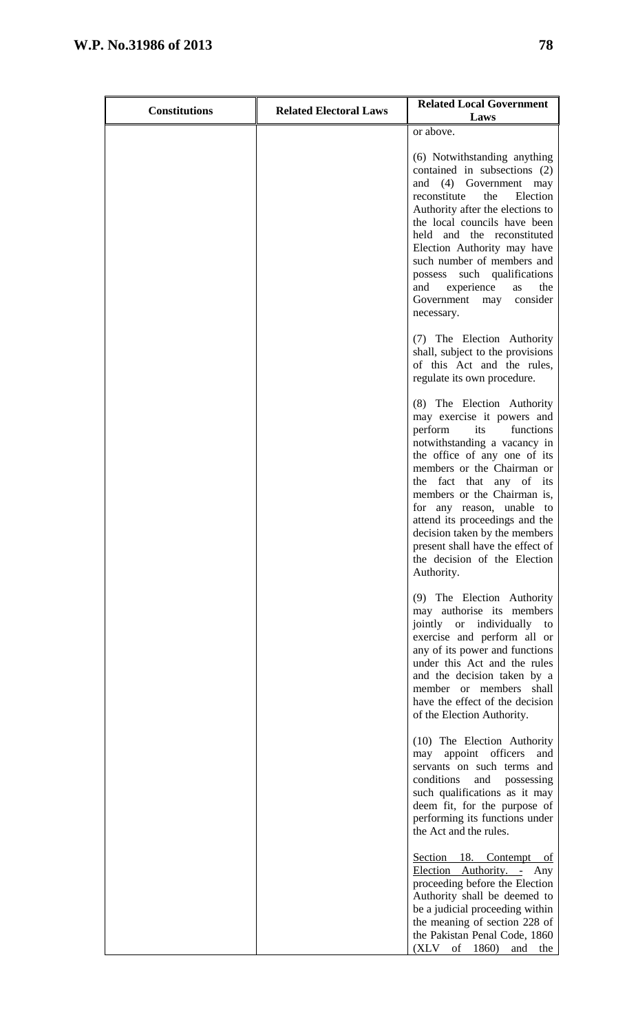| <b>Constitutions</b> | <b>Related Electoral Laws</b> | <b>Related Local Government</b><br>Laws                                                                                                                                                                                                                                                                                                                                                                                               |
|----------------------|-------------------------------|---------------------------------------------------------------------------------------------------------------------------------------------------------------------------------------------------------------------------------------------------------------------------------------------------------------------------------------------------------------------------------------------------------------------------------------|
|                      |                               | or above.                                                                                                                                                                                                                                                                                                                                                                                                                             |
|                      |                               | (6) Notwithstanding anything<br>contained in subsections (2)<br>(4)<br>Government<br>and<br>may<br>Election<br>reconstitute<br>the<br>Authority after the elections to<br>the local councils have been<br>held and the reconstituted<br>Election Authority may have<br>such number of members and<br>such qualifications<br>possess<br>experience<br>the<br>and<br>as<br>Government<br>consider<br>may<br>necessary.                  |
|                      |                               | (7) The Election Authority<br>shall, subject to the provisions<br>of this Act and the rules,<br>regulate its own procedure.                                                                                                                                                                                                                                                                                                           |
|                      |                               | (8) The Election Authority<br>may exercise it powers and<br>perform<br>functions<br>its<br>notwithstanding a vacancy in<br>the office of any one of its<br>members or the Chairman or<br>fact that any of its<br>the<br>members or the Chairman is,<br>for any reason, unable to<br>attend its proceedings and the<br>decision taken by the members<br>present shall have the effect of<br>the decision of the Election<br>Authority. |
|                      |                               | (9) The Election Authority<br>may authorise its members<br>jointly or individually<br>to<br>exercise and perform all or<br>any of its power and functions<br>under this Act and the rules<br>and the decision taken by a<br>member or members shall<br>have the effect of the decision<br>of the Election Authority.                                                                                                                  |
|                      |                               | (10) The Election Authority<br>appoint officers<br>and<br>may<br>servants on such terms and<br>conditions<br>and<br>possessing<br>such qualifications as it may<br>deem fit, for the purpose of<br>performing its functions under<br>the Act and the rules.                                                                                                                                                                           |
|                      |                               | Section 18. Contempt of<br>Election Authority. - Any<br>proceeding before the Election<br>Authority shall be deemed to<br>be a judicial proceeding within<br>the meaning of section 228 of<br>the Pakistan Penal Code, 1860<br>(XLV)<br>1860)<br>of<br>the<br>and                                                                                                                                                                     |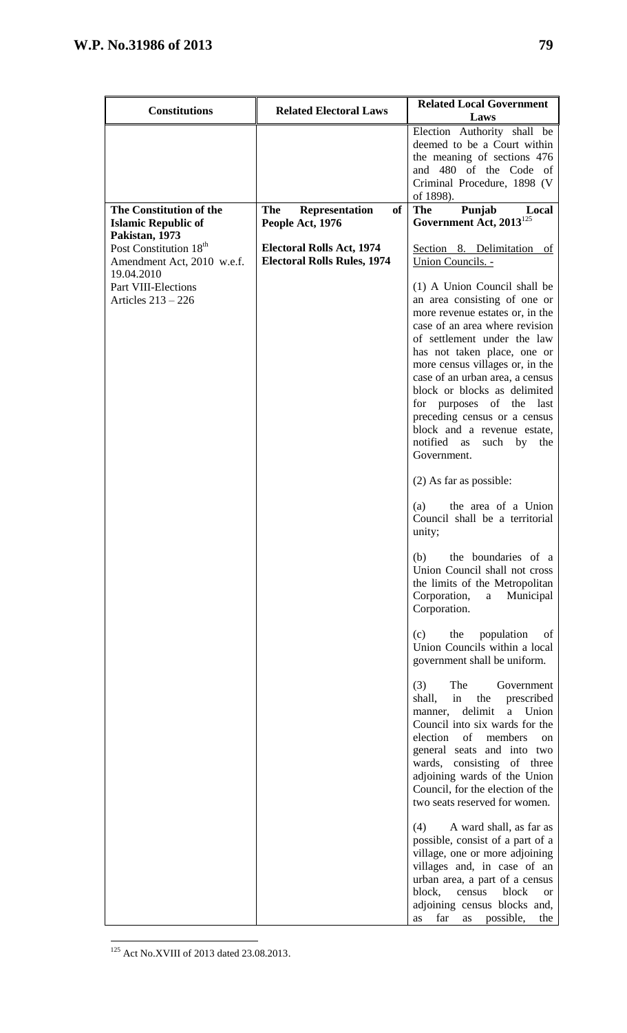| <b>Constitutions</b>                                                                             | <b>Related Electoral Laws</b>                                          | <b>Related Local Government</b><br>Laws                                                                                                                                                                                                                                                                                                                                                                                                                                        |
|--------------------------------------------------------------------------------------------------|------------------------------------------------------------------------|--------------------------------------------------------------------------------------------------------------------------------------------------------------------------------------------------------------------------------------------------------------------------------------------------------------------------------------------------------------------------------------------------------------------------------------------------------------------------------|
|                                                                                                  |                                                                        | Election Authority shall be<br>deemed to be a Court within<br>the meaning of sections 476<br>and 480 of the Code of<br>Criminal Procedure, 1898 (V<br>of 1898).                                                                                                                                                                                                                                                                                                                |
| The Constitution of the<br><b>Islamic Republic of</b>                                            | Representation<br>of<br>The<br>People Act, 1976                        | Punjab<br>The<br>Local<br>Government Act, 2013 <sup>125</sup>                                                                                                                                                                                                                                                                                                                                                                                                                  |
| Pakistan, 1973<br>Post Constitution 18 <sup>th</sup><br>Amendment Act, 2010 w.e.f.<br>19.04.2010 | <b>Electoral Rolls Act, 1974</b><br><b>Electoral Rolls Rules, 1974</b> | Section 8. Delimitation of<br>Union Councils. -                                                                                                                                                                                                                                                                                                                                                                                                                                |
| Part VIII-Elections<br>Articles $213 - 226$                                                      |                                                                        | (1) A Union Council shall be<br>an area consisting of one or<br>more revenue estates or, in the<br>case of an area where revision<br>of settlement under the law<br>has not taken place, one or<br>more census villages or, in the<br>case of an urban area, a census<br>block or blocks as delimited<br>for purposes of the last<br>preceding census or a census<br>block and a revenue estate,<br>notified<br>such by<br>the<br>as<br>Government.<br>(2) As far as possible: |
|                                                                                                  |                                                                        | the area of a Union<br>(a)<br>Council shall be a territorial<br>unity;                                                                                                                                                                                                                                                                                                                                                                                                         |
|                                                                                                  |                                                                        | the boundaries of a<br>(b)<br>Union Council shall not cross<br>the limits of the Metropolitan<br>Corporation,<br>Municipal<br>a<br>Corporation.                                                                                                                                                                                                                                                                                                                                |
|                                                                                                  |                                                                        | population<br>(c)<br>the<br>of<br>Union Councils within a local<br>government shall be uniform.                                                                                                                                                                                                                                                                                                                                                                                |
|                                                                                                  |                                                                        | The<br>Government<br>(3)<br>in<br>prescribed<br>shall,<br>the<br>delimit<br>a Union<br>manner,<br>Council into six wards for the<br>of members<br>election<br>on<br>general seats and into two<br>consisting of three<br>wards,<br>adjoining wards of the Union<br>Council, for the election of the<br>two seats reserved for women.                                                                                                                                           |
|                                                                                                  |                                                                        | (4)<br>A ward shall, as far as<br>possible, consist of a part of a<br>village, one or more adjoining<br>villages and, in case of an<br>urban area, a part of a census<br>block,<br>census<br>block<br><sub>or</sub><br>adjoining census blocks and,<br>far<br>possible,<br>the<br>as<br>as                                                                                                                                                                                     |

  $125$  Act No.XVIII of 2013 dated 23.08.2013.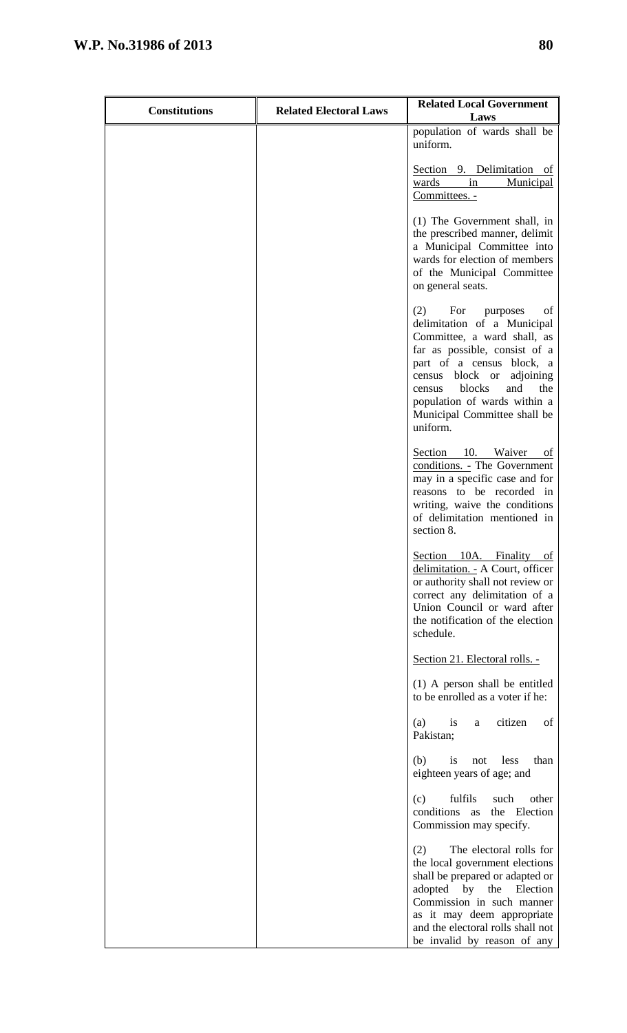| <b>Constitutions</b> | <b>Related Electoral Laws</b> | <b>Related Local Government</b><br>Laws                                                                                                                                                                                                                                                                |
|----------------------|-------------------------------|--------------------------------------------------------------------------------------------------------------------------------------------------------------------------------------------------------------------------------------------------------------------------------------------------------|
|                      |                               | population of wards shall be<br>uniform.                                                                                                                                                                                                                                                               |
|                      |                               | Section 9. Delimitation of<br>wards<br>in<br>Municipal<br>Committees. -                                                                                                                                                                                                                                |
|                      |                               | (1) The Government shall, in<br>the prescribed manner, delimit<br>a Municipal Committee into<br>wards for election of members<br>of the Municipal Committee<br>on general seats.                                                                                                                       |
|                      |                               | (2)<br>For<br>purposes<br>of<br>delimitation of a Municipal<br>Committee, a ward shall, as<br>far as possible, consist of a<br>part of a census block, a<br>census block or<br>adjoining<br>blocks<br>and<br>the<br>census<br>population of wards within a<br>Municipal Committee shall be<br>uniform. |
|                      |                               | Section 10. Waiver<br>of<br>conditions. - The Government<br>may in a specific case and for<br>reasons to be recorded in<br>writing, waive the conditions<br>of delimitation mentioned in<br>section 8.                                                                                                 |
|                      |                               | Section 10A. Finality of<br>delimitation. - A Court, officer<br>or authority shall not review or<br>correct any delimitation of a<br>Union Council or ward after<br>the notification of the election<br>schedule.                                                                                      |
|                      |                               | Section 21. Electoral rolls. -                                                                                                                                                                                                                                                                         |
|                      |                               | (1) A person shall be entitled<br>to be enrolled as a voter if he:                                                                                                                                                                                                                                     |
|                      |                               | citizen<br>of<br>(a)<br><i>is</i><br>a<br>Pakistan;                                                                                                                                                                                                                                                    |
|                      |                               | is<br>(b)<br>less<br>than<br>not<br>eighteen years of age; and                                                                                                                                                                                                                                         |
|                      |                               | fulfils<br>such<br>other<br>(c)<br>conditions<br>the Election<br>as<br>Commission may specify.                                                                                                                                                                                                         |
|                      |                               | The electoral rolls for<br>(2)<br>the local government elections<br>shall be prepared or adapted or<br>adopted by<br>the<br>Election<br>Commission in such manner<br>as it may deem appropriate<br>and the electoral rolls shall not<br>be invalid by reason of any                                    |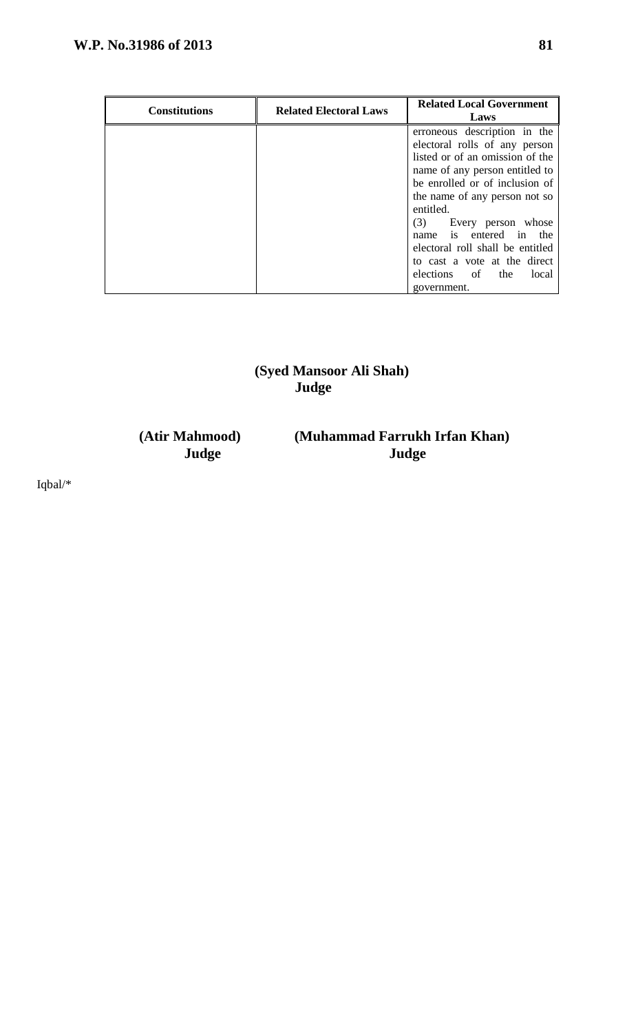| Laws                                                                                                                                                                                                                                                                                                                                                                                            |
|-------------------------------------------------------------------------------------------------------------------------------------------------------------------------------------------------------------------------------------------------------------------------------------------------------------------------------------------------------------------------------------------------|
| erroneous description in the<br>electoral rolls of any person<br>listed or of an omission of the<br>name of any person entitled to<br>be enrolled or of inclusion of<br>the name of any person not so<br>entitled.<br>(3)<br>Every person whose<br>is entered in the<br>name<br>electoral roll shall be entitled<br>to cast a vote at the direct<br>elections of<br>the<br>local<br>government. |

## **(Syed Mansoor Ali Shah) Judge**

 **(Atir Mahmood) (Muhammad Farrukh Irfan Khan) Judge Judge**

Iqbal/\*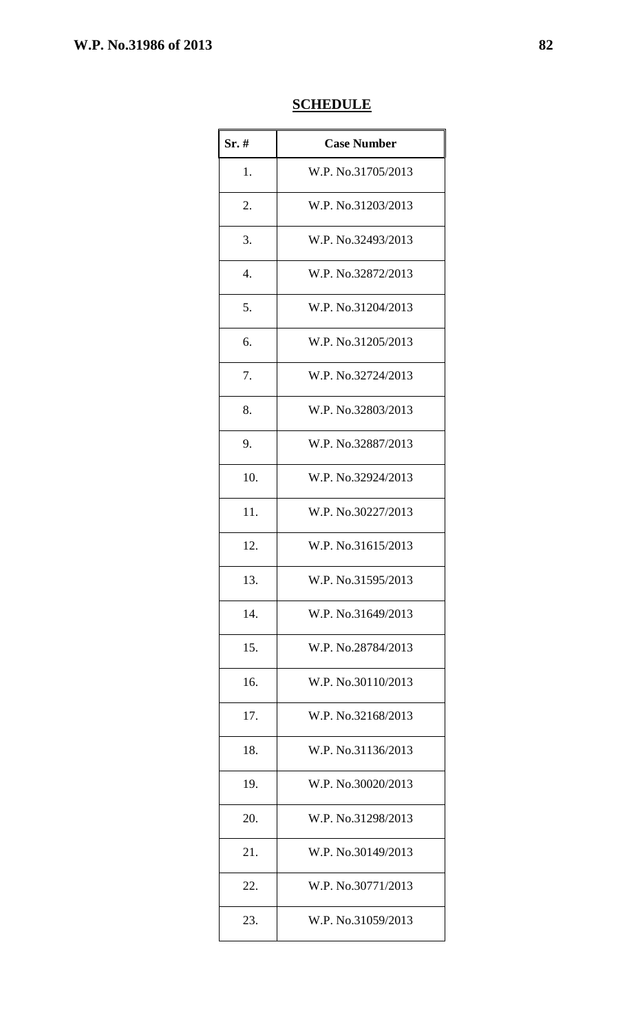| $Sr.$ # | <b>Case Number</b> |
|---------|--------------------|
| 1.      | W.P. No.31705/2013 |
| 2.      | W.P. No.31203/2013 |
| 3.      | W.P. No.32493/2013 |
| 4.      | W.P. No.32872/2013 |
| 5.      | W.P. No.31204/2013 |
| 6.      | W.P. No.31205/2013 |
| 7.      | W.P. No.32724/2013 |
| 8.      | W.P. No.32803/2013 |
| 9.      | W.P. No.32887/2013 |
| 10.     | W.P. No.32924/2013 |
| 11.     | W.P. No.30227/2013 |
| 12.     | W.P. No.31615/2013 |
| 13.     | W.P. No.31595/2013 |
| 14.     | W.P. No.31649/2013 |
| 15.     | W.P. No.28784/2013 |
| 16.     | W.P. No.30110/2013 |
| 17.     | W.P. No.32168/2013 |
| 18.     | W.P. No.31136/2013 |
| 19.     | W.P. No.30020/2013 |
| 20.     | W.P. No.31298/2013 |
| 21.     | W.P. No.30149/2013 |

22. W.P. No.30771/2013

23. W.P. No.31059/2013

## **SCHEDULE**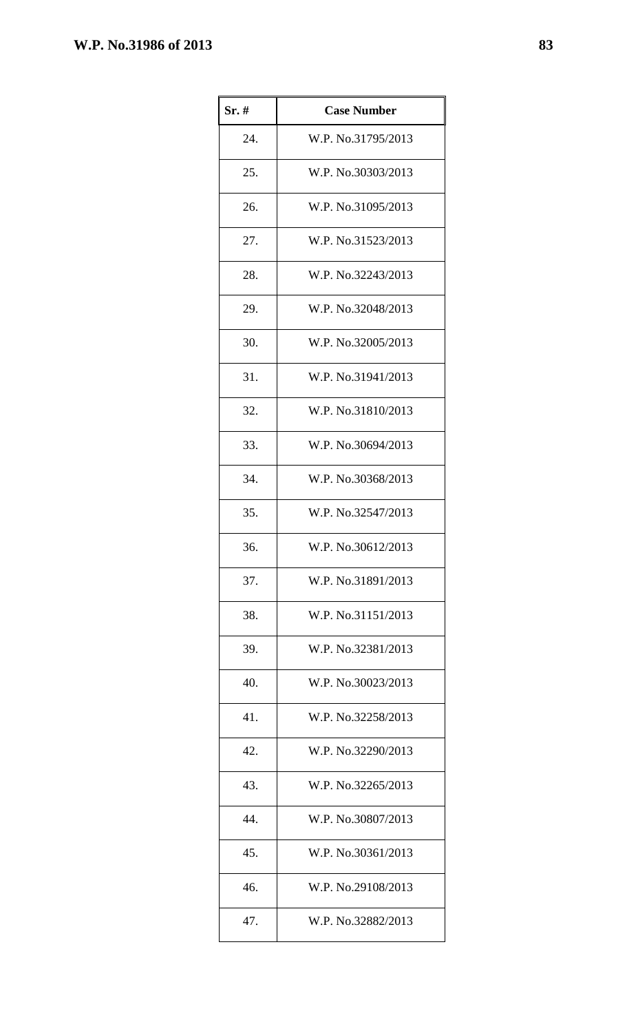| $Sr.$ # | <b>Case Number</b> |
|---------|--------------------|
| 24.     | W.P. No.31795/2013 |
| 25.     | W.P. No.30303/2013 |
| 26.     | W.P. No.31095/2013 |
| 27.     | W.P. No.31523/2013 |
| 28.     | W.P. No.32243/2013 |
| 29.     | W.P. No.32048/2013 |
| 30.     | W.P. No.32005/2013 |
| 31.     | W.P. No.31941/2013 |
| 32.     | W.P. No.31810/2013 |
| 33.     | W.P. No.30694/2013 |
| 34.     | W.P. No.30368/2013 |
| 35.     | W.P. No.32547/2013 |
| 36.     | W.P. No.30612/2013 |
| 37.     | W.P. No.31891/2013 |
| 38.     | W.P. No.31151/2013 |
| 39.     | W.P. No.32381/2013 |
| 40.     | W.P. No.30023/2013 |
| 41.     | W.P. No.32258/2013 |
| 42.     | W.P. No.32290/2013 |
| 43.     | W.P. No.32265/2013 |
| 44.     | W.P. No.30807/2013 |
| 45.     | W.P. No.30361/2013 |
| 46.     | W.P. No.29108/2013 |
| 47.     | W.P. No.32882/2013 |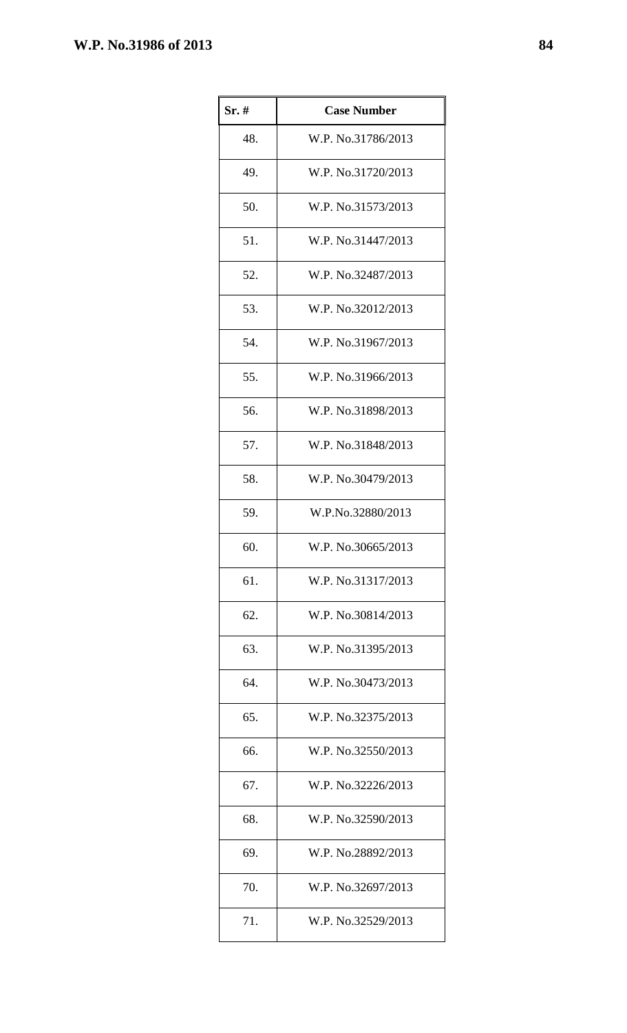| $Sr.$ # | <b>Case Number</b> |
|---------|--------------------|
| 48.     | W.P. No.31786/2013 |
| 49.     | W.P. No.31720/2013 |
| 50.     | W.P. No.31573/2013 |
| 51.     | W.P. No.31447/2013 |
| 52.     | W.P. No.32487/2013 |
| 53.     | W.P. No.32012/2013 |
| 54.     | W.P. No.31967/2013 |
| 55.     | W.P. No.31966/2013 |
| 56.     | W.P. No.31898/2013 |
| 57.     | W.P. No.31848/2013 |
| 58.     | W.P. No.30479/2013 |
| 59.     | W.P.No.32880/2013  |
| 60.     | W.P. No.30665/2013 |
| 61.     | W.P. No.31317/2013 |
| 62.     | W.P. No.30814/2013 |
| 63.     | W.P. No.31395/2013 |
| 64.     | W.P. No.30473/2013 |
| 65.     | W.P. No.32375/2013 |
| 66.     | W.P. No.32550/2013 |
| 67.     | W.P. No.32226/2013 |
| 68.     | W.P. No.32590/2013 |
| 69.     | W.P. No.28892/2013 |
| 70.     | W.P. No.32697/2013 |
| 71.     | W.P. No.32529/2013 |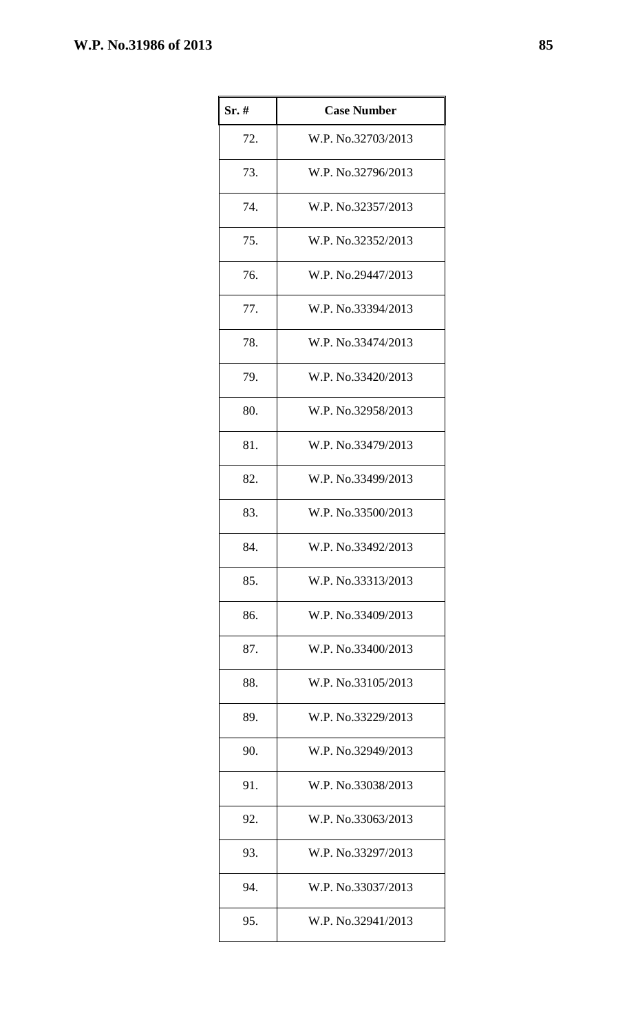| $Sr.$ # | <b>Case Number</b> |
|---------|--------------------|
| 72.     | W.P. No.32703/2013 |
| 73.     | W.P. No.32796/2013 |
| 74.     | W.P. No.32357/2013 |
| 75.     | W.P. No.32352/2013 |
| 76.     | W.P. No.29447/2013 |
| 77.     | W.P. No.33394/2013 |
| 78.     | W.P. No.33474/2013 |
| 79.     | W.P. No.33420/2013 |
| 80.     | W.P. No.32958/2013 |
| 81.     | W.P. No.33479/2013 |
| 82.     | W.P. No.33499/2013 |
| 83.     | W.P. No.33500/2013 |
| 84.     | W.P. No.33492/2013 |
| 85.     | W.P. No.33313/2013 |
| 86.     | W.P. No.33409/2013 |
| 87.     | W.P. No.33400/2013 |
| 88.     | W.P. No.33105/2013 |
| 89.     | W.P. No.33229/2013 |
| 90.     | W.P. No.32949/2013 |
| 91.     | W.P. No.33038/2013 |
| 92.     | W.P. No.33063/2013 |
| 93.     | W.P. No.33297/2013 |
| 94.     | W.P. No.33037/2013 |
| 95.     | W.P. No.32941/2013 |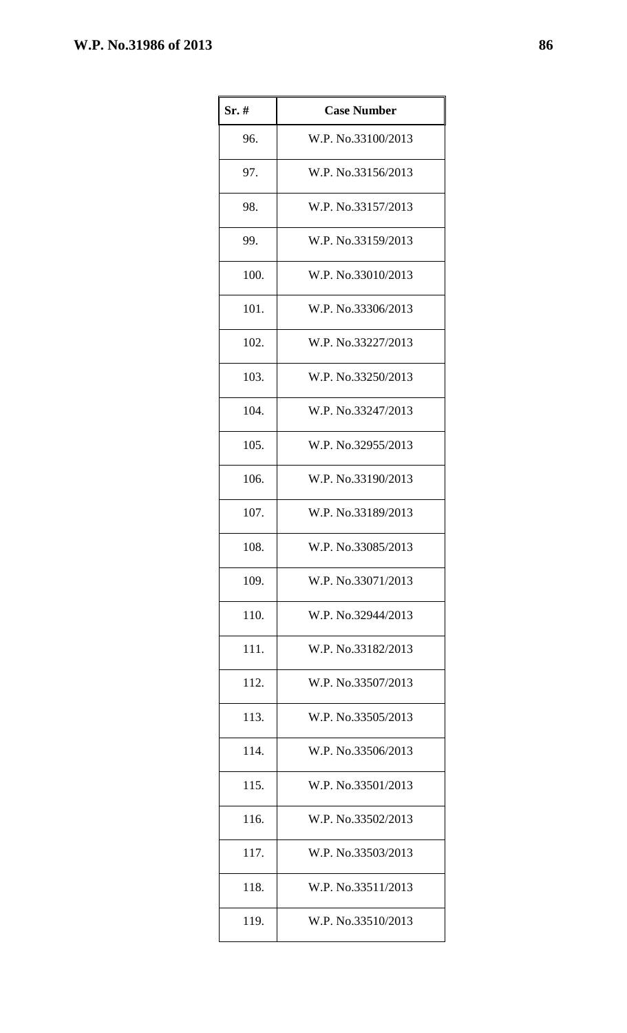| $Sr.$ # | <b>Case Number</b> |
|---------|--------------------|
| 96.     | W.P. No.33100/2013 |
| 97.     | W.P. No.33156/2013 |
| 98.     | W.P. No.33157/2013 |
| 99.     | W.P. No.33159/2013 |
| 100.    | W.P. No.33010/2013 |
| 101.    | W.P. No.33306/2013 |
| 102.    | W.P. No.33227/2013 |
| 103.    | W.P. No.33250/2013 |
| 104.    | W.P. No.33247/2013 |
| 105.    | W.P. No.32955/2013 |
| 106.    | W.P. No.33190/2013 |
| 107.    | W.P. No.33189/2013 |
| 108.    | W.P. No.33085/2013 |
| 109.    | W.P. No.33071/2013 |
| 110.    | W.P. No.32944/2013 |
| 111.    | W.P. No.33182/2013 |
| 112.    | W.P. No.33507/2013 |
| 113.    | W.P. No.33505/2013 |
| 114.    | W.P. No.33506/2013 |
| 115.    | W.P. No.33501/2013 |
| 116.    | W.P. No.33502/2013 |
| 117.    | W.P. No.33503/2013 |
| 118.    | W.P. No.33511/2013 |
| 119.    | W.P. No.33510/2013 |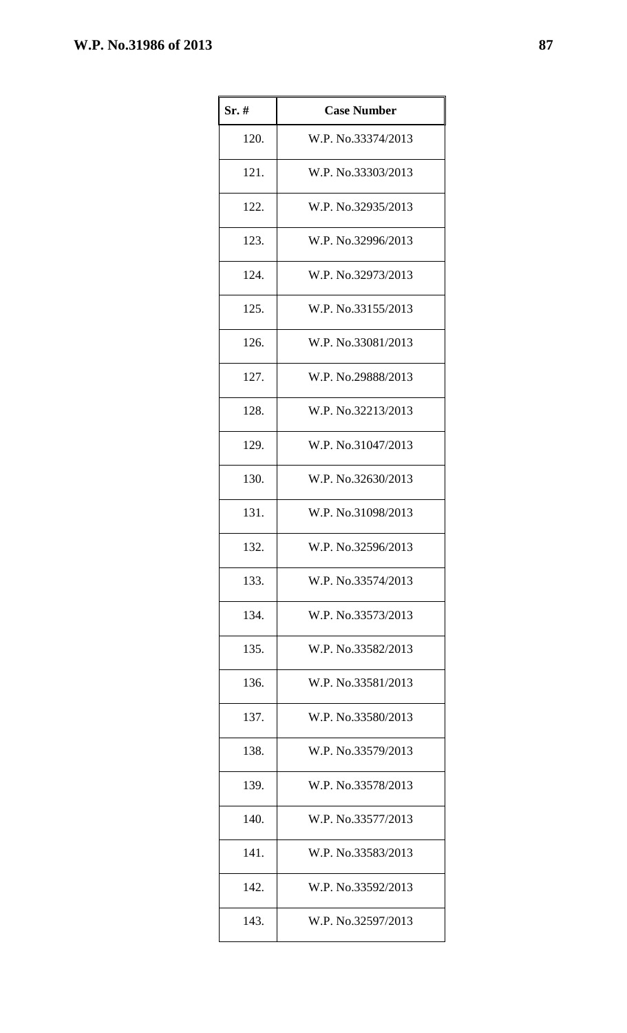| $Sr.$ # | <b>Case Number</b> |
|---------|--------------------|
| 120.    | W.P. No.33374/2013 |
| 121.    | W.P. No.33303/2013 |
| 122.    | W.P. No.32935/2013 |
| 123.    | W.P. No.32996/2013 |
| 124.    | W.P. No.32973/2013 |
| 125.    | W.P. No.33155/2013 |
| 126.    | W.P. No.33081/2013 |
| 127.    | W.P. No.29888/2013 |
| 128.    | W.P. No.32213/2013 |
| 129.    | W.P. No.31047/2013 |
| 130.    | W.P. No.32630/2013 |
| 131.    | W.P. No.31098/2013 |
| 132.    | W.P. No.32596/2013 |
| 133.    | W.P. No.33574/2013 |
| 134.    | W.P. No.33573/2013 |
| 135.    | W.P. No.33582/2013 |
| 136.    | W.P. No.33581/2013 |
| 137.    | W.P. No.33580/2013 |
| 138.    | W.P. No.33579/2013 |
| 139.    | W.P. No.33578/2013 |
| 140.    | W.P. No.33577/2013 |
| 141.    | W.P. No.33583/2013 |
| 142.    | W.P. No.33592/2013 |
| 143.    | W.P. No.32597/2013 |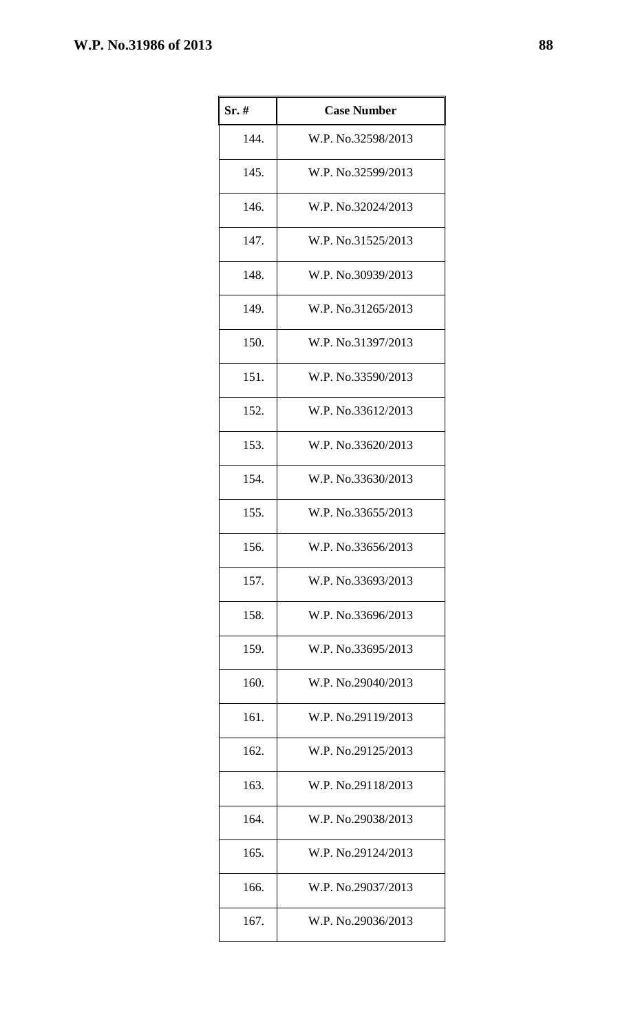| $Sr.$ # | <b>Case Number</b> |
|---------|--------------------|
| 144.    | W.P. No.32598/2013 |
| 145.    | W.P. No.32599/2013 |
| 146.    | W.P. No.32024/2013 |
| 147.    | W.P. No.31525/2013 |
| 148.    | W.P. No.30939/2013 |
| 149.    | W.P. No.31265/2013 |
| 150.    | W.P. No.31397/2013 |
| 151.    | W.P. No.33590/2013 |
| 152.    | W.P. No.33612/2013 |
| 153.    | W.P. No.33620/2013 |
| 154.    | W.P. No.33630/2013 |
| 155.    | W.P. No.33655/2013 |
| 156.    | W.P. No.33656/2013 |
| 157.    | W.P. No.33693/2013 |
| 158.    | W.P. No.33696/2013 |
| 159.    | W.P. No.33695/2013 |
| 160.    | W.P. No.29040/2013 |
| 161.    | W.P. No.29119/2013 |
| 162.    | W.P. No.29125/2013 |
| 163.    | W.P. No.29118/2013 |
| 164.    | W.P. No.29038/2013 |
| 165.    | W.P. No.29124/2013 |
| 166.    | W.P. No.29037/2013 |
| 167.    | W.P. No.29036/2013 |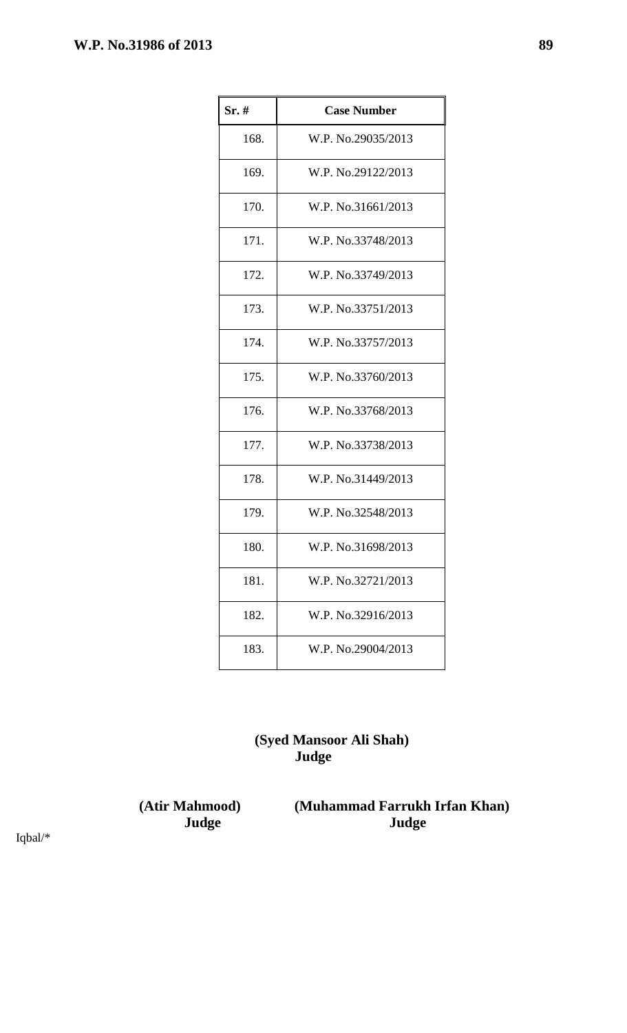| $Sr.$ # | <b>Case Number</b> |
|---------|--------------------|
| 168.    | W.P. No.29035/2013 |
| 169.    | W.P. No.29122/2013 |
| 170.    | W.P. No.31661/2013 |
| 171.    | W.P. No.33748/2013 |
| 172.    | W.P. No.33749/2013 |
| 173.    | W.P. No.33751/2013 |
| 174.    | W.P. No.33757/2013 |
| 175.    | W.P. No.33760/2013 |
| 176.    | W.P. No.33768/2013 |
| 177.    | W.P. No.33738/2013 |
| 178.    | W.P. No.31449/2013 |
| 179.    | W.P. No.32548/2013 |
| 180.    | W.P. No.31698/2013 |
| 181.    | W.P. No.32721/2013 |
| 182.    | W.P. No.32916/2013 |
| 183.    | W.P. No.29004/2013 |

**(Syed Mansoor Ali Shah) Judge**

 **(Atir Mahmood) (Muhammad Farrukh Irfan Khan) Judge Judge**

 $Iqbal/*$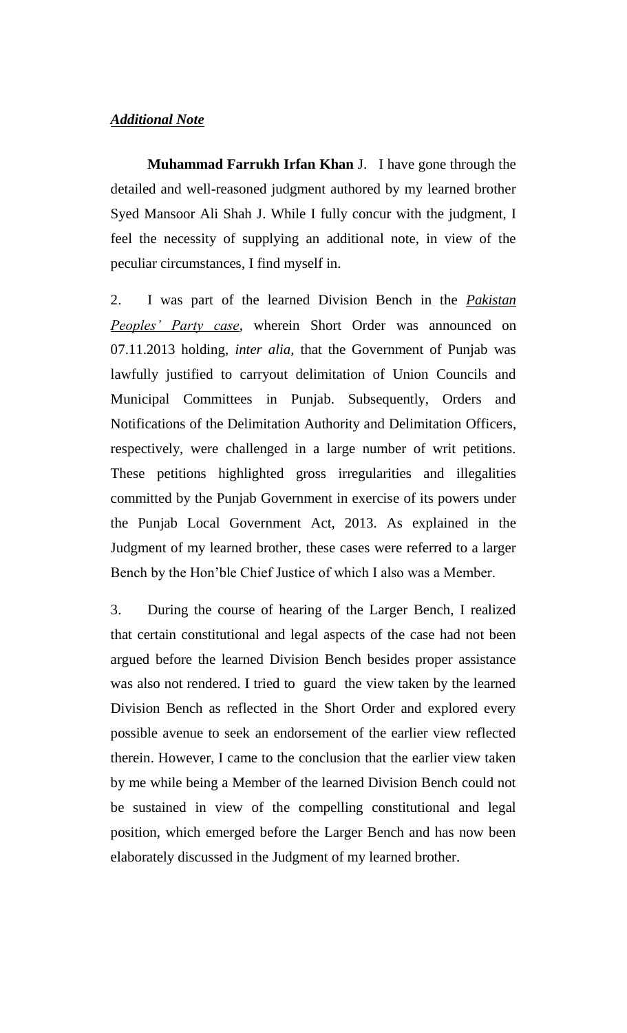## *Additional Note*

**Muhammad Farrukh Irfan Khan** J. I have gone through the detailed and well-reasoned judgment authored by my learned brother Syed Mansoor Ali Shah J. While I fully concur with the judgment, I feel the necessity of supplying an additional note, in view of the peculiar circumstances, I find myself in.

2. I was part of the learned Division Bench in the *Pakistan Peoples" Party case*, wherein Short Order was announced on 07.11.2013 holding, *inter alia,* that the Government of Punjab was lawfully justified to carryout delimitation of Union Councils and Municipal Committees in Punjab. Subsequently, Orders and Notifications of the Delimitation Authority and Delimitation Officers, respectively, were challenged in a large number of writ petitions. These petitions highlighted gross irregularities and illegalities committed by the Punjab Government in exercise of its powers under the Punjab Local Government Act, 2013. As explained in the Judgment of my learned brother, these cases were referred to a larger Bench by the Hon'ble Chief Justice of which I also was a Member.

3. During the course of hearing of the Larger Bench, I realized that certain constitutional and legal aspects of the case had not been argued before the learned Division Bench besides proper assistance was also not rendered. I tried to guard the view taken by the learned Division Bench as reflected in the Short Order and explored every possible avenue to seek an endorsement of the earlier view reflected therein. However, I came to the conclusion that the earlier view taken by me while being a Member of the learned Division Bench could not be sustained in view of the compelling constitutional and legal position, which emerged before the Larger Bench and has now been elaborately discussed in the Judgment of my learned brother.